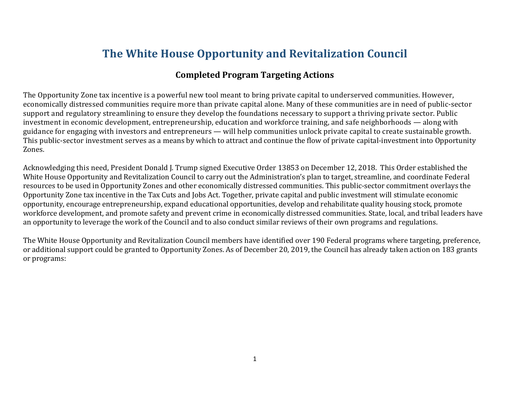# **The White House Opportunity and Revitalization Council**

## **Completed Program Targeting Actions**

The Opportunity Zone tax incentive is a powerful new tool meant to bring private capital to underserved communities. However, economically distressed communities require more than private capital alone. Many of these communities are in need of public-sector support and regulatory streamlining to ensure they develop the foundations necessary to support a thriving private sector. Public investment in economic development, entrepreneurship, education and workforce training, and safe neighborhoods — along with guidance for engaging with investors and entrepreneurs — will help communities unlock private capital to create sustainable growth. This public-sector investment serves as a means by which to attract and continue the flow of private capital-investment into Opportunity Zones.

Acknowledging this need, President Donald J. Trump signed Executive Order 13853 on December 12, 2018. This Order established the White House Opportunity and Revitalization Council to carry out the Administration's plan to target, streamline, and coordinate Federal resources to be used in Opportunity Zones and other economically distressed communities. This public-sector commitment overlays the Opportunity Zone tax incentive in the Tax Cuts and Jobs Act. Together, private capital and public investment will stimulate economic opportunity, encourage entrepreneurship, expand educational opportunities, develop and rehabilitate quality housing stock, promote workforce development, and promote safety and prevent crime in economically distressed communities. State, local, and tribal leaders have an opportunity to leverage the work of the Council and to also conduct similar reviews of their own programs and regulations.

The White House Opportunity and Revitalization Council members have identified over 190 Federal programs where targeting, preference, or additional support could be granted to Opportunity Zones. As of December 20, 2019, the Council has already taken action on 183 grants or programs: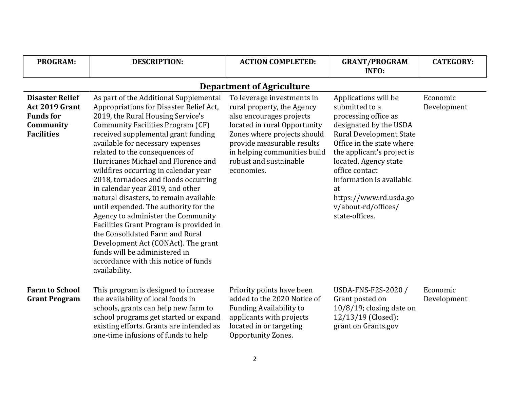| <b>PROGRAM:</b>                                                                                | <b>DESCRIPTION:</b>                                                                                                                                                                                                                                                                                                                                                                                                                                                                                                                                                                                                                                                                                                                                                                | <b>ACTION COMPLETED:</b>                                                                                                                                                                                                                                  | <b>GRANT/PROGRAM</b><br><b>INFO:</b>                                                                                                                                                                                                                                                                                                  | <b>CATEGORY:</b>        |
|------------------------------------------------------------------------------------------------|------------------------------------------------------------------------------------------------------------------------------------------------------------------------------------------------------------------------------------------------------------------------------------------------------------------------------------------------------------------------------------------------------------------------------------------------------------------------------------------------------------------------------------------------------------------------------------------------------------------------------------------------------------------------------------------------------------------------------------------------------------------------------------|-----------------------------------------------------------------------------------------------------------------------------------------------------------------------------------------------------------------------------------------------------------|---------------------------------------------------------------------------------------------------------------------------------------------------------------------------------------------------------------------------------------------------------------------------------------------------------------------------------------|-------------------------|
|                                                                                                |                                                                                                                                                                                                                                                                                                                                                                                                                                                                                                                                                                                                                                                                                                                                                                                    | <b>Department of Agriculture</b>                                                                                                                                                                                                                          |                                                                                                                                                                                                                                                                                                                                       |                         |
| <b>Disaster Relief</b><br>Act 2019 Grant<br><b>Funds for</b><br>Community<br><b>Facilities</b> | As part of the Additional Supplemental<br>Appropriations for Disaster Relief Act,<br>2019, the Rural Housing Service's<br><b>Community Facilities Program (CF)</b><br>received supplemental grant funding<br>available for necessary expenses<br>related to the consequences of<br>Hurricanes Michael and Florence and<br>wildfires occurring in calendar year<br>2018, tornadoes and floods occurring<br>in calendar year 2019, and other<br>natural disasters, to remain available<br>until expended. The authority for the<br>Agency to administer the Community<br>Facilities Grant Program is provided in<br>the Consolidated Farm and Rural<br>Development Act (CONAct). The grant<br>funds will be administered in<br>accordance with this notice of funds<br>availability. | To leverage investments in<br>rural property, the Agency<br>also encourages projects<br>located in rural Opportunity<br>Zones where projects should<br>provide measurable results<br>in helping communities build<br>robust and sustainable<br>economies. | Applications will be<br>submitted to a<br>processing office as<br>designated by the USDA<br><b>Rural Development State</b><br>Office in the state where<br>the applicant's project is<br>located. Agency state<br>office contact<br>information is available<br>at<br>https://www.rd.usda.go<br>v/about-rd/offices/<br>state-offices. | Economic<br>Development |
| <b>Farm to School</b><br><b>Grant Program</b>                                                  | This program is designed to increase<br>the availability of local foods in<br>schools, grants can help new farm to<br>school programs get started or expand<br>existing efforts. Grants are intended as<br>one-time infusions of funds to help                                                                                                                                                                                                                                                                                                                                                                                                                                                                                                                                     | Priority points have been<br>added to the 2020 Notice of<br><b>Funding Availability to</b><br>applicants with projects<br>located in or targeting<br>Opportunity Zones.                                                                                   | USDA-FNS-F2S-2020 /<br>Grant posted on<br>10/8/19; closing date on<br>12/13/19 (Closed);<br>grant on Grants.gov                                                                                                                                                                                                                       | Economic<br>Development |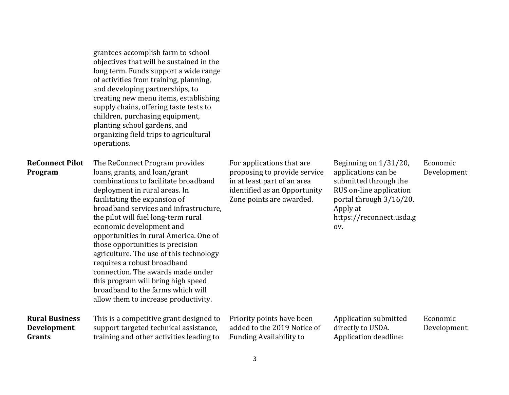|                                                       | objectives that will be sustained in the<br>long term. Funds support a wide range<br>of activities from training, planning,<br>and developing partnerships, to<br>creating new menu items, establishing<br>supply chains, offering taste tests to<br>children, purchasing equipment,<br>planting school gardens, and<br>organizing field trips to agricultural<br>operations.                                                                                                                                                                                                                          |                                                                                                                                                      |                                                                                                                                                                            |                         |
|-------------------------------------------------------|--------------------------------------------------------------------------------------------------------------------------------------------------------------------------------------------------------------------------------------------------------------------------------------------------------------------------------------------------------------------------------------------------------------------------------------------------------------------------------------------------------------------------------------------------------------------------------------------------------|------------------------------------------------------------------------------------------------------------------------------------------------------|----------------------------------------------------------------------------------------------------------------------------------------------------------------------------|-------------------------|
| <b>ReConnect Pilot</b><br>Program                     | The ReConnect Program provides<br>loans, grants, and loan/grant<br>combinations to facilitate broadband<br>deployment in rural areas. In<br>facilitating the expansion of<br>broadband services and infrastructure,<br>the pilot will fuel long-term rural<br>economic development and<br>opportunities in rural America. One of<br>those opportunities is precision<br>agriculture. The use of this technology<br>requires a robust broadband<br>connection. The awards made under<br>this program will bring high speed<br>broadband to the farms which will<br>allow them to increase productivity. | For applications that are<br>proposing to provide service<br>in at least part of an area<br>identified as an Opportunity<br>Zone points are awarded. | Beginning on 1/31/20,<br>applications can be<br>submitted through the<br>RUS on-line application<br>portal through 3/16/20.<br>Apply at<br>https://reconnect.usda.g<br>OV. | Economic<br>Development |
| <b>Rural Business</b><br><b>Development</b><br>Grants | This is a competitive grant designed to<br>support targeted technical assistance,<br>training and other activities leading to                                                                                                                                                                                                                                                                                                                                                                                                                                                                          | Priority points have been<br>added to the 2019 Notice of<br><b>Funding Availability to</b>                                                           | Application submitted<br>directly to USDA.<br>Application deadline:                                                                                                        | Economic<br>Development |

grantees accomplish farm to school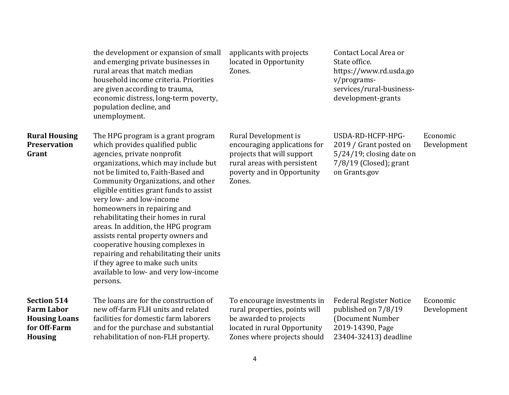|                                                                                                   | the development or expansion of small<br>and emerging private businesses in<br>rural areas that match median<br>household income criteria. Priorities<br>are given according to trauma,<br>economic distress, long-term poverty,<br>population decline, and<br>unemployment.                                                                                                                                                                                                                                                                                                                                                | applicants with projects<br>located in Opportunity<br>Zones.                                                                                              | Contact Local Area or<br>State office.<br>https://www.rd.usda.go<br>v/programs-<br>services/rural-business-<br>development-grants |                         |
|---------------------------------------------------------------------------------------------------|-----------------------------------------------------------------------------------------------------------------------------------------------------------------------------------------------------------------------------------------------------------------------------------------------------------------------------------------------------------------------------------------------------------------------------------------------------------------------------------------------------------------------------------------------------------------------------------------------------------------------------|-----------------------------------------------------------------------------------------------------------------------------------------------------------|-----------------------------------------------------------------------------------------------------------------------------------|-------------------------|
| <b>Rural Housing</b><br><b>Preservation</b><br>Grant                                              | The HPG program is a grant program<br>which provides qualified public<br>agencies, private nonprofit<br>organizations, which may include but<br>not be limited to, Faith-Based and<br>Community Organizations, and other<br>eligible entities grant funds to assist<br>very low- and low-income<br>homeowners in repairing and<br>rehabilitating their homes in rural<br>areas. In addition, the HPG program<br>assists rental property owners and<br>cooperative housing complexes in<br>repairing and rehabilitating their units<br>if they agree to make such units<br>available to low- and very low-income<br>persons. | Rural Development is<br>encouraging applications for<br>projects that will support<br>rural areas with persistent<br>poverty and in Opportunity<br>Zones. | USDA-RD-HCFP-HPG-<br>2019 / Grant posted on<br>$5/24/19$ ; closing date on<br>$7/8/19$ (Closed); grant<br>on Grants.gov           | Economic<br>Development |
| <b>Section 514</b><br><b>Farm Labor</b><br><b>Housing Loans</b><br>for Off-Farm<br><b>Housing</b> | The loans are for the construction of<br>new off-farm FLH units and related<br>facilities for domestic farm laborers<br>and for the purchase and substantial<br>rehabilitation of non-FLH property.                                                                                                                                                                                                                                                                                                                                                                                                                         | To encourage investments in<br>rural properties, points will<br>be awarded to projects<br>located in rural Opportunity<br>Zones where projects should     | <b>Federal Register Notice</b><br>published on 7/8/19<br>(Document Number<br>2019-14390, Page<br>23404-32413) deadline            | Economic<br>Development |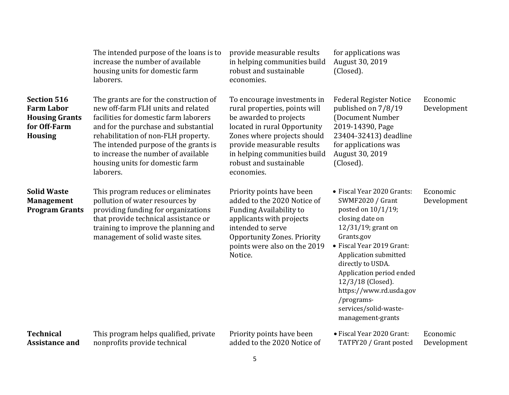|                                                                                                    | The intended purpose of the loans is to<br>increase the number of available<br>housing units for domestic farm<br>laborers.                                                                                                                                                                                                          | provide measurable results<br>in helping communities build<br>robust and sustainable<br>economies.                                                                                                                                                          | for applications was<br>August 30, 2019<br>(Closed).                                                                                                                                                                                                                                                                                                     |                         |
|----------------------------------------------------------------------------------------------------|--------------------------------------------------------------------------------------------------------------------------------------------------------------------------------------------------------------------------------------------------------------------------------------------------------------------------------------|-------------------------------------------------------------------------------------------------------------------------------------------------------------------------------------------------------------------------------------------------------------|----------------------------------------------------------------------------------------------------------------------------------------------------------------------------------------------------------------------------------------------------------------------------------------------------------------------------------------------------------|-------------------------|
| <b>Section 516</b><br><b>Farm Labor</b><br><b>Housing Grants</b><br>for Off-Farm<br><b>Housing</b> | The grants are for the construction of<br>new off-farm FLH units and related<br>facilities for domestic farm laborers<br>and for the purchase and substantial<br>rehabilitation of non-FLH property.<br>The intended purpose of the grants is<br>to increase the number of available<br>housing units for domestic farm<br>laborers. | To encourage investments in<br>rural properties, points will<br>be awarded to projects<br>located in rural Opportunity<br>Zones where projects should<br>provide measurable results<br>in helping communities build<br>robust and sustainable<br>economies. | <b>Federal Register Notice</b><br>published on 7/8/19<br>(Document Number<br>2019-14390, Page<br>23404-32413) deadline<br>for applications was<br>August 30, 2019<br>(Closed).                                                                                                                                                                           | Economic<br>Development |
| <b>Solid Waste</b><br><b>Management</b><br><b>Program Grants</b>                                   | This program reduces or eliminates<br>pollution of water resources by<br>providing funding for organizations<br>that provide technical assistance or<br>training to improve the planning and<br>management of solid waste sites.                                                                                                     | Priority points have been<br>added to the 2020 Notice of<br><b>Funding Availability to</b><br>applicants with projects<br>intended to serve<br><b>Opportunity Zones. Priority</b><br>points were also on the 2019<br>Notice.                                | • Fiscal Year 2020 Grants:<br><b>SWMF2020 / Grant</b><br>posted on 10/1/19;<br>closing date on<br>$12/31/19$ ; grant on<br>Grants.gov<br>• Fiscal Year 2019 Grant:<br>Application submitted<br>directly to USDA.<br>Application period ended<br>12/3/18 (Closed).<br>https://www.rd.usda.gov<br>/programs-<br>services/solid-waste-<br>management-grants | Economic<br>Development |
| <b>Technical</b><br><b>Assistance and</b>                                                          | This program helps qualified, private<br>nonprofits provide technical                                                                                                                                                                                                                                                                | Priority points have been<br>added to the 2020 Notice of                                                                                                                                                                                                    | • Fiscal Year 2020 Grant:<br>TATFY20 / Grant posted                                                                                                                                                                                                                                                                                                      | Economic<br>Development |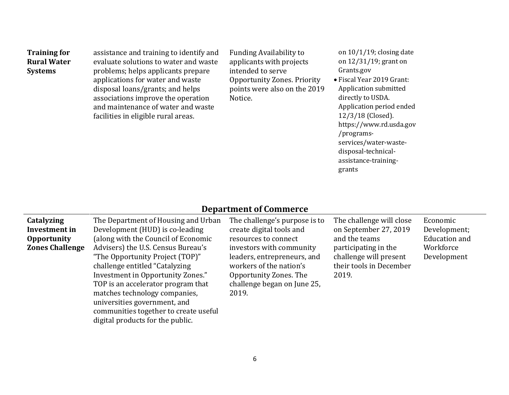| <b>Training for</b> | assistance and training to identify and | <b>Funding Availability to</b>     | $\mathbf{0}$ |
|---------------------|-----------------------------------------|------------------------------------|--------------|
| <b>Rural Water</b>  | evaluate solutions to water and waste   | applicants with projects           | $\mathbf{0}$ |
| <b>Systems</b>      | problems; helps applicants prepare      | intended to serve                  | G            |
|                     | applications for water and waste        | <b>Opportunity Zones. Priority</b> | $\bullet$ F  |
|                     | disposal loans/grants; and helps        | points were also on the 2019       | A            |
|                     | associations improve the operation      | Notice.                            | d            |
|                     | and maintenance of water and waste      |                                    | A            |
|                     | facilities in eligible rural areas.     |                                    | $\mathbf{1}$ |

on 10/1/19; closing date on 12/31/19; grant on Grants.gov

iscal Year 2019 Grant: Application submitted lirectly to USDA. Application period ended 12/3/18 (Closed). https://www.rd.usda.gov /programsservices/water-wastedisposal-technicalassistance-traininggrants

## **Department of Commerce**

| Catalyzing             | The Department of Housing and Urban                                                                                                                                                                                                                                                                                               | The challenge's purpose is to                                                                                                                        | The challenge will close                                                           | Economic                 |
|------------------------|-----------------------------------------------------------------------------------------------------------------------------------------------------------------------------------------------------------------------------------------------------------------------------------------------------------------------------------|------------------------------------------------------------------------------------------------------------------------------------------------------|------------------------------------------------------------------------------------|--------------------------|
| Investment in          | Development (HUD) is co-leading                                                                                                                                                                                                                                                                                                   | create digital tools and                                                                                                                             | on September 27, 2019                                                              | Development;             |
| <b>Opportunity</b>     | (along with the Council of Economic                                                                                                                                                                                                                                                                                               | resources to connect                                                                                                                                 | and the teams                                                                      | <b>Education and</b>     |
| <b>Zones Challenge</b> | Advisers) the U.S. Census Bureau's<br>"The Opportunity Project (TOP)"<br>challenge entitled "Catalyzing"<br>Investment in Opportunity Zones."<br>TOP is an accelerator program that<br>matches technology companies,<br>universities government, and<br>communities together to create useful<br>digital products for the public. | investors with community<br>leaders, entrepreneurs, and<br>workers of the nation's<br>Opportunity Zones. The<br>challenge began on June 25,<br>2019. | participating in the<br>challenge will present<br>their tools in December<br>2019. | Workforce<br>Development |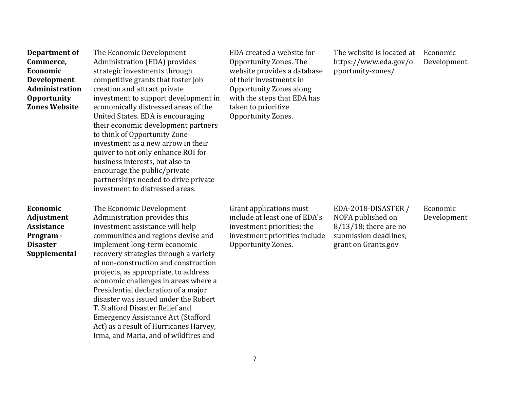| Department of<br>Commerce,<br>Economic<br>Development<br><b>Administration</b><br><b>Opportunity</b><br><b>Zones Website</b> | The Economic Development<br>Administration (EDA) provides<br>strategic investments through<br>competitive grants that foster job<br>creation and attract private<br>investment to support development in<br>economically distressed areas of the<br>United States. EDA is encouraging<br>their economic development partners<br>to think of Opportunity Zone<br>investment as a new arrow in their<br>quiver to not only enhance ROI for<br>business interests, but also to<br>encourage the public/private<br>partnerships needed to drive private<br>investment to distressed areas. | EDA created a website for<br>Opportunity Zones. The<br>website provides a database<br>of their investments in<br><b>Opportunity Zones along</b><br>with the steps that EDA has<br>taken to prioritize<br>Opportunity Zones. | The website is located at<br>https://www.eda.gov/o<br>pportunity-zones/                                              | Economic<br>Development |
|------------------------------------------------------------------------------------------------------------------------------|----------------------------------------------------------------------------------------------------------------------------------------------------------------------------------------------------------------------------------------------------------------------------------------------------------------------------------------------------------------------------------------------------------------------------------------------------------------------------------------------------------------------------------------------------------------------------------------|-----------------------------------------------------------------------------------------------------------------------------------------------------------------------------------------------------------------------------|----------------------------------------------------------------------------------------------------------------------|-------------------------|
| Economic<br>Adjustment<br><b>Assistance</b><br>Program -<br><b>Disaster</b><br>Supplemental                                  | The Economic Development<br>Administration provides this<br>investment assistance will help<br>communities and regions devise and<br>implement long-term economic<br>recovery strategies through a variety<br>of non-construction and construction<br>projects, as appropriate, to address<br>economic challenges in areas where a<br>Presidential declaration of a major<br>disaster was issued under the Robert<br>T. Stafford Disaster Relief and<br><b>Emergency Assistance Act (Stafford</b><br>Act) as a result of Hurricanes Harvey,<br>Irma, and Maria, and of wildfires and   | Grant applications must<br>include at least one of EDA's<br>investment priorities; the<br>investment priorities include<br>Opportunity Zones.                                                                               | EDA-2018-DISASTER /<br>NOFA published on<br>$8/13/18$ ; there are no<br>submission deadlines;<br>grant on Grants.gov | Economic<br>Development |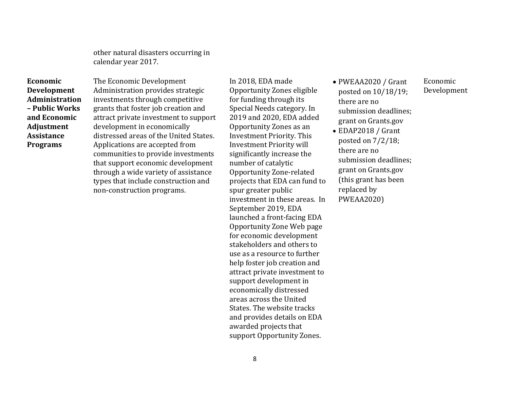other natural disasters occurring in calendar year 2017.

**Economic Development Administration – Public Works and Economic Adjustment Assistance Programs** 

The Economic Development Administration provides strategic investments through competitive grants that foster job creation and attract private investment to support development in economically distressed areas of the United States. Applications are accepted from communities to provide investments that support economic development through a wide variety of assistance types that include construction and non-construction programs.

In 2018, EDA made Opportunity Zones eligible for funding through its Special Needs category. In 2019 and 2020, EDA added Opportunity Zones as an Investment Priority. This Investment Priority will significantly increase the number of catalytic Opportunity Zone-related projects that EDA can fund to spur greater public investment in these areas. In September 2019, EDA launched a front-facing EDA Opportunity Zone Web page for economic development stakeholders and others to use as a resource to further help foster job creation and attract private investment to support development in economically distressed areas across the United States. The website tracks and provides details on EDA awarded projects that support Opportunity Zones.

 PWEAA2020 / Grant posted on 10/18/19; there are no submission deadlines; grant on Grants.gov

 EDAP2018 / Grant posted on 7/2/18; there are no submission deadlines; grant on Grants.gov (this grant has been replaced by PWEAA2020)

Economic Development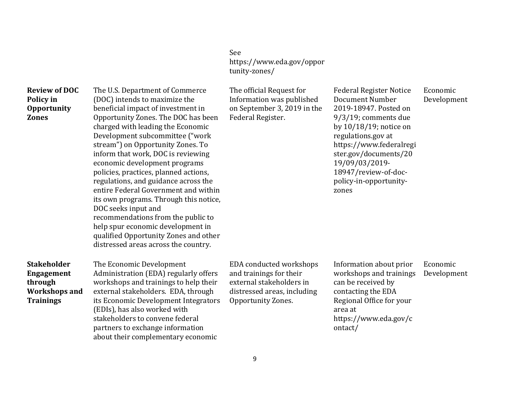See [https://www.eda.gov/oppor](https://www.eda.gov/opportunity-zones/) [tunity-zones/](https://www.eda.gov/opportunity-zones/)

| <b>Review of DOC</b><br>Policy in<br><b>Opportunity</b><br><b>Zones</b>                        | The U.S. Department of Commerce<br>(DOC) intends to maximize the<br>beneficial impact of investment in<br>Opportunity Zones. The DOC has been<br>charged with leading the Economic<br>Development subcommittee ("work<br>stream") on Opportunity Zones. To<br>inform that work, DOC is reviewing<br>economic development programs<br>policies, practices, planned actions,<br>regulations, and guidance across the<br>entire Federal Government and within<br>its own programs. Through this notice,<br>DOC seeks input and<br>recommendations from the public to<br>help spur economic development in<br>qualified Opportunity Zones and other<br>distressed areas across the country. | The official Request for<br>Information was published<br>on September 3, 2019 in the<br>Federal Register.                           | <b>Federal Register Notice</b><br>Document Number<br>2019-18947. Posted on<br>9/3/19; comments due<br>by $10/18/19$ ; notice on<br>regulations.gov at<br>https://www.federalregi<br>ster.gov/documents/20<br>19/09/03/2019-<br>18947/review-of-doc-<br>policy-in-opportunity-<br>zones | Economic<br>Development |
|------------------------------------------------------------------------------------------------|-----------------------------------------------------------------------------------------------------------------------------------------------------------------------------------------------------------------------------------------------------------------------------------------------------------------------------------------------------------------------------------------------------------------------------------------------------------------------------------------------------------------------------------------------------------------------------------------------------------------------------------------------------------------------------------------|-------------------------------------------------------------------------------------------------------------------------------------|----------------------------------------------------------------------------------------------------------------------------------------------------------------------------------------------------------------------------------------------------------------------------------------|-------------------------|
| <b>Stakeholder</b><br><b>Engagement</b><br>through<br><b>Workshops and</b><br><b>Trainings</b> | The Economic Development<br>Administration (EDA) regularly offers<br>workshops and trainings to help their<br>external stakeholders. EDA, through<br>its Economic Development Integrators<br>(EDIs), has also worked with<br>stakeholders to convene federal<br>partners to exchange information<br>about their complementary economic                                                                                                                                                                                                                                                                                                                                                  | EDA conducted workshops<br>and trainings for their<br>external stakeholders in<br>distressed areas, including<br>Opportunity Zones. | Information about prior<br>workshops and trainings<br>can be received by<br>contacting the EDA<br>Regional Office for your<br>area at<br>https://www.eda.gov/c<br>ontact/                                                                                                              | Economic<br>Development |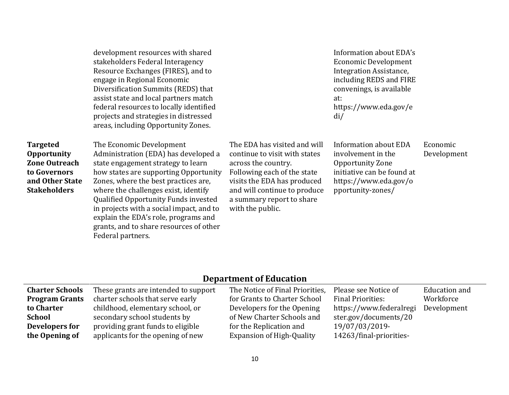| development resources with shared       |
|-----------------------------------------|
| stakeholders Federal Interagency        |
| Resource Exchanges (FIRES), and to      |
| engage in Regional Economic             |
| Diversification Summits (REDS) that     |
| assist state and local partners match   |
| federal resources to locally identified |
| projects and strategies in distressed   |
| areas, including Opportunity Zones.     |

Information about EDA's Economic Development Integration Assistance, including REDS and FIRE convenings, is available at: https://www.eda.gov/e di/

| <b>Targeted</b>      | The Economic Development                 | The EDA has visited and will  | <b>Information about EDA</b> |
|----------------------|------------------------------------------|-------------------------------|------------------------------|
| <b>Opportunity</b>   | Administration (EDA) has developed a     | continue to visit with states | involvement in the           |
| <b>Zone Outreach</b> | state engagement strategy to learn       | across the country.           | Opportunity Zone             |
| to Governors         | how states are supporting Opportunity    | Following each of the state   | initiative can be found at   |
| and Other State      | Zones, where the best practices are,     | visits the EDA has produced   | https://www.eda.gov/o        |
| <b>Stakeholders</b>  | where the challenges exist, identify     | and will continue to produce  | pportunity-zones/            |
|                      | Qualified Opportunity Funds invested     | a summary report to share     |                              |
|                      | in projects with a social impact, and to | with the public.              |                              |
|                      | explain the EDA's role, programs and     |                               |                              |
|                      | grants, and to share resources of other  |                               |                              |
|                      | Federal partners.                        |                               |                              |

Economic Development

#### **Department of Education**

| <b>Charter Schools</b> | These grants are intended to support | The Notice of Final Priorities,  | Please see Notice of     | Education and |
|------------------------|--------------------------------------|----------------------------------|--------------------------|---------------|
| <b>Program Grants</b>  | charter schools that serve early     | for Grants to Charter School     | <b>Final Priorities:</b> | Workforce     |
| to Charter             | childhood, elementary school, or     | Developers for the Opening       | https://www.federalregi  | Development   |
| <b>School</b>          | secondary school students by         | of New Charter Schools and       | ster.gov/documents/20    |               |
| Developers for         | providing grant funds to eligible    | for the Replication and          | 19/07/03/2019-           |               |
| the Opening of         | applicants for the opening of new    | <b>Expansion of High-Quality</b> | 14263/final-priorities-  |               |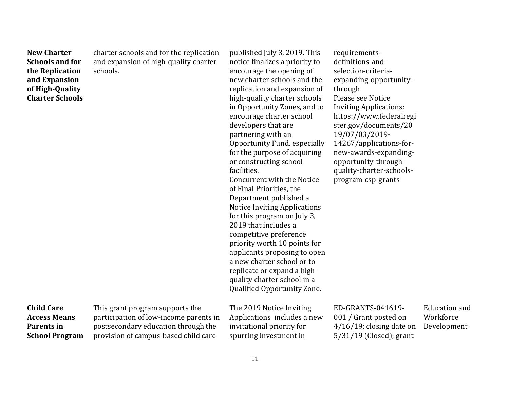| <b>New Charter</b><br><b>Schools and for</b><br>the Replication<br>and Expansion<br>of High-Quality<br><b>Charter Schools</b> | charter schools and for the replication<br>and expansion of high-quality charter<br>schools.                                                             | published July 3, 2019. This<br>notice finalizes a priority to<br>encourage the opening of<br>new charter schools and the<br>replication and expansion of<br>high-quality charter schools<br>in Opportunity Zones, and to<br>encourage charter school<br>developers that are<br>partnering with an<br>Opportunity Fund, especially<br>for the purpose of acquiring<br>or constructing school<br>facilities.<br>Concurrent with the Notice<br>of Final Priorities, the<br>Department published a<br><b>Notice Inviting Applications</b><br>for this program on July 3,<br>2019 that includes a<br>competitive preference<br>priority worth 10 points for<br>applicants proposing to open<br>a new charter school or to<br>replicate or expand a high-<br>quality charter school in a<br>Qualified Opportunity Zone. | requirements-<br>definitions-and-<br>selection-criteria-<br>expanding-opportunity-<br>through<br>Please see Notice<br><b>Inviting Applications:</b><br>https://www.federalregi<br>ster.gov/documents/20<br>19/07/03/2019-<br>14267/applications-for-<br>new-awards-expanding-<br>opportunity-through-<br>quality-charter-schools-<br>program-csp-grants |                                                  |
|-------------------------------------------------------------------------------------------------------------------------------|----------------------------------------------------------------------------------------------------------------------------------------------------------|--------------------------------------------------------------------------------------------------------------------------------------------------------------------------------------------------------------------------------------------------------------------------------------------------------------------------------------------------------------------------------------------------------------------------------------------------------------------------------------------------------------------------------------------------------------------------------------------------------------------------------------------------------------------------------------------------------------------------------------------------------------------------------------------------------------------|---------------------------------------------------------------------------------------------------------------------------------------------------------------------------------------------------------------------------------------------------------------------------------------------------------------------------------------------------------|--------------------------------------------------|
| <b>Child Care</b><br><b>Access Means</b><br>Parents in<br><b>School Program</b>                                               | This grant program supports the<br>participation of low-income parents in<br>postsecondary education through the<br>provision of campus-based child care | The 2019 Notice Inviting<br>Applications includes a new<br>invitational priority for<br>spurring investment in                                                                                                                                                                                                                                                                                                                                                                                                                                                                                                                                                                                                                                                                                                     | ED-GRANTS-041619-<br>001 / Grant posted on<br>$4/16/19$ ; closing date on<br>$5/31/19$ (Closed); grant                                                                                                                                                                                                                                                  | <b>Education</b> and<br>Workforce<br>Development |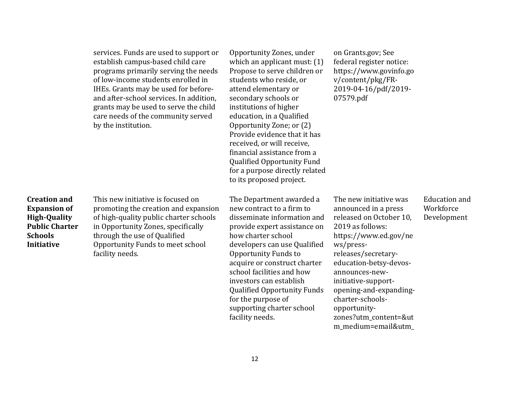|                                                                                                                            | services. Funds are used to support or<br>establish campus-based child care<br>programs primarily serving the needs<br>of low-income students enrolled in<br>IHEs. Grants may be used for before-<br>and after-school services. In addition,<br>grants may be used to serve the child<br>care needs of the community served<br>by the institution. | Opportunity Zones, under<br>which an applicant must: $(1)$<br>Propose to serve children or<br>students who reside, or<br>attend elementary or<br>secondary schools or<br>institutions of higher<br>education, in a Qualified<br>Opportunity Zone; or (2)<br>Provide evidence that it has<br>received, or will receive,<br>financial assistance from a<br>Qualified Opportunity Fund<br>for a purpose directly related<br>to its proposed project. | on Grants.gov; See<br>federal register notice:<br>https://www.govinfo.go<br>v/content/pkg/FR-<br>2019-04-16/pdf/2019-<br>07579.pdf                                                                                                                                                                                                          |                                                  |
|----------------------------------------------------------------------------------------------------------------------------|----------------------------------------------------------------------------------------------------------------------------------------------------------------------------------------------------------------------------------------------------------------------------------------------------------------------------------------------------|---------------------------------------------------------------------------------------------------------------------------------------------------------------------------------------------------------------------------------------------------------------------------------------------------------------------------------------------------------------------------------------------------------------------------------------------------|---------------------------------------------------------------------------------------------------------------------------------------------------------------------------------------------------------------------------------------------------------------------------------------------------------------------------------------------|--------------------------------------------------|
| <b>Creation and</b><br><b>Expansion of</b><br><b>High-Quality</b><br><b>Public Charter</b><br><b>Schools</b><br>Initiative | This new initiative is focused on<br>promoting the creation and expansion<br>of high-quality public charter schools<br>in Opportunity Zones, specifically<br>through the use of Qualified<br>Opportunity Funds to meet school<br>facility needs.                                                                                                   | The Department awarded a<br>new contract to a firm to<br>disseminate information and<br>provide expert assistance on<br>how charter school<br>developers can use Qualified<br><b>Opportunity Funds to</b><br>acquire or construct charter<br>school facilities and how<br>investors can establish<br>Qualified Opportunity Funds<br>for the purpose of<br>supporting charter school<br>facility needs.                                            | The new initiative was<br>announced in a press<br>released on October 10,<br>2019 as follows:<br>https://www.ed.gov/ne<br>ws/press-<br>releases/secretary-<br>education-betsy-devos-<br>announces-new-<br>initiative-support-<br>opening-and-expanding-<br>charter-schools-<br>opportunity-<br>zones?utm_content=&ut<br>m_medium=email&utm_ | <b>Education and</b><br>Workforce<br>Development |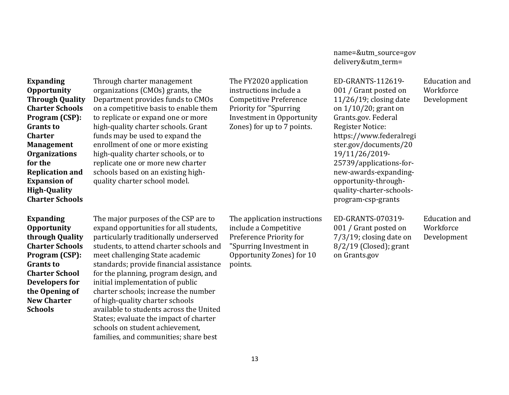**Expanding Opportunity Through Quality Charter Schools Program (CSP): Grants to Charter Management Organizations for the Replication and Expansion of High-Quality Charter Schools** 

Through charter management organizations (CMOs) grants, the Department provides funds to CMOs on a competitive basis to enable them to replicate or expand one or more high-quality charter schools. Grant funds may be used to expand the enrollment of one or more existing high-quality charter schools, or to replicate one or more new charter schools based on an existing highquality charter school model.

**Expanding Opportunity through Quality Charter Schools Program (CSP): Grants to Charter School Developers for the Opening of New Charter Schools** 

The major purposes of the CSP are to expand opportunities for all students, particularly traditionally underserved students, to attend charter schools and meet challenging State academic standards; provide financial assistance for the planning, program design, and initial implementation of public charter schools; increase the number of high-quality charter schools available to students across the United States; evaluate the impact of charter schools on student achievement, families, and communities; share best

The FY2020 application instructions include a Competitive Preference Priority for "Spurring Investment in Opportunity Zones) for up to 7 points.

The application instructions include a Competitive Preference Priority for "Spurring Investment in Opportunity Zones) for 10 points.

[name=&utm\\_source=gov](https://www.ed.gov/news/press-releases/secretary-education-betsy-devos-announces-new-initiative-support-opening-and-expanding-charter-schools-opportunity-zones?utm_content=&utm_medium=email&utm_name=&utm_source=govdelivery&utm_term=) [delivery&utm\\_term=](https://www.ed.gov/news/press-releases/secretary-education-betsy-devos-announces-new-initiative-support-opening-and-expanding-charter-schools-opportunity-zones?utm_content=&utm_medium=email&utm_name=&utm_source=govdelivery&utm_term=)

ED-GRANTS-112619- 001 / Grant posted on 11/26/19; closing date on 1/10/20; grant on Grants.gov. Federal Register Notice: [https://www.federalregi](https://www.federalregister.gov/documents/2019/11/26/2019-25739/applications-for-new-awards-expanding-opportunity-through-quality-charter-schools-program-csp-grants) [ster.gov/documents/20](https://www.federalregister.gov/documents/2019/11/26/2019-25739/applications-for-new-awards-expanding-opportunity-through-quality-charter-schools-program-csp-grants) [19/11/26/2019-](https://www.federalregister.gov/documents/2019/11/26/2019-25739/applications-for-new-awards-expanding-opportunity-through-quality-charter-schools-program-csp-grants) [25739/applications-for](https://www.federalregister.gov/documents/2019/11/26/2019-25739/applications-for-new-awards-expanding-opportunity-through-quality-charter-schools-program-csp-grants)[new-awards-expanding](https://www.federalregister.gov/documents/2019/11/26/2019-25739/applications-for-new-awards-expanding-opportunity-through-quality-charter-schools-program-csp-grants)[opportunity-through](https://www.federalregister.gov/documents/2019/11/26/2019-25739/applications-for-new-awards-expanding-opportunity-through-quality-charter-schools-program-csp-grants)[quality-charter-schools](https://www.federalregister.gov/documents/2019/11/26/2019-25739/applications-for-new-awards-expanding-opportunity-through-quality-charter-schools-program-csp-grants)[program-csp-grants](https://www.federalregister.gov/documents/2019/11/26/2019-25739/applications-for-new-awards-expanding-opportunity-through-quality-charter-schools-program-csp-grants) Education and Workforce Development

ED-GRANTS-070319- 001 / Grant posted on 7/3/19; closing date on 8/2/19 (Closed); grant on Grants.gov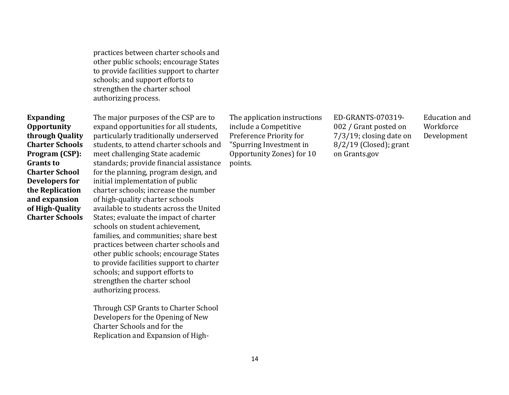practices between charter schools and other public schools; encourage States to provide facilities support to charter schools; and support efforts to strengthen the charter school authorizing process.

**Expanding Opportunity through Quality Charter Schools Program (CSP): Grants to Charter School Developers for the Replication and expansion of High-Quality Charter Schools** 

The major purposes of the CSP are to expand opportunities for all students, particularly traditionally underserved students, to attend charter schools and meet challenging State academic standards; provide financial assistance for the planning, program design, and initial implementation of public charter schools; increase the number of high-quality charter schools available to students across the United States; evaluate the impact of charter schools on student achievement, families, and communities; share best practices between charter schools and other public schools; encourage States to provide facilities support to charter schools; and support efforts to strengthen the charter school authorizing process.

Through CSP Grants to Charter School Developers for the Opening of New Charter Schools and for the Replication and Expansion of High-

The application instructions include a Competitive Preference Priority for "Spurring Investment in Opportunity Zones) for 10 points.

ED-GRANTS-070319- 002 / Grant posted on 7/3/19; closing date on 8/2/19 (Closed); grant on Grants.gov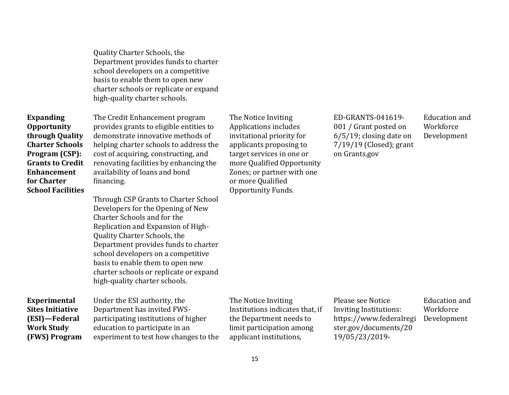Quality Charter Schools, the Department provides funds to charter school developers on a competitive basis to enable them to open new charter schools or replicate or expand high-quality charter schools.

**Expanding Opportunity through Quality Charter Schools Program (CSP): Grants to Credit Enhancement for Charter School Facilities** 

The Credit Enhancement program provides grants to eligible entities to demonstrate innovative methods of helping charter schools to address the cost of acquiring, constructing, and renovating facilities by enhancing the availability of loans and bond financing.

Through CSP Grants to Charter School Developers for the Opening of New Charter Schools and for the Replication and Expansion of High-Quality Charter Schools, the Department provides funds to charter school developers on a competitive basis to enable them to open new charter schools or replicate or expand high-quality charter schools.

**Experimental Sites Initiative (ESI)—Federal Work Study (FWS) Program** 

Under the ESI authority, the Department has invited FWSparticipating institutions of higher education to participate in an experiment to test how changes to the The Notice Inviting Applications includes invitational priority for applicants proposing to target services in one or more Qualified Opportunity Zones; or partner with one or more Qualified Opportunity Funds.

ED-GRANTS-041619- 001 / Grant posted on 6/5/19; closing date on 7/19/19 (Closed); grant on Grants.gov

Education and Workforce Development

The Notice Inviting Institutions indicates that, if the Department needs to limit participation among applicant institutions,

Please see Notice Inviting Institutions: [https://www.federalregi](https://www.federalregister.gov/documents/2019/05/23/2019-10811/notice-inviting-postsecondary-educational-institutions-to-participate-in-experiments-under-the) [ster.gov/documents/20](https://www.federalregister.gov/documents/2019/05/23/2019-10811/notice-inviting-postsecondary-educational-institutions-to-participate-in-experiments-under-the) [19/05/23/2019-](https://www.federalregister.gov/documents/2019/05/23/2019-10811/notice-inviting-postsecondary-educational-institutions-to-participate-in-experiments-under-the)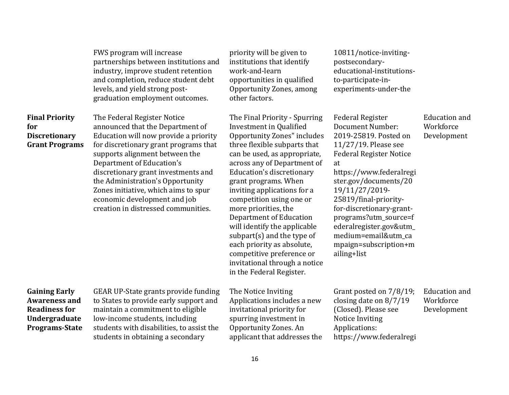|                                                                                                                | FWS program will increase<br>partnerships between institutions and<br>industry, improve student retention<br>and completion, reduce student debt<br>levels, and yield strong post-<br>graduation employment outcomes.                                                                                                                                                                                      | priority will be given to<br>institutions that identify<br>work-and-learn<br>opportunities in qualified<br>Opportunity Zones, among<br>other factors.                                                                                                                                                                                                                                                                                                                                                                                                            | 10811/notice-inviting-<br>postsecondary-<br>educational-institutions-<br>to-participate-in-<br>experiments-under-the                                                                                                                                                                                                                                                                  |                                                  |
|----------------------------------------------------------------------------------------------------------------|------------------------------------------------------------------------------------------------------------------------------------------------------------------------------------------------------------------------------------------------------------------------------------------------------------------------------------------------------------------------------------------------------------|------------------------------------------------------------------------------------------------------------------------------------------------------------------------------------------------------------------------------------------------------------------------------------------------------------------------------------------------------------------------------------------------------------------------------------------------------------------------------------------------------------------------------------------------------------------|---------------------------------------------------------------------------------------------------------------------------------------------------------------------------------------------------------------------------------------------------------------------------------------------------------------------------------------------------------------------------------------|--------------------------------------------------|
| <b>Final Priority</b><br>for<br><b>Discretionary</b><br><b>Grant Programs</b>                                  | The Federal Register Notice<br>announced that the Department of<br>Education will now provide a priority<br>for discretionary grant programs that<br>supports alignment between the<br>Department of Education's<br>discretionary grant investments and<br>the Administration's Opportunity<br>Zones initiative, which aims to spur<br>economic development and job<br>creation in distressed communities. | The Final Priority - Spurring<br><b>Investment in Qualified</b><br><b>Opportunity Zones" includes</b><br>three flexible subparts that<br>can be used, as appropriate,<br>across any of Department of<br>Education's discretionary<br>grant programs. When<br>inviting applications for a<br>competition using one or<br>more priorities, the<br>Department of Education<br>will identify the applicable<br>subpart $(s)$ and the type of<br>each priority as absolute,<br>competitive preference or<br>invitational through a notice<br>in the Federal Register. | <b>Federal Register</b><br>Document Number:<br>2019-25819. Posted on<br>$11/27/19$ . Please see<br><b>Federal Register Notice</b><br>at<br>https://www.federalregi<br>ster.gov/documents/20<br>19/11/27/2019-<br>25819/final-priority-<br>for-discretionary-grant-<br>programs?utm_source=f<br>ederalregister.gov&utm_<br>medium=email&utm ca<br>mpaign=subscription+m<br>ailing+list | <b>Education</b> and<br>Workforce<br>Development |
| <b>Gaining Early</b><br><b>Awareness and</b><br><b>Readiness for</b><br>Undergraduate<br><b>Programs-State</b> | GEAR UP-State grants provide funding<br>to States to provide early support and<br>maintain a commitment to eligible<br>low-income students, including<br>students with disabilities, to assist the<br>students in obtaining a secondary                                                                                                                                                                    | The Notice Inviting<br>Applications includes a new<br>invitational priority for<br>spurring investment in<br>Opportunity Zones. An<br>applicant that addresses the                                                                                                                                                                                                                                                                                                                                                                                               | Grant posted on 7/8/19;<br>closing date on $8/7/19$<br>(Closed). Please see<br>Notice Inviting<br>Applications:<br>https://www.federalregi                                                                                                                                                                                                                                            | <b>Education</b> and<br>Workforce<br>Development |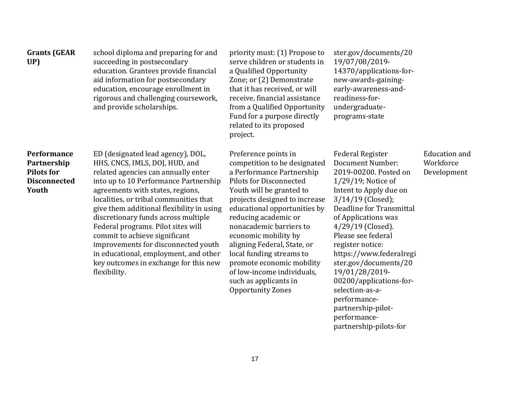| <b>Grants (GEAR</b><br>UP)                                                      | school diploma and preparing for and<br>succeeding in postsecondary<br>education. Grantees provide financial<br>aid information for postsecondary<br>education, encourage enrollment in<br>rigorous and challenging coursework,<br>and provide scholarships.                                                                                                                                                                                                                                                                          | priority must: (1) Propose to<br>serve children or students in<br>a Qualified Opportunity<br>Zone; or (2) Demonstrate<br>that it has received, or will<br>receive, financial assistance<br>from a Qualified Opportunity<br>Fund for a purpose directly<br>related to its proposed<br>project.                                                                                                                                                                          | ster.gov/documents/20<br>19/07/08/2019-<br>14370/applications-for-<br>new-awards-gaining-<br>early-awareness-and-<br>readiness-for-<br>undergraduate-<br>programs-state                                                                                                                                                                                                                              |                                                  |
|---------------------------------------------------------------------------------|---------------------------------------------------------------------------------------------------------------------------------------------------------------------------------------------------------------------------------------------------------------------------------------------------------------------------------------------------------------------------------------------------------------------------------------------------------------------------------------------------------------------------------------|------------------------------------------------------------------------------------------------------------------------------------------------------------------------------------------------------------------------------------------------------------------------------------------------------------------------------------------------------------------------------------------------------------------------------------------------------------------------|------------------------------------------------------------------------------------------------------------------------------------------------------------------------------------------------------------------------------------------------------------------------------------------------------------------------------------------------------------------------------------------------------|--------------------------------------------------|
| Performance<br>Partnership<br><b>Pilots for</b><br><b>Disconnected</b><br>Youth | ED (designated lead agency), DOL,<br>HHS, CNCS, IMLS, DOJ, HUD, and<br>related agencies can annually enter<br>into up to 10 Performance Partnership<br>agreements with states, regions,<br>localities, or tribal communities that<br>give them additional flexibility in using<br>discretionary funds across multiple<br>Federal programs. Pilot sites will<br>commit to achieve significant<br>improvements for disconnected youth<br>in educational, employment, and other<br>key outcomes in exchange for this new<br>flexibility. | Preference points in<br>competition to be designated<br>a Performance Partnership<br><b>Pilots for Disconnected</b><br>Youth will be granted to<br>projects designed to increase<br>educational opportunities by<br>reducing academic or<br>nonacademic barriers to<br>economic mobility by<br>aligning Federal, State, or<br>local funding streams to<br>promote economic mobility<br>of low-income individuals,<br>such as applicants in<br><b>Opportunity Zones</b> | <b>Federal Register</b><br>Document Number:<br>2019-00200. Posted on<br>$1/29/19$ ; Notice of<br>Intent to Apply due on<br>3/14/19 (Closed);<br>Deadline for Transmittal<br>of Applications was<br>$4/29/19$ (Closed).<br>Please see federal<br>register notice:<br>https://www.federalregi<br>ster.gov/documents/20<br>19/01/28/2019-<br>00200/applications-for-<br>selection-as-a-<br>performance- | <b>Education</b> and<br>Workforce<br>Development |

[partnership-pilot](https://www.federalregister.gov/documents/2019/01/28/2019-00200/applications-for-selection-as-a-performance-partnership-pilot-performance-partnership-pilots-for)[performance-](https://www.federalregister.gov/documents/2019/01/28/2019-00200/applications-for-selection-as-a-performance-partnership-pilot-performance-partnership-pilots-for)

[partnership-pilots-for](https://www.federalregister.gov/documents/2019/01/28/2019-00200/applications-for-selection-as-a-performance-partnership-pilot-performance-partnership-pilots-for)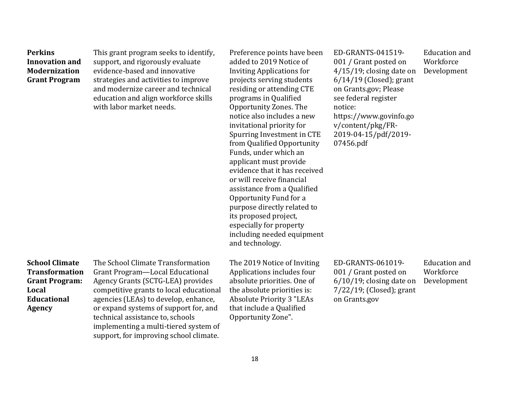| <b>Perkins</b><br><b>Innovation and</b><br><b>Modernization</b><br><b>Grant Program</b>                                 | This grant program seeks to identify,<br>support, and rigorously evaluate<br>evidence-based and innovative<br>strategies and activities to improve<br>and modernize career and technical<br>education and align workforce skills<br>with labor market needs.                                                                                                 | Preference points have been<br>added to 2019 Notice of<br><b>Inviting Applications for</b><br>projects serving students<br>residing or attending CTE<br>programs in Qualified<br>Opportunity Zones. The<br>notice also includes a new<br>invitational priority for<br>Spurring Investment in CTE<br>from Qualified Opportunity<br>Funds, under which an<br>applicant must provide<br>evidence that it has received<br>or will receive financial<br>assistance from a Qualified<br>Opportunity Fund for a<br>purpose directly related to<br>its proposed project,<br>especially for property<br>including needed equipment<br>and technology. | ED-GRANTS-041519-<br>001 / Grant posted on<br>$4/15/19$ ; closing date on<br>$6/14/19$ (Closed); grant<br>on Grants.gov; Please<br>see federal register<br>notice:<br>https://www.govinfo.go<br>v/content/pkg/FR-<br>2019-04-15/pdf/2019-<br>07456.pdf | Education and<br>Workforce<br>Development        |
|-------------------------------------------------------------------------------------------------------------------------|--------------------------------------------------------------------------------------------------------------------------------------------------------------------------------------------------------------------------------------------------------------------------------------------------------------------------------------------------------------|----------------------------------------------------------------------------------------------------------------------------------------------------------------------------------------------------------------------------------------------------------------------------------------------------------------------------------------------------------------------------------------------------------------------------------------------------------------------------------------------------------------------------------------------------------------------------------------------------------------------------------------------|--------------------------------------------------------------------------------------------------------------------------------------------------------------------------------------------------------------------------------------------------------|--------------------------------------------------|
| <b>School Climate</b><br><b>Transformation</b><br><b>Grant Program:</b><br>Local<br><b>Educational</b><br><b>Agency</b> | The School Climate Transformation<br>Grant Program-Local Educational<br>Agency Grants (SCTG-LEA) provides<br>competitive grants to local educational<br>agencies (LEAs) to develop, enhance,<br>or expand systems of support for, and<br>technical assistance to, schools<br>implementing a multi-tiered system of<br>support, for improving school climate. | The 2019 Notice of Inviting<br>Applications includes four<br>absolute priorities. One of<br>the absolute priorities is:<br><b>Absolute Priority 3 "LEAs</b><br>that include a Qualified<br>Opportunity Zone".                                                                                                                                                                                                                                                                                                                                                                                                                                | ED-GRANTS-061019-<br>001 / Grant posted on<br>$6/10/19$ ; closing date on<br>$7/22/19$ ; (Closed); grant<br>on Grants.gov                                                                                                                              | <b>Education</b> and<br>Workforce<br>Development |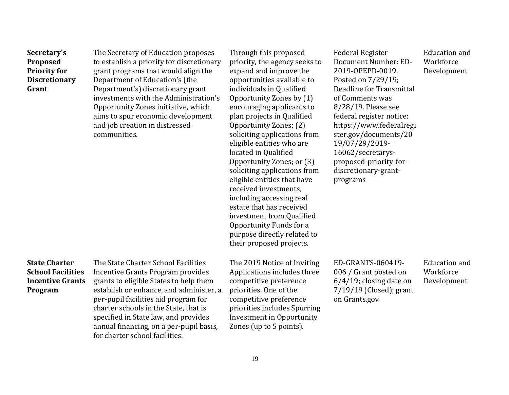| Secretary's<br>Proposed<br><b>Priority for</b><br><b>Discretionary</b><br>Grant        | The Secretary of Education proposes<br>to establish a priority for discretionary<br>grant programs that would align the<br>Department of Education's (the<br>Department's) discretionary grant<br>investments with the Administration's<br>Opportunity Zones initiative, which<br>aims to spur economic development<br>and job creation in distressed<br>communities. | Through this proposed<br>priority, the agency seeks to<br>expand and improve the<br>opportunities available to<br>individuals in Qualified<br>Opportunity Zones by (1)<br>encouraging applicants to<br>plan projects in Qualified<br>Opportunity Zones; (2)<br>soliciting applications from<br>eligible entities who are<br>located in Qualified<br>Opportunity Zones; or (3)<br>soliciting applications from<br>eligible entities that have<br>received investments,<br>including accessing real<br>estate that has received<br>investment from Qualified<br>Opportunity Funds for a<br>purpose directly related to<br>their proposed projects. | <b>Federal Register</b><br>Document Number: ED-<br>2019-OPEPD-0019.<br>Posted on 7/29/19;<br>Deadline for Transmittal<br>of Comments was<br>8/28/19. Please see<br>federal register notice:<br>https://www.federalregi<br>ster.gov/documents/20<br>19/07/29/2019-<br>16062/secretarys-<br>proposed-priority-for-<br>discretionary-grant-<br>programs | <b>Education</b> and<br>Workforce<br>Development |
|----------------------------------------------------------------------------------------|-----------------------------------------------------------------------------------------------------------------------------------------------------------------------------------------------------------------------------------------------------------------------------------------------------------------------------------------------------------------------|--------------------------------------------------------------------------------------------------------------------------------------------------------------------------------------------------------------------------------------------------------------------------------------------------------------------------------------------------------------------------------------------------------------------------------------------------------------------------------------------------------------------------------------------------------------------------------------------------------------------------------------------------|------------------------------------------------------------------------------------------------------------------------------------------------------------------------------------------------------------------------------------------------------------------------------------------------------------------------------------------------------|--------------------------------------------------|
| <b>State Charter</b><br><b>School Facilities</b><br><b>Incentive Grants</b><br>Program | The State Charter School Facilities<br>Incentive Grants Program provides<br>grants to eligible States to help them<br>establish or enhance, and administer, a<br>per-pupil facilities aid program for<br>charter schools in the State, that is<br>specified in State law, and provides<br>annual financing, on a per-pupil basis,<br>for charter school facilities.   | The 2019 Notice of Inviting<br>Applications includes three<br>competitive preference<br>priorities. One of the<br>competitive preference<br>priorities includes Spurring<br><b>Investment in Opportunity</b><br>Zones (up to 5 points).                                                                                                                                                                                                                                                                                                                                                                                                          | ED-GRANTS-060419-<br>006 / Grant posted on<br>$6/4/19$ ; closing date on<br>7/19/19 (Closed); grant<br>on Grants.gov                                                                                                                                                                                                                                 | <b>Education</b> and<br>Workforce<br>Development |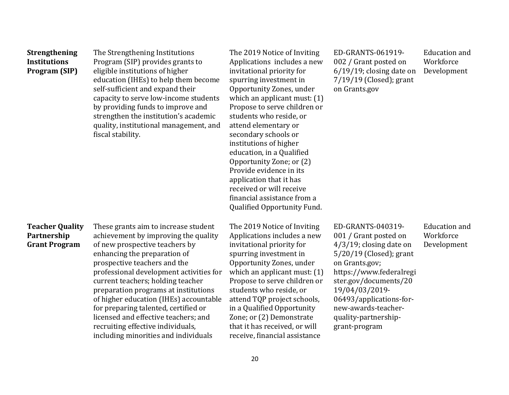| <b>Strengthening</b><br><b>Institutions</b><br>Program (SIP)  | The Strengthening Institutions<br>Program (SIP) provides grants to<br>eligible institutions of higher<br>education (IHEs) to help them become<br>self-sufficient and expand their<br>capacity to serve low-income students<br>by providing funds to improve and<br>strengthen the institution's academic<br>quality, institutional management, and<br>fiscal stability.                                                                                                                                       | The 2019 Notice of Inviting<br>Applications includes a new<br>invitational priority for<br>spurring investment in<br>Opportunity Zones, under<br>which an applicant must: (1)<br>Propose to serve children or<br>students who reside, or<br>attend elementary or<br>secondary schools or<br>institutions of higher<br>education, in a Qualified<br>Opportunity Zone; or (2)<br>Provide evidence in its<br>application that it has<br>received or will receive<br>financial assistance from a<br>Qualified Opportunity Fund. | ED-GRANTS-061919-<br>002 / Grant posted on<br>$6/19/19$ ; closing date on<br>$7/19/19$ (Closed); grant<br>on Grants.gov                                                                                                                                                                  | <b>Education</b> and<br>Workforce<br>Development |
|---------------------------------------------------------------|---------------------------------------------------------------------------------------------------------------------------------------------------------------------------------------------------------------------------------------------------------------------------------------------------------------------------------------------------------------------------------------------------------------------------------------------------------------------------------------------------------------|-----------------------------------------------------------------------------------------------------------------------------------------------------------------------------------------------------------------------------------------------------------------------------------------------------------------------------------------------------------------------------------------------------------------------------------------------------------------------------------------------------------------------------|------------------------------------------------------------------------------------------------------------------------------------------------------------------------------------------------------------------------------------------------------------------------------------------|--------------------------------------------------|
| <b>Teacher Quality</b><br>Partnership<br><b>Grant Program</b> | These grants aim to increase student<br>achievement by improving the quality<br>of new prospective teachers by<br>enhancing the preparation of<br>prospective teachers and the<br>professional development activities for<br>current teachers; holding teacher<br>preparation programs at institutions<br>of higher education (IHEs) accountable<br>for preparing talented, certified or<br>licensed and effective teachers; and<br>recruiting effective individuals,<br>including minorities and individuals | The 2019 Notice of Inviting<br>Applications includes a new<br>invitational priority for<br>spurring investment in<br>Opportunity Zones, under<br>which an applicant must: (1)<br>Propose to serve children or<br>students who reside, or<br>attend TQP project schools,<br>in a Qualified Opportunity<br>Zone; or (2) Demonstrate<br>that it has received, or will<br>receive, financial assistance                                                                                                                         | ED-GRANTS-040319-<br>001 / Grant posted on<br>$4/3/19$ ; closing date on<br>$5/20/19$ (Closed); grant<br>on Grants.gov;<br>https://www.federalregi<br>ster.gov/documents/20<br>19/04/03/2019-<br>06493/applications-for-<br>new-awards-teacher-<br>quality-partnership-<br>grant-program | <b>Education</b> and<br>Workforce<br>Development |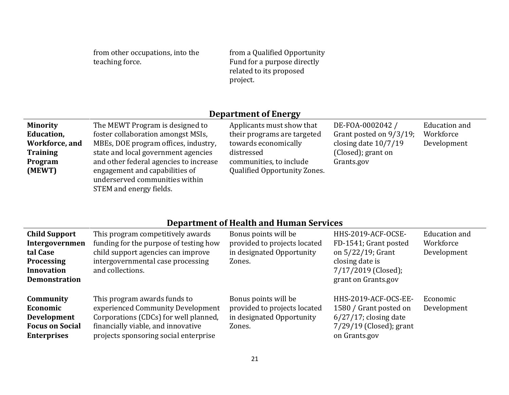from other occupations, into the teaching force.

from a Qualified Opportunity Fund for a purpose directly related to its proposed project.

## **Department of Energy**

| <b>Minority</b> | The MEWT Program is designed to                                  | Applicants must show that           | DE-FOA-0002042 /        | Education and |
|-----------------|------------------------------------------------------------------|-------------------------------------|-------------------------|---------------|
| Education,      | foster collaboration amongst MSIs,                               | their programs are targeted         | Grant posted on 9/3/19; | Workforce     |
| Workforce, and  | MBEs, DOE program offices, industry,                             | towards economically                | closing date $10/7/19$  | Development   |
| <b>Training</b> | state and local government agencies                              | distressed                          | (Closed); grant on      |               |
| Program         | and other federal agencies to increase                           | communities, to include             | Grants.gov              |               |
| (MEWT)          | engagement and capabilities of<br>underserved communities within | <b>Qualified Opportunity Zones.</b> |                         |               |
|                 | STEM and energy fields.                                          |                                     |                         |               |

# **Department of Health and Human Services**

| <b>Child Support</b><br>Intergovernmen<br>tal Case<br><b>Processing</b><br><b>Innovation</b><br><b>Demonstration</b> | This program competitively awards<br>funding for the purpose of testing how<br>child support agencies can improve<br>intergovernmental case processing<br>and collections.                | Bonus points will be<br>provided to projects located<br>in designated Opportunity<br>Zones. | HHS-2019-ACF-OCSE-<br>FD-1541; Grant posted<br>on $5/22/19$ ; Grant<br>closing date is<br>$7/17/2019$ (Closed);<br>grant on Grants.gov | Education and<br>Workforce<br>Development |
|----------------------------------------------------------------------------------------------------------------------|-------------------------------------------------------------------------------------------------------------------------------------------------------------------------------------------|---------------------------------------------------------------------------------------------|----------------------------------------------------------------------------------------------------------------------------------------|-------------------------------------------|
| Community<br>Economic<br><b>Development</b><br><b>Focus on Social</b><br><b>Enterprises</b>                          | This program awards funds to<br>experienced Community Development<br>Corporations (CDCs) for well planned,<br>financially viable, and innovative<br>projects sponsoring social enterprise | Bonus points will be<br>provided to projects located<br>in designated Opportunity<br>Zones. | HHS-2019-ACF-OCS-EE-<br>1580 / Grant posted on<br>$6/27/17$ ; closing date<br>$7/29/19$ (Closed); grant<br>on Grants.gov               | Economic<br>Development                   |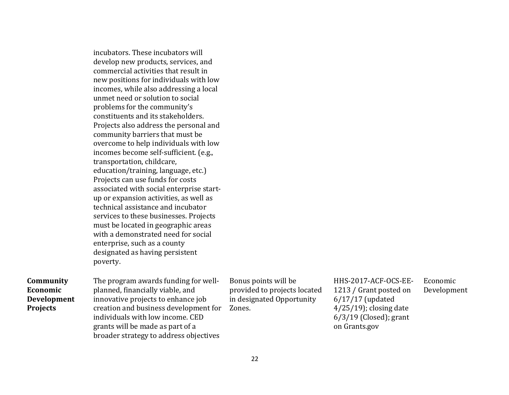|                                                         | incubators. These incubators will<br>develop new products, services, and<br>commercial activities that result in<br>new positions for individuals with low<br>incomes, while also addressing a local<br>unmet need or solution to social<br>problems for the community's<br>constituents and its stakeholders.<br>Projects also address the personal and<br>community barriers that must be<br>overcome to help individuals with low<br>incomes become self-sufficient. (e.g.,<br>transportation, childcare,<br>education/training, language, etc.)<br>Projects can use funds for costs<br>associated with social enterprise start-<br>up or expansion activities, as well as<br>technical assistance and incubator<br>services to these businesses. Projects<br>must be located in geographic areas<br>with a demonstrated need for social<br>enterprise, such as a county<br>designated as having persistent<br>poverty. |                                                                                             |                                                                                                                                               |                         |
|---------------------------------------------------------|----------------------------------------------------------------------------------------------------------------------------------------------------------------------------------------------------------------------------------------------------------------------------------------------------------------------------------------------------------------------------------------------------------------------------------------------------------------------------------------------------------------------------------------------------------------------------------------------------------------------------------------------------------------------------------------------------------------------------------------------------------------------------------------------------------------------------------------------------------------------------------------------------------------------------|---------------------------------------------------------------------------------------------|-----------------------------------------------------------------------------------------------------------------------------------------------|-------------------------|
| Community<br>Economic<br><b>Development</b><br>Projects | The program awards funding for well-<br>planned, financially viable, and<br>innovative projects to enhance job<br>creation and business development for<br>individuals with low income. CED<br>grants will be made as part of a<br>broader strategy to address objectives                                                                                                                                                                                                                                                                                                                                                                                                                                                                                                                                                                                                                                                  | Bonus points will be<br>provided to projects located<br>in designated Opportunity<br>Zones. | HHS-2017-ACF-OCS-EE-<br>1213 / Grant posted on<br>$6/17/17$ (updated<br>$4/25/19$ ; closing date<br>$6/3/19$ (Closed); grant<br>on Grants.gov | Economic<br>Development |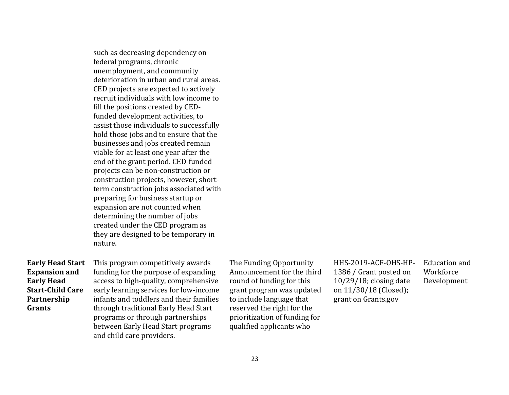such as decreasing dependency on federal programs, chronic unemployment, and community deterioration in urban and rural areas. CED projects are expected to actively recruit individuals with low income to fill the positions created by CEDfunded development activities, to assist those individuals to successfully hold those jobs and to ensure that the businesses and jobs created remain viable for at least one year after the end of the grant period. CED-funded projects can be non-construction or construction projects, however, shortterm construction jobs associated with preparing for business startup or expansion are not counted when determining the number of jobs created under the CED program as they are designed to be temporary in nature.

#### **Early Head Start Expansion and Early Head Start-Child Care Partnership Grants**

This program competitively awards funding for the purpose of expanding access to high-quality, comprehensive early learning services for low-income infants and toddlers and their families through traditional Early Head Start programs or through partnerships between Early Head Start programs and child care providers.

The Funding Opportunity Announcement for the third round of funding for this grant program was updated to include language that reserved the right for the prioritization of funding for qualified applicants who

HHS-2019-ACF-OHS-HP-1386 / Grant posted on 10/29/18; closing date on 11/30/18 (Closed); grant on Grants.gov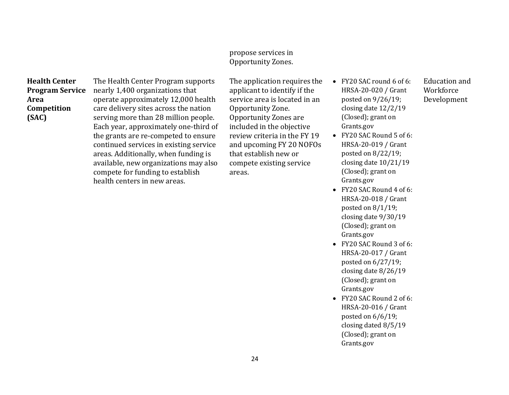#### propose services in Opportunity Zones.

#### **Health Center Program Service Area Competition (SAC)**

The Health Center Program supports nearly 1,400 organizations that operate approximately 12,000 health care delivery sites across the nation serving more than 28 million people. Each year, approximately one-third of the grants are re-competed to ensure continued services in existing service areas. Additionally, when funding is available, new organizations may also compete for funding to establish health centers in new areas.

The application requires the applicant to identify if the service area is located in an Opportunity Zone. Opportunity Zones are included in the objective review criteria in the FY 19 and upcoming FY 20 NOFOs that establish new or compete existing service areas.

- FY20 SAC round 6 of 6: HRSA-20-020 / Grant posted on 9/26/19; closing date 12/2/19 (Closed); grant on Grants.gov
- $\bullet$  FY20 SAC Round 5 of 6: HRSA-20-019 / Grant posted on 8/22/19; closing date 10/21/19 (Closed); grant on Grants.gov
- FY20 SAC Round 4 of 6: HRSA-20-018 / Grant posted on 8/1/19; closing date 9/30/19 (Closed); grant on Grants.gov
- FY20 SAC Round 3 of 6: HRSA-20-017 / Grant posted on 6/27/19; closing date 8/26/19 (Closed); grant on Grants.gov
- FY20 SAC Round 2 of 6: HRSA-20-016 / Grant posted on 6/6/19; closing dated 8/5/19 (Closed); grant on Grants.gov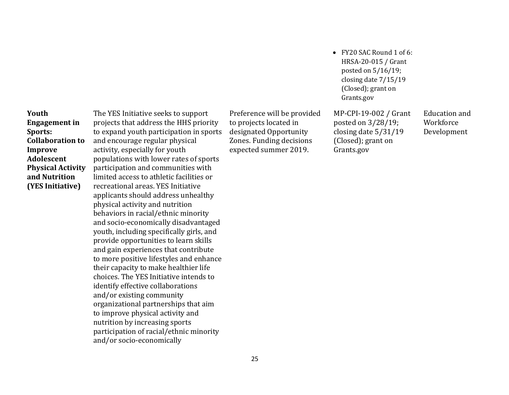**Youth Engagement in Sports: Collaboration to Improve Adolescent Physical Activity and Nutrition (YES Initiative)** 

The YES Initiative seeks to support projects that address the HHS priority to expand youth participation in sports and encourage regular physical activity, especially for youth populations with lower rates of sports participation and communities with limited access to athletic facilities or recreational areas. YES Initiative applicants should address unhealthy physical activity and nutrition behaviors in racial/ethnic minority and socio-economically disadvantaged youth, including specifically girls, and provide opportunities to learn skills and gain experiences that contribute to more positive lifestyles and enhance their capacity to make healthier life choices. The YES Initiative intends to identify effective collaborations and/or existing community organizational partnerships that aim to improve physical activity and nutrition by increasing sports participation of racial/ethnic minority and/or socio-economically

Preference will be provided to projects located in designated Opportunity Zones. Funding decisions expected summer 2019.

MP-CPI-19-002 / Grant posted on 3/28/19; closing date 5/31/19 (Closed); grant on Grants.gov

Grants.gov

 FY20 SAC Round 1 of 6: HRSA-20-015 / Grant posted on 5/16/19; closing date 7/15/19 (Closed); grant on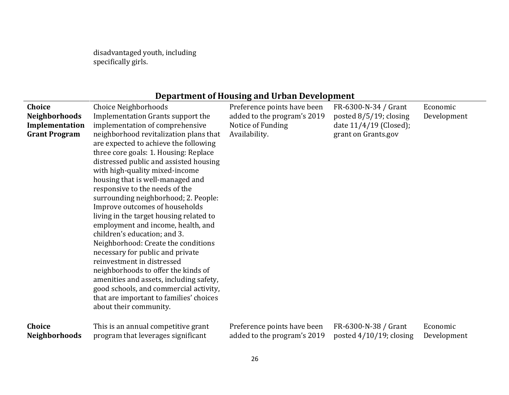disadvantaged youth, including specifically girls.

# **Department of Housing and Urban Development**

| Choice<br><b>Neighborhoods</b><br>Implementation<br><b>Grant Program</b> | Choice Neighborhoods<br>Implementation Grants support the<br>implementation of comprehensive<br>neighborhood revitalization plans that<br>are expected to achieve the following<br>three core goals: 1. Housing: Replace<br>distressed public and assisted housing<br>with high-quality mixed-income<br>housing that is well-managed and<br>responsive to the needs of the<br>surrounding neighborhood; 2. People:<br>Improve outcomes of households<br>living in the target housing related to<br>employment and income, health, and<br>children's education; and 3.<br>Neighborhood: Create the conditions<br>necessary for public and private<br>reinvestment in distressed<br>neighborhoods to offer the kinds of<br>amenities and assets, including safety,<br>good schools, and commercial activity,<br>that are important to families' choices<br>about their community. | Preference points have been<br>added to the program's 2019<br>Notice of Funding<br>Availability. | FR-6300-N-34 / Grant<br>posted $8/5/19$ ; closing<br>date 11/4/19 (Closed);<br>grant on Grants.gov | Economic<br>Development |
|--------------------------------------------------------------------------|---------------------------------------------------------------------------------------------------------------------------------------------------------------------------------------------------------------------------------------------------------------------------------------------------------------------------------------------------------------------------------------------------------------------------------------------------------------------------------------------------------------------------------------------------------------------------------------------------------------------------------------------------------------------------------------------------------------------------------------------------------------------------------------------------------------------------------------------------------------------------------|--------------------------------------------------------------------------------------------------|----------------------------------------------------------------------------------------------------|-------------------------|
| Choice                                                                   | This is an annual competitive grant                                                                                                                                                                                                                                                                                                                                                                                                                                                                                                                                                                                                                                                                                                                                                                                                                                             | Preference points have been                                                                      | FR-6300-N-38 / Grant                                                                               | Economic                |
| <b>Neighborhoods</b>                                                     | program that leverages significant                                                                                                                                                                                                                                                                                                                                                                                                                                                                                                                                                                                                                                                                                                                                                                                                                                              | added to the program's 2019                                                                      | posted $4/10/19$ ; closing                                                                         | Development             |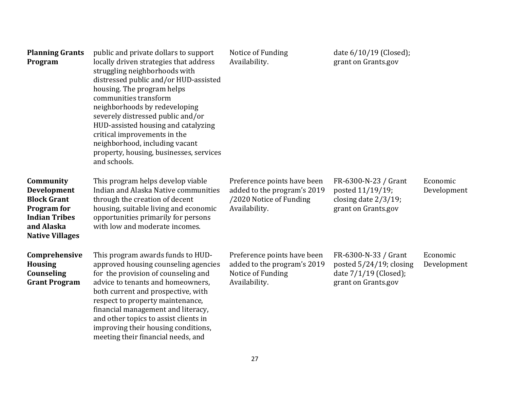| <b>Planning Grants</b><br>Program                                                                                                           | public and private dollars to support<br>locally driven strategies that address<br>struggling neighborhoods with<br>distressed public and/or HUD-assisted<br>housing. The program helps<br>communities transform<br>neighborhoods by redeveloping<br>severely distressed public and/or<br>HUD-assisted housing and catalyzing<br>critical improvements in the<br>neighborhood, including vacant<br>property, housing, businesses, services<br>and schools. | Notice of Funding<br>Availability.                                                                     | date 6/10/19 (Closed);<br>grant on Grants.gov                                                   |                         |
|---------------------------------------------------------------------------------------------------------------------------------------------|------------------------------------------------------------------------------------------------------------------------------------------------------------------------------------------------------------------------------------------------------------------------------------------------------------------------------------------------------------------------------------------------------------------------------------------------------------|--------------------------------------------------------------------------------------------------------|-------------------------------------------------------------------------------------------------|-------------------------|
| Community<br><b>Development</b><br><b>Block Grant</b><br><b>Program</b> for<br><b>Indian Tribes</b><br>and Alaska<br><b>Native Villages</b> | This program helps develop viable<br>Indian and Alaska Native communities<br>through the creation of decent<br>housing, suitable living and economic<br>opportunities primarily for persons<br>with low and moderate incomes.                                                                                                                                                                                                                              | Preference points have been<br>added to the program's 2019<br>/2020 Notice of Funding<br>Availability. | FR-6300-N-23 / Grant<br>posted 11/19/19;<br>closing date $2/3/19$ ;<br>grant on Grants.gov      | Economic<br>Development |
| Comprehensive<br><b>Housing</b><br>Counseling<br><b>Grant Program</b>                                                                       | This program awards funds to HUD-<br>approved housing counseling agencies<br>for the provision of counseling and<br>advice to tenants and homeowners,<br>both current and prospective, with<br>respect to property maintenance,<br>financial management and literacy,<br>and other topics to assist clients in<br>improving their housing conditions,<br>meeting their financial needs, and                                                                | Preference points have been<br>added to the program's 2019<br>Notice of Funding<br>Availability.       | FR-6300-N-33 / Grant<br>posted 5/24/19; closing<br>date 7/1/19 (Closed);<br>grant on Grants.gov | Economic<br>Development |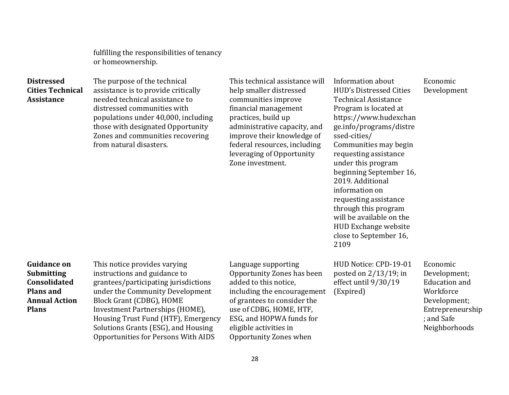fulfilling the responsibilities of tenancy or homeownership.

| <b>Distressed</b><br><b>Cities Technical</b><br><b>Assistance</b>                                                          | The purpose of the technical<br>assistance is to provide critically<br>needed technical assistance to<br>distressed communities with<br>populations under 40,000, including<br>those with designated Opportunity<br>Zones and communities recovering<br>from natural disasters.                                             | This technical assistance will<br>help smaller distressed<br>communities improve<br>financial management<br>practices, build up<br>administrative capacity, and<br>improve their knowledge of<br>federal resources, including<br>leveraging of Opportunity<br>Zone investment. | Information about<br><b>HUD's Distressed Cities</b><br><b>Technical Assistance</b><br>Program is located at<br>https://www.hudexchan<br>ge.info/programs/distre<br>ssed-cities/<br>Communities may begin<br>requesting assistance<br>under this program<br>beginning September 16,<br>2019. Additional<br>information on<br>requesting assistance<br>through this program<br>will be available on the<br><b>HUD Exchange website</b><br>close to September 16,<br>2109 | Economic<br>Development                                                                                                          |
|----------------------------------------------------------------------------------------------------------------------------|-----------------------------------------------------------------------------------------------------------------------------------------------------------------------------------------------------------------------------------------------------------------------------------------------------------------------------|--------------------------------------------------------------------------------------------------------------------------------------------------------------------------------------------------------------------------------------------------------------------------------|------------------------------------------------------------------------------------------------------------------------------------------------------------------------------------------------------------------------------------------------------------------------------------------------------------------------------------------------------------------------------------------------------------------------------------------------------------------------|----------------------------------------------------------------------------------------------------------------------------------|
| <b>Guidance on</b><br><b>Submitting</b><br><b>Consolidated</b><br><b>Plans and</b><br><b>Annual Action</b><br><b>Plans</b> | This notice provides varying<br>instructions and guidance to<br>grantees/participating jurisdictions<br>under the Community Development<br>Block Grant (CDBG), HOME<br>Investment Partnerships (HOME),<br>Housing Trust Fund (HTF), Emergency<br>Solutions Grants (ESG), and Housing<br>Opportunities for Persons With AIDS | Language supporting<br>Opportunity Zones has been<br>added to this notice,<br>including the encouragement<br>of grantees to consider the<br>use of CDBG, HOME, HTF,<br>ESG, and HOPWA funds for<br>eligible activities in<br>Opportunity Zones when                            | HUD Notice: CPD-19-01<br>posted on $2/13/19$ ; in<br>effect until 9/30/19<br>(Expired)                                                                                                                                                                                                                                                                                                                                                                                 | Economic<br>Development;<br><b>Education</b> and<br>Workforce<br>Development;<br>Entrepreneurship<br>; and Safe<br>Neighborhoods |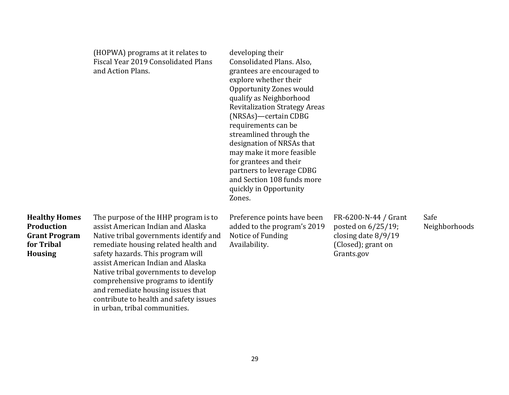|                                                                                            | (HOPWA) programs at it relates to<br>Fiscal Year 2019 Consolidated Plans<br>and Action Plans.                                                                                                                                                                                                                                                                                                                                       | developing their<br>Consolidated Plans. Also,<br>grantees are encouraged to<br>explore whether their<br><b>Opportunity Zones would</b><br>qualify as Neighborhood<br><b>Revitalization Strategy Areas</b><br>(NRSAs)-certain CDBG<br>requirements can be<br>streamlined through the<br>designation of NRSAs that<br>may make it more feasible<br>for grantees and their<br>partners to leverage CDBG<br>and Section 108 funds more<br>quickly in Opportunity<br>Zones. |                                                                                                            |                       |
|--------------------------------------------------------------------------------------------|-------------------------------------------------------------------------------------------------------------------------------------------------------------------------------------------------------------------------------------------------------------------------------------------------------------------------------------------------------------------------------------------------------------------------------------|------------------------------------------------------------------------------------------------------------------------------------------------------------------------------------------------------------------------------------------------------------------------------------------------------------------------------------------------------------------------------------------------------------------------------------------------------------------------|------------------------------------------------------------------------------------------------------------|-----------------------|
| <b>Healthy Homes</b><br>Production<br><b>Grant Program</b><br>for Tribal<br><b>Housing</b> | The purpose of the HHP program is to<br>assist American Indian and Alaska<br>Native tribal governments identify and<br>remediate housing related health and<br>safety hazards. This program will<br>assist American Indian and Alaska<br>Native tribal governments to develop<br>comprehensive programs to identify<br>and remediate housing issues that<br>contribute to health and safety issues<br>in urban, tribal communities. | Preference points have been<br>added to the program's 2019<br>Notice of Funding<br>Availability.                                                                                                                                                                                                                                                                                                                                                                       | FR-6200-N-44 / Grant<br>posted on $6/25/19$ ;<br>closing date $8/9/19$<br>(Closed); grant on<br>Grants.gov | Safe<br>Neighborhoods |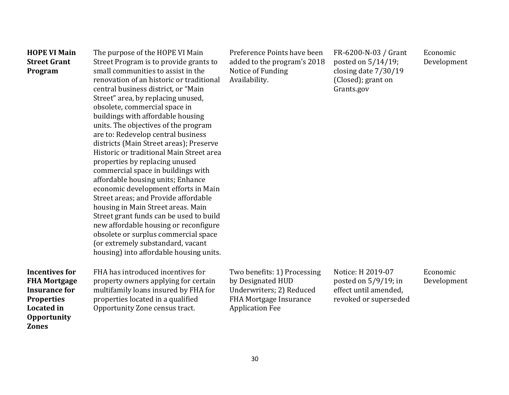| <b>HOPE VI Main</b><br><b>Street Grant</b><br>Program                                                                                                | The purpose of the HOPE VI Main<br>Street Program is to provide grants to<br>small communities to assist in the<br>renovation of an historic or traditional<br>central business district, or "Main<br>Street" area, by replacing unused,<br>obsolete, commercial space in<br>buildings with affordable housing<br>units. The objectives of the program<br>are to: Redevelop central business<br>districts (Main Street areas); Preserve<br>Historic or traditional Main Street area<br>properties by replacing unused<br>commercial space in buildings with<br>affordable housing units; Enhance<br>economic development efforts in Main<br>Street areas; and Provide affordable<br>housing in Main Street areas. Main<br>Street grant funds can be used to build<br>new affordable housing or reconfigure<br>obsolete or surplus commercial space<br>(or extremely substandard, vacant<br>housing) into affordable housing units. | Preference Points have been<br>added to the program's 2018<br>Notice of Funding<br>Availability.                                        | FR-6200-N-03 / Grant<br>posted on $5/14/19$ ;<br>closing date 7/30/19<br>(Closed); grant on<br>Grants.gov | Economic<br>Development |
|------------------------------------------------------------------------------------------------------------------------------------------------------|------------------------------------------------------------------------------------------------------------------------------------------------------------------------------------------------------------------------------------------------------------------------------------------------------------------------------------------------------------------------------------------------------------------------------------------------------------------------------------------------------------------------------------------------------------------------------------------------------------------------------------------------------------------------------------------------------------------------------------------------------------------------------------------------------------------------------------------------------------------------------------------------------------------------------------|-----------------------------------------------------------------------------------------------------------------------------------------|-----------------------------------------------------------------------------------------------------------|-------------------------|
| <b>Incentives for</b><br><b>FHA Mortgage</b><br><b>Insurance for</b><br><b>Properties</b><br><b>Located</b> in<br><b>Opportunity</b><br><b>Zones</b> | FHA has introduced incentives for<br>property owners applying for certain<br>multifamily loans insured by FHA for<br>properties located in a qualified<br>Opportunity Zone census tract.                                                                                                                                                                                                                                                                                                                                                                                                                                                                                                                                                                                                                                                                                                                                           | Two benefits: 1) Processing<br>by Designated HUD<br>Underwriters; 2) Reduced<br><b>FHA Mortgage Insurance</b><br><b>Application Fee</b> | Notice: H 2019-07<br>posted on $5/9/19$ ; in<br>effect until amended,<br>revoked or superseded            | Economic<br>Development |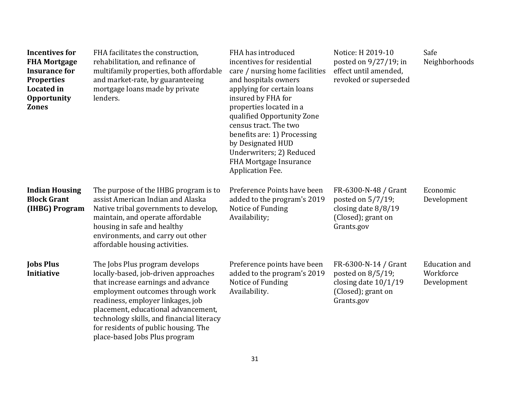| <b>Incentives for</b><br><b>FHA Mortgage</b><br><b>Insurance for</b><br><b>Properties</b><br><b>Located</b> in<br><b>Opportunity</b><br><b>Zones</b> | FHA facilitates the construction,<br>rehabilitation, and refinance of<br>multifamily properties, both affordable<br>and market-rate, by guaranteeing<br>mortgage loans made by private<br>lenders.                                                                                                                                                 | FHA has introduced<br>incentives for residential<br>care / nursing home facilities<br>and hospitals owners<br>applying for certain loans<br>insured by FHA for<br>properties located in a<br>qualified Opportunity Zone<br>census tract. The two<br>benefits are: 1) Processing<br>by Designated HUD<br>Underwriters; 2) Reduced<br>FHA Mortgage Insurance<br>Application Fee. | Notice: H 2019-10<br>posted on $9/27/19$ ; in<br>effect until amended,<br>revoked or superseded         | Safe<br>Neighborhoods                            |
|------------------------------------------------------------------------------------------------------------------------------------------------------|----------------------------------------------------------------------------------------------------------------------------------------------------------------------------------------------------------------------------------------------------------------------------------------------------------------------------------------------------|--------------------------------------------------------------------------------------------------------------------------------------------------------------------------------------------------------------------------------------------------------------------------------------------------------------------------------------------------------------------------------|---------------------------------------------------------------------------------------------------------|--------------------------------------------------|
| <b>Indian Housing</b><br><b>Block Grant</b><br>(IHBG) Program                                                                                        | The purpose of the IHBG program is to<br>assist American Indian and Alaska<br>Native tribal governments to develop,<br>maintain, and operate affordable<br>housing in safe and healthy<br>environments, and carry out other<br>affordable housing activities.                                                                                      | Preference Points have been<br>added to the program's 2019<br>Notice of Funding<br>Availability;                                                                                                                                                                                                                                                                               | FR-6300-N-48 / Grant<br>posted on 5/7/19;<br>closing date $8/8/19$<br>(Closed); grant on<br>Grants.gov  | Economic<br>Development                          |
| <b>Jobs Plus</b><br>Initiative                                                                                                                       | The Jobs Plus program develops<br>locally-based, job-driven approaches<br>that increase earnings and advance<br>employment outcomes through work<br>readiness, employer linkages, job<br>placement, educational advancement,<br>technology skills, and financial literacy<br>for residents of public housing. The<br>place-based Jobs Plus program | Preference points have been<br>added to the program's 2019<br>Notice of Funding<br>Availability.                                                                                                                                                                                                                                                                               | FR-6300-N-14 / Grant<br>posted on 8/5/19;<br>closing date $10/1/19$<br>(Closed); grant on<br>Grants.gov | <b>Education</b> and<br>Workforce<br>Development |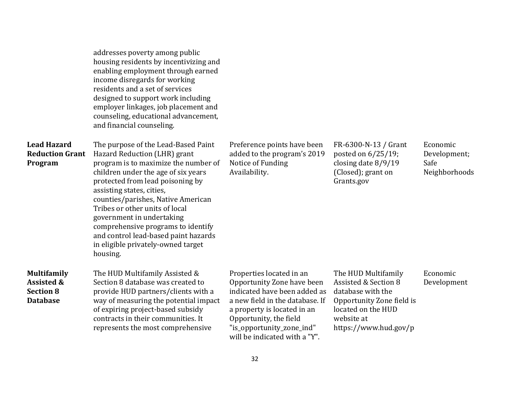|                                                                                    | addresses poverty among public<br>housing residents by incentivizing and<br>enabling employment through earned<br>income disregards for working<br>residents and a set of services<br>designed to support work including<br>employer linkages, job placement and<br>counseling, educational advancement,<br>and financial counseling.                                                                                                                    |                                                                                                                                                                                                                                                  |                                                                                                                                                            |                                                   |
|------------------------------------------------------------------------------------|----------------------------------------------------------------------------------------------------------------------------------------------------------------------------------------------------------------------------------------------------------------------------------------------------------------------------------------------------------------------------------------------------------------------------------------------------------|--------------------------------------------------------------------------------------------------------------------------------------------------------------------------------------------------------------------------------------------------|------------------------------------------------------------------------------------------------------------------------------------------------------------|---------------------------------------------------|
| <b>Lead Hazard</b><br><b>Reduction Grant</b><br>Program                            | The purpose of the Lead-Based Paint<br>Hazard Reduction (LHR) grant<br>program is to maximize the number of<br>children under the age of six years<br>protected from lead poisoning by<br>assisting states, cities,<br>counties/parishes, Native American<br>Tribes or other units of local<br>government in undertaking<br>comprehensive programs to identify<br>and control lead-based paint hazards<br>in eligible privately-owned target<br>housing. | Preference points have been<br>added to the program's 2019<br>Notice of Funding<br>Availability.                                                                                                                                                 | FR-6300-N-13 / Grant<br>posted on 6/25/19;<br>closing date 8/9/19<br>(Closed); grant on<br>Grants.gov                                                      | Economic<br>Development;<br>Safe<br>Neighborhoods |
| <b>Multifamily</b><br><b>Assisted &amp;</b><br><b>Section 8</b><br><b>Database</b> | The HUD Multifamily Assisted &<br>Section 8 database was created to<br>provide HUD partners/clients with a<br>way of measuring the potential impact<br>of expiring project-based subsidy<br>contracts in their communities. It<br>represents the most comprehensive                                                                                                                                                                                      | Properties located in an<br>Opportunity Zone have been<br>indicated have been added as<br>a new field in the database. If<br>a property is located in an<br>Opportunity, the field<br>"is_opportunity_zone_ind"<br>will be indicated with a "Y". | The HUD Multifamily<br>Assisted & Section 8<br>database with the<br>Opportunity Zone field is<br>located on the HUD<br>website at<br>https://www.hud.gov/p | Economic<br>Development                           |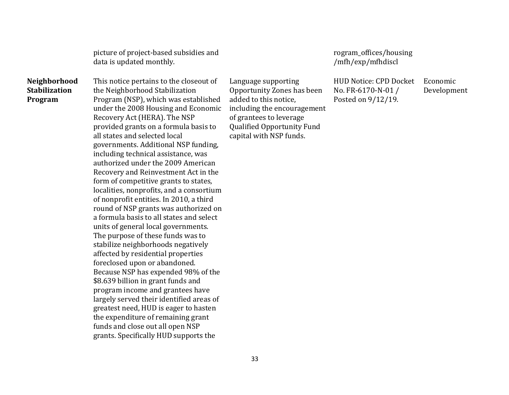picture of project-based subsidies and data is updated monthly.

**Neighborhood Stabilization Program** 

This notice pertains to the closeout of the Neighborhood Stabilization Program (NSP), which was established under the 2008 Housing and Economic Recovery Act (HERA). The NSP provided grants on a formula basis to all states and selected local governments. Additional NSP funding, including technical assistance, was authorized under the 2009 American Recovery and Reinvestment Act in the form of competitive grants to states, localities, nonprofits, and a consortium of nonprofit entities. In 2010, a third round of NSP grants was authorized on a formula basis to all states and select units of general local governments. The purpose of these funds was to stabilize neighborhoods negatively affected by residential properties foreclosed upon or abandoned. Because NSP has expended 98% of the \$8.639 billion in grant funds and program income and grantees have largely served their identified areas of greatest need, HUD is eager to hasten the expenditure of remaining grant funds and close out all open NSP grants. Specifically HUD supports the

Language supporting Opportunity Zones has been added to this notice, including the encouragement of grantees to leverage Qualified Opportunity Fund capital with NSP funds.

[rogram\\_offices/housing](https://www.hud.gov/program_offices/housing/mfh/exp/mfhdiscl) [/mfh/exp/mfhdiscl](https://www.hud.gov/program_offices/housing/mfh/exp/mfhdiscl)

HUD Notice: CPD Docket No. FR-6170-N-01 / Posted on 9/12/19.

Economic Development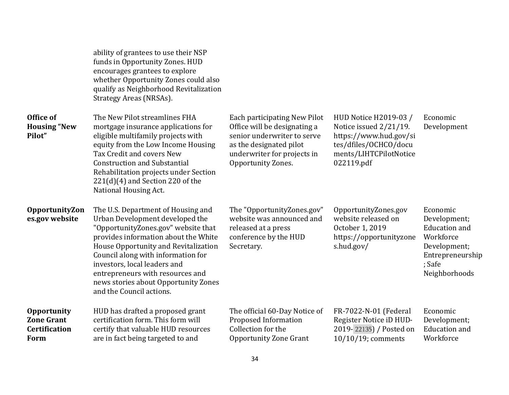|                                                                                | ability of grantees to use their NSP<br>funds in Opportunity Zones. HUD<br>encourages grantees to explore<br>whether Opportunity Zones could also<br>qualify as Neighborhood Revitalization<br>Strategy Areas (NRSAs).                                                                                                                                                     |                                                                                                                                                                             |                                                                                                                                            |                                                                                                                              |
|--------------------------------------------------------------------------------|----------------------------------------------------------------------------------------------------------------------------------------------------------------------------------------------------------------------------------------------------------------------------------------------------------------------------------------------------------------------------|-----------------------------------------------------------------------------------------------------------------------------------------------------------------------------|--------------------------------------------------------------------------------------------------------------------------------------------|------------------------------------------------------------------------------------------------------------------------------|
| Office of<br><b>Housing "New</b><br>Pilot"                                     | The New Pilot streamlines FHA<br>mortgage insurance applications for<br>eligible multifamily projects with<br>equity from the Low Income Housing<br>Tax Credit and covers New<br><b>Construction and Substantial</b><br>Rehabilitation projects under Section<br>$221(d)(4)$ and Section 220 of the<br>National Housing Act.                                               | Each participating New Pilot<br>Office will be designating a<br>senior underwriter to serve<br>as the designated pilot<br>underwriter for projects in<br>Opportunity Zones. | HUD Notice H2019-03 /<br>Notice issued 2/21/19.<br>https://www.hud.gov/si<br>tes/dfiles/OCHCO/docu<br>ments/LIHTCPilotNotice<br>022119.pdf | Economic<br>Development                                                                                                      |
| OpportunityZon<br>es.gov website                                               | The U.S. Department of Housing and<br>Urban Development developed the<br>"OpportunityZones.gov" website that<br>provides information about the White<br>House Opportunity and Revitalization<br>Council along with information for<br>investors, local leaders and<br>entrepreneurs with resources and<br>news stories about Opportunity Zones<br>and the Council actions. | The "OpportunityZones.gov"<br>website was announced and<br>released at a press<br>conference by the HUD<br>Secretary.                                                       | OpportunityZones.gov<br>website released on<br>October 1, 2019<br>https://opportunityzone<br>s.hud.gov/                                    | Economic<br>Development;<br><b>Education</b> and<br>Workforce<br>Development;<br>Entrepreneurship<br>; Safe<br>Neighborhoods |
| <b>Opportunity</b><br><b>Zone Grant</b><br><b>Certification</b><br><b>Form</b> | HUD has drafted a proposed grant<br>certification form. This form will<br>certify that valuable HUD resources<br>are in fact being targeted to and                                                                                                                                                                                                                         | The official 60-Day Notice of<br>Proposed Information<br>Collection for the<br><b>Opportunity Zone Grant</b>                                                                | FR-7022-N-01 (Federal<br>Register Notice iD HUD-<br>2019-22135) / Posted on<br>10/10/19; comments                                          | Economic<br>Development;<br><b>Education</b> and<br>Workforce                                                                |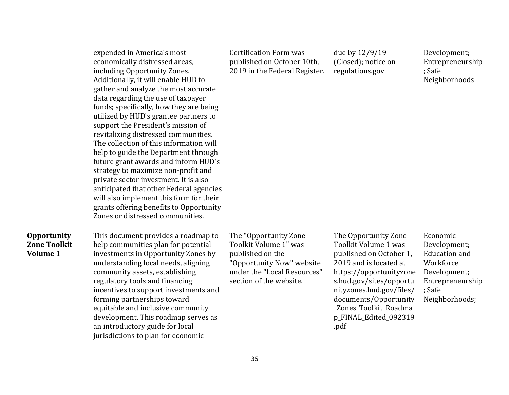expended in America's most economically distressed areas, including Opportunity Zones. Additionally, it will enable HUD to gather and analyze the most accurate data regarding the use of taxpayer funds; specifically, how they are being utilized by HUD's grantee partners to support the President's mission of revitalizing distressed communities. The collection of this information will help to guide the Department through future grant awards and inform HUD's strategy to maximize non-profit and private sector investment. It is also anticipated that other Federal agencies will also implement this form for their grants offering benefits to Opportunity Zones or distressed communities.

#### **Opportunity Zone Toolkit Volume 1**

This document provides a roadmap to help communities plan for potential investments in Opportunity Zones by understanding local needs, aligning community assets, establishing regulatory tools and financing incentives to support investments and forming partnerships toward equitable and inclusive community development. This roadmap serves as an introductory guide for local jurisdictions to plan for economic

The "Opportunity Zone Toolkit Volume 1" was published on the "Opportunity Now" website under the "Local Resources" section of the website.

Certification Form was

published on October 10th, 2019 in the Federal Register. due by 12/9/19 (Closed); notice on regulations.gov

Development; Entrepreneurship ; Safe Neighborhoods

The Opportunity Zone Toolkit Volume 1 was published on October 1, 2019 and is located at https://opportunityzone s.hud.gov/sites/opportu nityzones.hud.gov/files/ documents/Opportunity \_Zones\_Toolkit\_Roadma p\_FINAL\_Edited\_092319 .pdf

Economic Development; Education and Workforce Development; Entrepreneurship ; Safe Neighborhoods;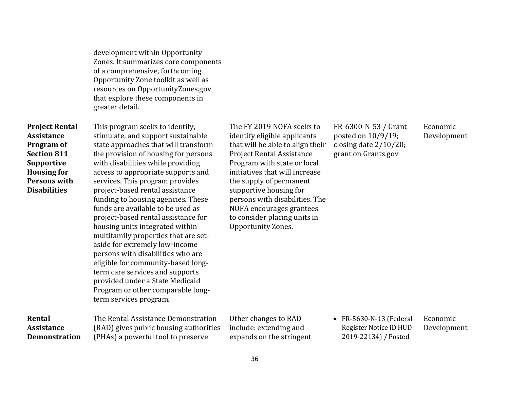development within Opportunity Zones. It summarizes core components of a comprehensive, forthcoming Opportunity Zone toolkit as well as resources on OpportunityZones.gov that explore these components in greater detail.

**Project Rental Assistance Program of Section 811 Supportive Housing for Persons with Disabilities** 

**Rental Assistance Demonstration**  This program seeks to identify, stimulate, and support sustainable state approaches that will transform the provision of housing for persons with disabilities while providing access to appropriate supports and services. This program provides project-based rental assistance funding to housing agencies. These funds are available to be used as project-based rental assistance for housing units integrated within multifamily properties that are setaside for extremely low-income persons with disabilities who are eligible for community-based longterm care services and supports provided under a State Medicaid Program or other comparable longterm services program.

The Rental Assistance Demonstration (RAD) gives public housing authorities (PHAs) a powerful tool to preserve

The FY 2019 NOFA seeks to identify eligible applicants that will be able to align their Project Rental Assistance Program with state or local initiatives that will increase the supply of permanent supportive housing for persons with disabilities. The NOFA encourages grantees to consider placing units in Opportunity Zones.

FR-6300-N-53 / Grant posted on 10/9/19; closing date 2/10/20; grant on Grants.gov

Economic Development

Other changes to RAD include: extending and expands on the stringent  FR-5630-N-13 (Federal Register Notice iD HUD-2019-22134) / Posted Economic Development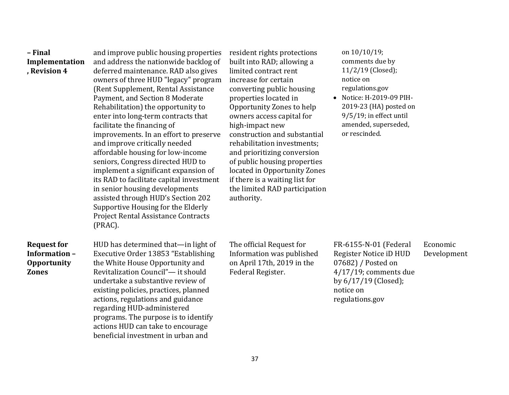| - Final<br>Implementation<br>, Revision 4                                | and improve public housing properties<br>and address the nationwide backlog of<br>deferred maintenance. RAD also gives<br>owners of three HUD "legacy" program<br>(Rent Supplement, Rental Assistance<br>Payment, and Section 8 Moderate<br>Rehabilitation) the opportunity to<br>enter into long-term contracts that<br>facilitate the financing of<br>improvements. In an effort to preserve<br>and improve critically needed<br>affordable housing for low-income<br>seniors, Congress directed HUD to<br>implement a significant expansion of<br>its RAD to facilitate capital investment<br>in senior housing developments<br>assisted through HUD's Section 202<br>Supportive Housing for the Elderly<br><b>Project Rental Assistance Contracts</b><br>(PRAC). | resident rights protections<br>built into RAD; allowing a<br>limited contract rent<br>increase for certain<br>converting public housing<br>properties located in<br>Opportunity Zones to help<br>owners access capital for<br>high-impact new<br>construction and substantial<br>rehabilitation investments;<br>and prioritizing conversion<br>of public housing properties<br>located in Opportunity Zones<br>if there is a waiting list for<br>the limited RAD participation<br>authority. | on 10/10/19;<br>comments due by<br>11/2/19 (Closed);<br>notice on<br>regulations.gov<br>• Notice: H-2019-09 PIH-<br>2019-23 (HA) posted on<br>9/5/19; in effect until<br>amended, superseded,<br>or rescinded. |                         |
|--------------------------------------------------------------------------|----------------------------------------------------------------------------------------------------------------------------------------------------------------------------------------------------------------------------------------------------------------------------------------------------------------------------------------------------------------------------------------------------------------------------------------------------------------------------------------------------------------------------------------------------------------------------------------------------------------------------------------------------------------------------------------------------------------------------------------------------------------------|----------------------------------------------------------------------------------------------------------------------------------------------------------------------------------------------------------------------------------------------------------------------------------------------------------------------------------------------------------------------------------------------------------------------------------------------------------------------------------------------|----------------------------------------------------------------------------------------------------------------------------------------------------------------------------------------------------------------|-------------------------|
| <b>Request for</b><br>Information-<br><b>Opportunity</b><br><b>Zones</b> | HUD has determined that-in light of<br>Executive Order 13853 "Establishing<br>the White House Opportunity and<br>Revitalization Council"- it should<br>undertake a substantive review of<br>existing policies, practices, planned<br>actions, regulations and guidance<br>regarding HUD-administered<br>programs. The purpose is to identify<br>actions HUD can take to encourage<br>beneficial investment in urban and                                                                                                                                                                                                                                                                                                                                              | The official Request for<br>Information was published<br>on April 17th, 2019 in the<br>Federal Register.                                                                                                                                                                                                                                                                                                                                                                                     | FR-6155-N-01 (Federal<br>Register Notice iD HUD<br>07682) / Posted on<br>$4/17/19$ ; comments due<br>by 6/17/19 (Closed);<br>notice on<br>regulations.gov                                                      | Economic<br>Development |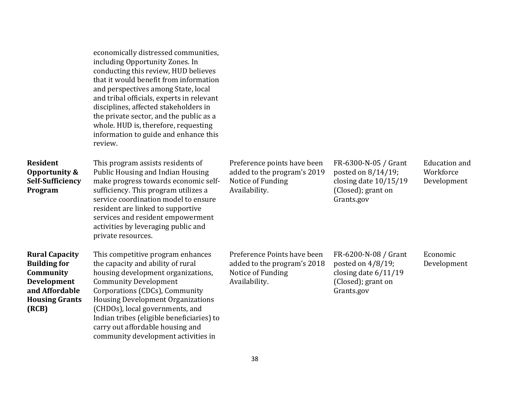|                                                                                                                                     | economically distressed communities,<br>including Opportunity Zones. In<br>conducting this review, HUD believes<br>that it would benefit from information<br>and perspectives among State, local<br>and tribal officials, experts in relevant<br>disciplines, affected stakeholders in<br>the private sector, and the public as a<br>whole. HUD is, therefore, requesting<br>information to guide and enhance this<br>review. |                                                                                                  |                                                                                                           |                                                  |
|-------------------------------------------------------------------------------------------------------------------------------------|-------------------------------------------------------------------------------------------------------------------------------------------------------------------------------------------------------------------------------------------------------------------------------------------------------------------------------------------------------------------------------------------------------------------------------|--------------------------------------------------------------------------------------------------|-----------------------------------------------------------------------------------------------------------|--------------------------------------------------|
| <b>Resident</b><br><b>Opportunity &amp;</b><br><b>Self-Sufficiency</b><br>Program                                                   | This program assists residents of<br><b>Public Housing and Indian Housing</b><br>make progress towards economic self-<br>sufficiency. This program utilizes a<br>service coordination model to ensure<br>resident are linked to supportive<br>services and resident empowerment<br>activities by leveraging public and<br>private resources.                                                                                  | Preference points have been<br>added to the program's 2019<br>Notice of Funding<br>Availability. | FR-6300-N-05 / Grant<br>posted on 8/14/19;<br>closing date $10/15/19$<br>(Closed); grant on<br>Grants.gov | <b>Education</b> and<br>Workforce<br>Development |
| <b>Rural Capacity</b><br><b>Building for</b><br>Community<br><b>Development</b><br>and Affordable<br><b>Housing Grants</b><br>(RCB) | This competitive program enhances<br>the capacity and ability of rural<br>housing development organizations,<br><b>Community Development</b><br>Corporations (CDCs), Community<br><b>Housing Development Organizations</b><br>(CHDOs), local governments, and<br>Indian tribes (eligible beneficiaries) to<br>carry out affordable housing and<br>community development activities in                                         | Preference Points have been<br>added to the program's 2018<br>Notice of Funding<br>Availability. | FR-6200-N-08 / Grant<br>posted on 4/8/19;<br>closing date $6/11/19$<br>(Closed); grant on<br>Grants.gov   | Economic<br>Development                          |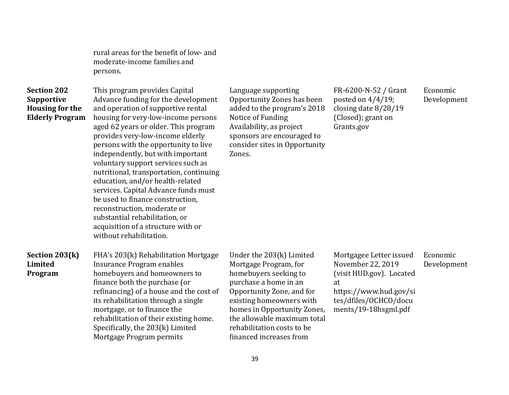rural areas for the benefit of low- and moderate-income families and persons.

### **Section 202 Supportive Housing for the Elderly Program**

This program provides Capital Advance funding for the development and operation of supportive rental housing for very-low-income persons aged 62 years or older. This program provides very-low-income elderly persons with the opportunity to live independently, but with important voluntary support services such as nutritional, transportation, continuing education, and/or health-related services. Capital Advance funds must be used to finance construction, reconstruction, moderate or substantial rehabilitation, or acquisition of a structure with or without rehabilitation.

Language supporting Opportunity Zones has been added to the program's 2018 Notice of Funding Availability, as project sponsors are encouraged to consider sites in Opportunity Zones.

FR-6200-N-52 / Grant posted on 4/4/19; closing date 8/28/19 (Closed); grant on Grants.gov

Economic Development

#### **Section 203(k) Limited Program**

FHA's 203(k) Rehabilitation Mortgage Insurance Program enables homebuyers and homeowners to finance both the purchase (or refinancing) of a house and the cost of its rehabilitation through a single mortgage, or to finance the rehabilitation of their existing home. Specifically, the 203(k) Limited Mortgage Program permits

Under the 203(k) Limited Mortgage Program, for homebuyers seeking to purchase a home in an Opportunity Zone, and for existing homeowners with homes in Opportunity Zones, the allowable maximum total rehabilitation costs to be financed increases from

Mortgagee Letter issued November 22, 2019 (visit HUD.gov). Located at https://www.hud.gov/si tes/dfiles/OCHCO/docu Economic Development

ments/19-18hsgml.pdf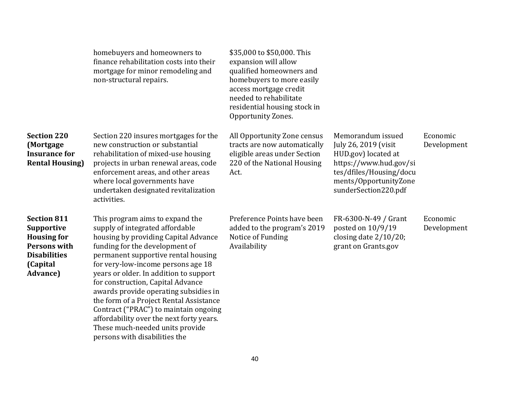|                                                                                                                                             | homebuyers and homeowners to<br>finance rehabilitation costs into their<br>mortgage for minor remodeling and<br>non-structural repairs.                                                                                                                                                                                                                                                                                                                                                                                                               | \$35,000 to \$50,000. This<br>expansion will allow<br>qualified homeowners and<br>homebuyers to more easily<br>access mortgage credit<br>needed to rehabilitate<br>residential housing stock in<br>Opportunity Zones. |                                                                                                                                                                        |                         |
|---------------------------------------------------------------------------------------------------------------------------------------------|-------------------------------------------------------------------------------------------------------------------------------------------------------------------------------------------------------------------------------------------------------------------------------------------------------------------------------------------------------------------------------------------------------------------------------------------------------------------------------------------------------------------------------------------------------|-----------------------------------------------------------------------------------------------------------------------------------------------------------------------------------------------------------------------|------------------------------------------------------------------------------------------------------------------------------------------------------------------------|-------------------------|
| <b>Section 220</b><br>(Mortgage<br><b>Insurance for</b><br><b>Rental Housing)</b>                                                           | Section 220 insures mortgages for the<br>new construction or substantial<br>rehabilitation of mixed-use housing<br>projects in urban renewal areas, code<br>enforcement areas, and other areas<br>where local governments have<br>undertaken designated revitalization<br>activities.                                                                                                                                                                                                                                                                 | All Opportunity Zone census<br>tracts are now automatically<br>eligible areas under Section<br>220 of the National Housing<br>Act.                                                                                    | Memorandum issued<br>July 26, 2019 (visit<br>HUD.gov) located at<br>https://www.hud.gov/si<br>tes/dfiles/Housing/docu<br>ments/OpportunityZone<br>sunderSection220.pdf | Economic<br>Development |
| <b>Section 811</b><br><b>Supportive</b><br><b>Housing for</b><br><b>Persons with</b><br><b>Disabilities</b><br>(Capital<br><b>Advance</b> ) | This program aims to expand the<br>supply of integrated affordable<br>housing by providing Capital Advance<br>funding for the development of<br>permanent supportive rental housing<br>for very-low-income persons age 18<br>years or older. In addition to support<br>for construction, Capital Advance<br>awards provide operating subsidies in<br>the form of a Project Rental Assistance<br>Contract ("PRAC") to maintain ongoing<br>affordability over the next forty years.<br>These much-needed units provide<br>persons with disabilities the | Preference Points have been<br>added to the program's 2019<br>Notice of Funding<br>Availability                                                                                                                       | FR-6300-N-49 / Grant<br>posted on $10/9/19$<br>closing date 2/10/20;<br>grant on Grants.gov                                                                            | Economic<br>Development |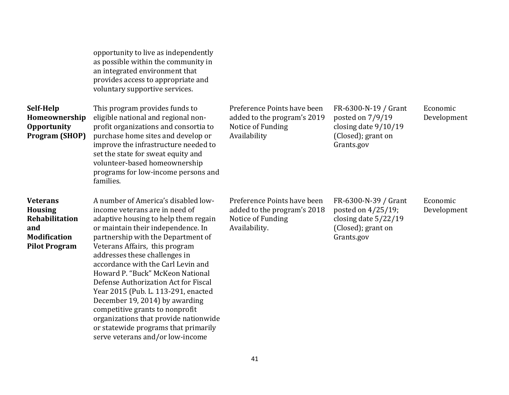| Self-Help<br>Homeownership<br><b>Opportunity</b><br><b>Program (SHOP)</b>                                 | opportunity to live as independently<br>as possible within the community in<br>an integrated environment that<br>provides access to appropriate and<br>voluntary supportive services.<br>This program provides funds to<br>eligible national and regional non-<br>profit organizations and consortia to<br>purchase home sites and develop or<br>improve the infrastructure needed to<br>set the state for sweat equity and<br>volunteer-based homeownership<br>programs for low-income persons and<br>families.                                                                                                | Preference Points have been<br>added to the program's 2019<br>Notice of Funding<br>Availability  | FR-6300-N-19 / Grant<br>posted on 7/9/19<br>closing date 9/10/19<br>(Closed); grant on<br>Grants.gov      | Economic<br>Development |
|-----------------------------------------------------------------------------------------------------------|-----------------------------------------------------------------------------------------------------------------------------------------------------------------------------------------------------------------------------------------------------------------------------------------------------------------------------------------------------------------------------------------------------------------------------------------------------------------------------------------------------------------------------------------------------------------------------------------------------------------|--------------------------------------------------------------------------------------------------|-----------------------------------------------------------------------------------------------------------|-------------------------|
| <b>Veterans</b><br><b>Housing</b><br>Rehabilitation<br>and<br><b>Modification</b><br><b>Pilot Program</b> | A number of America's disabled low-<br>income veterans are in need of<br>adaptive housing to help them regain<br>or maintain their independence. In<br>partnership with the Department of<br>Veterans Affairs, this program<br>addresses these challenges in<br>accordance with the Carl Levin and<br>Howard P. "Buck" McKeon National<br>Defense Authorization Act for Fiscal<br>Year 2015 (Pub. L. 113-291, enacted<br>December 19, 2014) by awarding<br>competitive grants to nonprofit<br>organizations that provide nationwide<br>or statewide programs that primarily<br>serve veterans and/or low-income | Preference Points have been<br>added to the program's 2018<br>Notice of Funding<br>Availability. | FR-6300-N-39 / Grant<br>posted on $4/25/19$ ;<br>closing date 5/22/19<br>(Closed); grant on<br>Grants.gov | Economic<br>Development |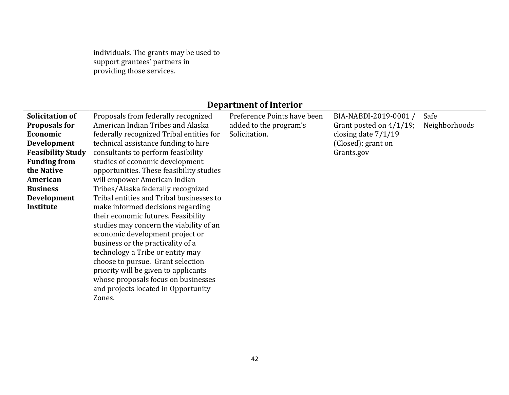individuals. The grants may be used to support grantees' partners in providing those services.

# **Department of Interior**

| Solicitation of          | Proposals from federally recognized      | Preference Points have been | BIA-NABDI-2019-0001 /      | Safe          |
|--------------------------|------------------------------------------|-----------------------------|----------------------------|---------------|
| <b>Proposals for</b>     | American Indian Tribes and Alaska        | added to the program's      | Grant posted on $4/1/19$ ; | Neighborhoods |
| Economic                 | federally recognized Tribal entities for | Solicitation.               | closing date $7/1/19$      |               |
| <b>Development</b>       | technical assistance funding to hire     |                             | (Closed); grant on         |               |
| <b>Feasibility Study</b> | consultants to perform feasibility       |                             | Grants.gov                 |               |
| <b>Funding from</b>      | studies of economic development          |                             |                            |               |
| the Native               | opportunities. These feasibility studies |                             |                            |               |
| American                 | will empower American Indian             |                             |                            |               |
| <b>Business</b>          | Tribes/Alaska federally recognized       |                             |                            |               |
| <b>Development</b>       | Tribal entities and Tribal businesses to |                             |                            |               |
| Institute                | make informed decisions regarding        |                             |                            |               |
|                          | their economic futures. Feasibility      |                             |                            |               |
|                          | studies may concern the viability of an  |                             |                            |               |
|                          | economic development project or          |                             |                            |               |
|                          | business or the practicality of a        |                             |                            |               |
|                          | technology a Tribe or entity may         |                             |                            |               |
|                          | choose to pursue. Grant selection        |                             |                            |               |
|                          | priority will be given to applicants     |                             |                            |               |
|                          | whose proposals focus on businesses      |                             |                            |               |
|                          | and projects located in Opportunity      |                             |                            |               |
|                          | Zones.                                   |                             |                            |               |
|                          |                                          |                             |                            |               |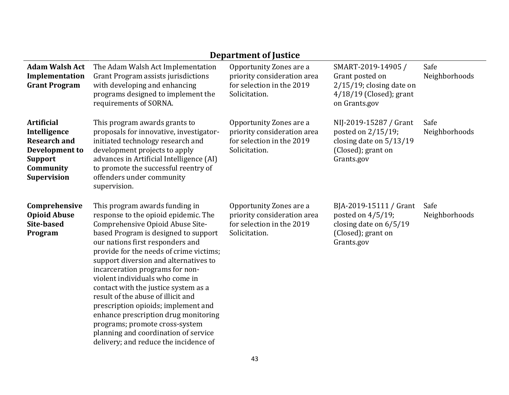|                                                                                                                                 |                                                                                                                                                                                                                                                                                                                                                                                                                                                                                                                                                                                                                                  | Department of Justice                                                                                |                                                                                                                    |                       |
|---------------------------------------------------------------------------------------------------------------------------------|----------------------------------------------------------------------------------------------------------------------------------------------------------------------------------------------------------------------------------------------------------------------------------------------------------------------------------------------------------------------------------------------------------------------------------------------------------------------------------------------------------------------------------------------------------------------------------------------------------------------------------|------------------------------------------------------------------------------------------------------|--------------------------------------------------------------------------------------------------------------------|-----------------------|
| <b>Adam Walsh Act</b><br>Implementation<br><b>Grant Program</b>                                                                 | The Adam Walsh Act Implementation<br>Grant Program assists jurisdictions<br>with developing and enhancing<br>programs designed to implement the<br>requirements of SORNA.                                                                                                                                                                                                                                                                                                                                                                                                                                                        | Opportunity Zones are a<br>priority consideration area<br>for selection in the 2019<br>Solicitation. | SMART-2019-14905 /<br>Grant posted on<br>$2/15/19$ ; closing date on<br>$4/18/19$ (Closed); grant<br>on Grants.gov | Safe<br>Neighborhoods |
| <b>Artificial</b><br>Intelligence<br><b>Research and</b><br>Development to<br><b>Support</b><br>Community<br><b>Supervision</b> | This program awards grants to<br>proposals for innovative, investigator-<br>initiated technology research and<br>development projects to apply<br>advances in Artificial Intelligence (AI)<br>to promote the successful reentry of<br>offenders under community<br>supervision.                                                                                                                                                                                                                                                                                                                                                  | Opportunity Zones are a<br>priority consideration area<br>for selection in the 2019<br>Solicitation. | NIJ-2019-15287 / Grant<br>posted on 2/15/19;<br>closing date on $5/13/19$<br>(Closed); grant on<br>Grants.gov      | Safe<br>Neighborhoods |
| Comprehensive<br><b>Opioid Abuse</b><br>Site-based<br>Program                                                                   | This program awards funding in<br>response to the opioid epidemic. The<br>Comprehensive Opioid Abuse Site-<br>based Program is designed to support<br>our nations first responders and<br>provide for the needs of crime victims;<br>support diversion and alternatives to<br>incarceration programs for non-<br>violent individuals who come in<br>contact with the justice system as a<br>result of the abuse of illicit and<br>prescription opioids; implement and<br>enhance prescription drug monitoring<br>programs; promote cross-system<br>planning and coordination of service<br>delivery; and reduce the incidence of | Opportunity Zones are a<br>priority consideration area<br>for selection in the 2019<br>Solicitation. | BJA-2019-15111 / Grant<br>posted on $4/5/19$ ;<br>closing date on $6/5/19$<br>(Closed); grant on<br>Grants.gov     | Safe<br>Neighborhoods |

## **Department of Justice**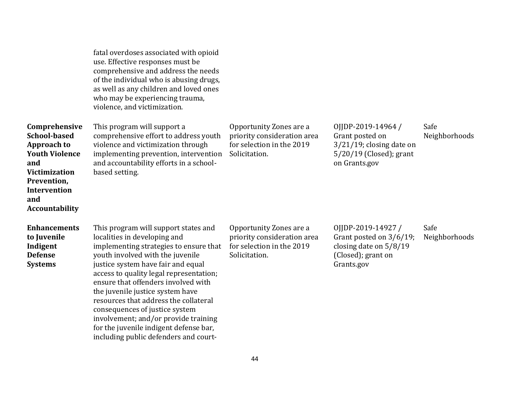|                                                                                                                                                                                   | fatal overdoses associated with opioid<br>use. Effective responses must be<br>comprehensive and address the needs<br>of the individual who is abusing drugs,<br>as well as any children and loved ones<br>who may be experiencing trauma,<br>violence, and victimization.                                                                                                                                                                                                                                            |                                                                                                      |                                                                                                                    |                       |
|-----------------------------------------------------------------------------------------------------------------------------------------------------------------------------------|----------------------------------------------------------------------------------------------------------------------------------------------------------------------------------------------------------------------------------------------------------------------------------------------------------------------------------------------------------------------------------------------------------------------------------------------------------------------------------------------------------------------|------------------------------------------------------------------------------------------------------|--------------------------------------------------------------------------------------------------------------------|-----------------------|
| Comprehensive<br><b>School-based</b><br><b>Approach to</b><br><b>Youth Violence</b><br>and<br><b>Victimization</b><br>Prevention,<br>Intervention<br>and<br><b>Accountability</b> | This program will support a<br>comprehensive effort to address youth<br>violence and victimization through<br>implementing prevention, intervention<br>and accountability efforts in a school-<br>based setting.                                                                                                                                                                                                                                                                                                     | Opportunity Zones are a<br>priority consideration area<br>for selection in the 2019<br>Solicitation. | OJJDP-2019-14964 /<br>Grant posted on<br>$3/21/19$ ; closing date on<br>$5/20/19$ (Closed); grant<br>on Grants.gov | Safe<br>Neighborhoods |
| <b>Enhancements</b><br>to Juvenile<br>Indigent<br><b>Defense</b><br><b>Systems</b>                                                                                                | This program will support states and<br>localities in developing and<br>implementing strategies to ensure that<br>youth involved with the juvenile<br>justice system have fair and equal<br>access to quality legal representation;<br>ensure that offenders involved with<br>the juvenile justice system have<br>resources that address the collateral<br>consequences of justice system<br>involvement; and/or provide training<br>for the juvenile indigent defense bar,<br>including public defenders and court- | Opportunity Zones are a<br>priority consideration area<br>for selection in the 2019<br>Solicitation. | OJJDP-2019-14927/<br>Grant posted on 3/6/19;<br>closing date on $5/8/19$<br>(Closed); grant on<br>Grants.gov       | Safe<br>Neighborhoods |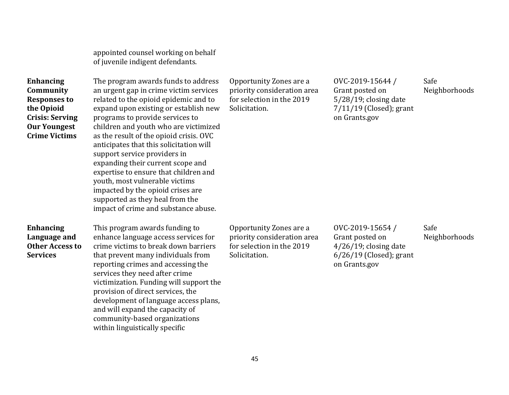appointed counsel working on behalf of juvenile indigent defendants.

| <b>Enhancing</b>       |
|------------------------|
| Community              |
| <b>Responses to</b>    |
| the Opioid             |
| <b>Crisis: Serving</b> |
| <b>Our Youngest</b>    |
| <b>Crime Victims</b>   |
|                        |

The program awards funds to address an urgent gap in crime victim services related to the opioid epidemic and to expand upon existing or establish new programs to provide services to children and youth who are victimized as the result of the opioid crisis. OVC anticipates that this solicitation will support service providers in expanding their current scope and expertise to ensure that children and youth, most vulnerable victims impacted by the opioid crises are supported as they heal from the impact of crime and substance abuse.

**Enhancing Language and Other Access to Services** 

This program awards funding to enhance language access services for crime victims to break down barriers that prevent many individuals from reporting crimes and accessing the services they need after crime victimization. Funding will support the provision of direct services, the development of language access plans, and will expand the capacity of community-based organizations within linguistically specific

Opportunity Zones are a priority consideration area for selection in the 2019 Solicitation.

OVC-2019-15644 / Grant posted on 5/28/19; closing date 7/11/19 (Closed); grant on Grants.gov

Safe Neighborhoods

Safe

Neighborhoods

Opportunity Zones are a priority consideration area for selection in the 2019 Solicitation.

OVC-2019-15654 / Grant posted on 4/26/19; closing date 6/26/19 (Closed); grant on Grants.gov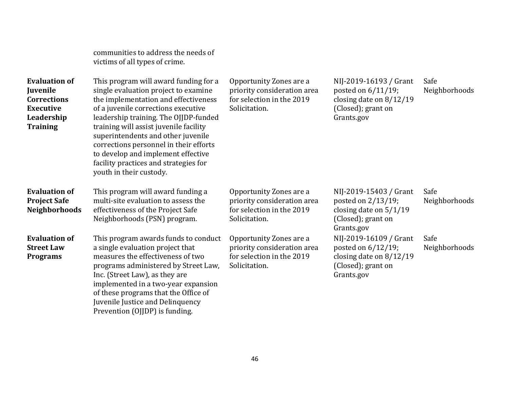|                                                                                                             | communities to address the needs of<br>victims of all types of crime.                                                                                                                                                                                                                                                                                                                                                                     |                                                                                                      |                                                                                                              |                       |
|-------------------------------------------------------------------------------------------------------------|-------------------------------------------------------------------------------------------------------------------------------------------------------------------------------------------------------------------------------------------------------------------------------------------------------------------------------------------------------------------------------------------------------------------------------------------|------------------------------------------------------------------------------------------------------|--------------------------------------------------------------------------------------------------------------|-----------------------|
| <b>Evaluation of</b><br>Juvenile<br><b>Corrections</b><br><b>Executive</b><br>Leadership<br><b>Training</b> | This program will award funding for a<br>single evaluation project to examine<br>the implementation and effectiveness<br>of a juvenile corrections executive<br>leadership training. The OJJDP-funded<br>training will assist juvenile facility<br>superintendents and other juvenile<br>corrections personnel in their efforts<br>to develop and implement effective<br>facility practices and strategies for<br>youth in their custody. | Opportunity Zones are a<br>priority consideration area<br>for selection in the 2019<br>Solicitation. | NIJ-2019-16193 / Grant<br>posted on 6/11/19;<br>closing date on 8/12/19<br>(Closed); grant on<br>Grants.gov  | Safe<br>Neighborhoods |
| <b>Evaluation of</b><br><b>Project Safe</b><br><b>Neighborhoods</b>                                         | This program will award funding a<br>multi-site evaluation to assess the<br>effectiveness of the Project Safe<br>Neighborhoods (PSN) program.                                                                                                                                                                                                                                                                                             | Opportunity Zones are a<br>priority consideration area<br>for selection in the 2019<br>Solicitation. | NIJ-2019-15403 / Grant<br>posted on 2/13/19;<br>closing date on $5/1/19$<br>(Closed); grant on<br>Grants.gov | Safe<br>Neighborhoods |
| <b>Evaluation of</b><br><b>Street Law</b><br><b>Programs</b>                                                | This program awards funds to conduct<br>a single evaluation project that<br>measures the effectiveness of two<br>programs administered by Street Law,<br>Inc. (Street Law), as they are<br>implemented in a two-year expansion<br>of these programs that the Office of<br>Juvenile Justice and Delinquency<br>Prevention (OJJDP) is funding.                                                                                              | Opportunity Zones are a<br>priority consideration area<br>for selection in the 2019<br>Solicitation. | NIJ-2019-16109 / Grant<br>posted on 6/12/19;<br>closing date on 8/12/19<br>(Closed); grant on<br>Grants.gov  | Safe<br>Neighborhoods |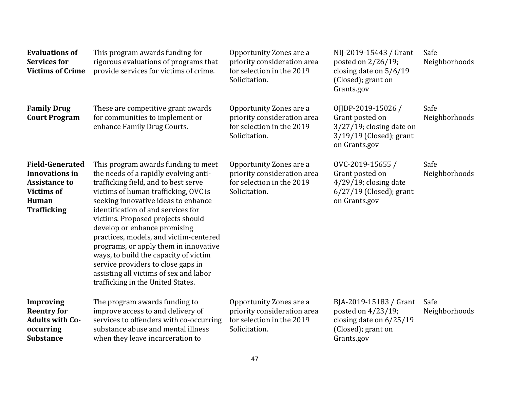| <b>Evaluations of</b><br><b>Services for</b><br><b>Victims of Crime</b>                                                     | This program awards funding for<br>rigorous evaluations of programs that<br>provide services for victims of crime.                                                                                                                                                                                                                                                                                                                                                                                                                                              | Opportunity Zones are a<br>priority consideration area<br>for selection in the 2019<br>Solicitation. | NIJ-2019-15443 / Grant<br>posted on 2/26/19;<br>closing date on $5/6/19$<br>(Closed); grant on<br>Grants.gov       | Safe<br>Neighborhoods |
|-----------------------------------------------------------------------------------------------------------------------------|-----------------------------------------------------------------------------------------------------------------------------------------------------------------------------------------------------------------------------------------------------------------------------------------------------------------------------------------------------------------------------------------------------------------------------------------------------------------------------------------------------------------------------------------------------------------|------------------------------------------------------------------------------------------------------|--------------------------------------------------------------------------------------------------------------------|-----------------------|
| <b>Family Drug</b><br><b>Court Program</b>                                                                                  | These are competitive grant awards<br>for communities to implement or<br>enhance Family Drug Courts.                                                                                                                                                                                                                                                                                                                                                                                                                                                            | Opportunity Zones are a<br>priority consideration area<br>for selection in the 2019<br>Solicitation. | OJJDP-2019-15026 /<br>Grant posted on<br>$3/27/19$ ; closing date on<br>$3/19/19$ (Closed); grant<br>on Grants.gov | Safe<br>Neighborhoods |
| <b>Field-Generated</b><br><b>Innovations in</b><br><b>Assistance to</b><br><b>Victims of</b><br>Human<br><b>Trafficking</b> | This program awards funding to meet<br>the needs of a rapidly evolving anti-<br>trafficking field, and to best serve<br>victims of human trafficking, OVC is<br>seeking innovative ideas to enhance<br>identification of and services for<br>victims. Proposed projects should<br>develop or enhance promising<br>practices, models, and victim-centered<br>programs, or apply them in innovative<br>ways, to build the capacity of victim<br>service providers to close gaps in<br>assisting all victims of sex and labor<br>trafficking in the United States. | Opportunity Zones are a<br>priority consideration area<br>for selection in the 2019<br>Solicitation. | OVC-2019-15655/<br>Grant posted on<br>$4/29/19$ ; closing date<br>$6/27/19$ (Closed); grant<br>on Grants.gov       | Safe<br>Neighborhoods |
| <b>Improving</b><br><b>Reentry for</b><br><b>Adults with Co-</b><br>occurring<br><b>Substance</b>                           | The program awards funding to<br>improve access to and delivery of<br>services to offenders with co-occurring<br>substance abuse and mental illness<br>when they leave incarceration to                                                                                                                                                                                                                                                                                                                                                                         | Opportunity Zones are a<br>priority consideration area<br>for selection in the 2019<br>Solicitation. | BJA-2019-15183 / Grant<br>posted on 4/23/19;<br>closing date on $6/25/19$<br>(Closed); grant on<br>Grants.gov      | Safe<br>Neighborhoods |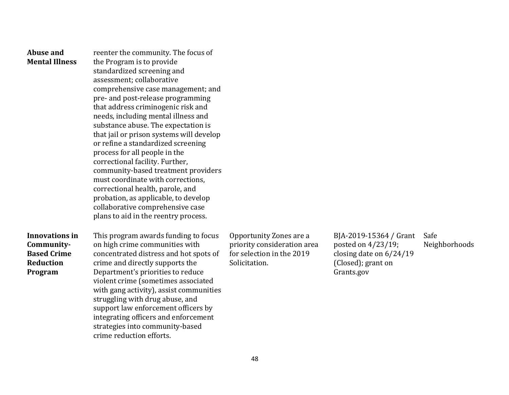| Abuse and<br><b>Mental Illness</b>                                                | reenter the community. The focus of<br>the Program is to provide<br>standardized screening and<br>assessment; collaborative<br>comprehensive case management; and<br>pre- and post-release programming<br>that address criminogenic risk and<br>needs, including mental illness and<br>substance abuse. The expectation is<br>that jail or prison systems will develop<br>or refine a standardized screening<br>process for all people in the<br>correctional facility. Further,<br>community-based treatment providers<br>must coordinate with corrections,<br>correctional health, parole, and<br>probation, as applicable, to develop<br>collaborative comprehensive case<br>plans to aid in the reentry process. |                                                                                                      |                                                                                                             |                       |
|-----------------------------------------------------------------------------------|----------------------------------------------------------------------------------------------------------------------------------------------------------------------------------------------------------------------------------------------------------------------------------------------------------------------------------------------------------------------------------------------------------------------------------------------------------------------------------------------------------------------------------------------------------------------------------------------------------------------------------------------------------------------------------------------------------------------|------------------------------------------------------------------------------------------------------|-------------------------------------------------------------------------------------------------------------|-----------------------|
| <b>Innovations in</b><br>Community-<br><b>Based Crime</b><br>Reduction<br>Program | This program awards funding to focus<br>on high crime communities with<br>concentrated distress and hot spots of<br>crime and directly supports the<br>Department's priorities to reduce<br>violent crime (sometimes associated<br>with gang activity), assist communities<br>struggling with drug abuse, and<br>support law enforcement officers by<br>integrating officers and enforcement<br>strategies into community-based<br>crime reduction efforts.                                                                                                                                                                                                                                                          | Opportunity Zones are a<br>priority consideration area<br>for selection in the 2019<br>Solicitation. | BJA-2019-15364 / Grant<br>posted on 4/23/19;<br>closing date on 6/24/19<br>(Closed); grant on<br>Grants.gov | Safe<br>Neighborhoods |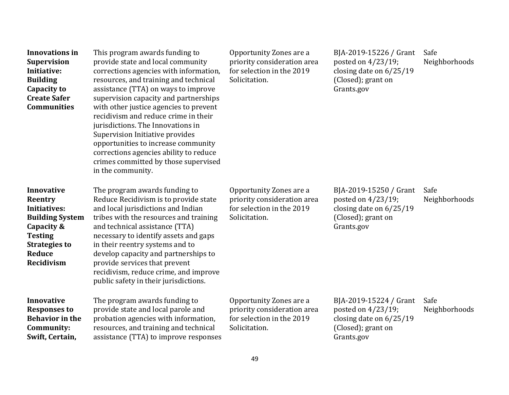| <b>Innovations in</b><br><b>Supervision</b><br>Initiative:<br><b>Building</b><br>Capacity to<br><b>Create Safer</b><br><b>Communities</b>                            | This program awards funding to<br>provide state and local community<br>corrections agencies with information,<br>resources, and training and technical<br>assistance (TTA) on ways to improve<br>supervision capacity and partnerships<br>with other justice agencies to prevent<br>recidivism and reduce crime in their<br>jurisdictions. The Innovations in<br>Supervision Initiative provides<br>opportunities to increase community<br>corrections agencies ability to reduce<br>crimes committed by those supervised<br>in the community. | Opportunity Zones are a<br>priority consideration area<br>for selection in the 2019<br>Solicitation. | BJA-2019-15226 / Grant<br>posted on 4/23/19;<br>closing date on 6/25/19<br>(Closed); grant on<br>Grants.gov   | Safe<br>Neighborhoods |
|----------------------------------------------------------------------------------------------------------------------------------------------------------------------|------------------------------------------------------------------------------------------------------------------------------------------------------------------------------------------------------------------------------------------------------------------------------------------------------------------------------------------------------------------------------------------------------------------------------------------------------------------------------------------------------------------------------------------------|------------------------------------------------------------------------------------------------------|---------------------------------------------------------------------------------------------------------------|-----------------------|
| <b>Innovative</b><br>Reentry<br>Initiatives:<br><b>Building System</b><br>Capacity &<br><b>Testing</b><br><b>Strategies to</b><br><b>Reduce</b><br><b>Recidivism</b> | The program awards funding to<br>Reduce Recidivism is to provide state<br>and local jurisdictions and Indian<br>tribes with the resources and training<br>and technical assistance (TTA)<br>necessary to identify assets and gaps<br>in their reentry systems and to<br>develop capacity and partnerships to<br>provide services that prevent<br>recidivism, reduce crime, and improve<br>public safety in their jurisdictions.                                                                                                                | Opportunity Zones are a<br>priority consideration area<br>for selection in the 2019<br>Solicitation. | BJA-2019-15250 / Grant<br>posted on 4/23/19;<br>closing date on $6/25/19$<br>(Closed); grant on<br>Grants.gov | Safe<br>Neighborhoods |
| <b>Innovative</b><br><b>Responses to</b><br><b>Behavior in the</b><br>Community:<br>Swift, Certain,                                                                  | The program awards funding to<br>provide state and local parole and<br>probation agencies with information,<br>resources, and training and technical<br>assistance (TTA) to improve responses                                                                                                                                                                                                                                                                                                                                                  | Opportunity Zones are a<br>priority consideration area<br>for selection in the 2019<br>Solicitation. | BJA-2019-15224 / Grant<br>posted on 4/23/19;<br>closing date on $6/25/19$<br>(Closed); grant on<br>Grants.gov | Safe<br>Neighborhoods |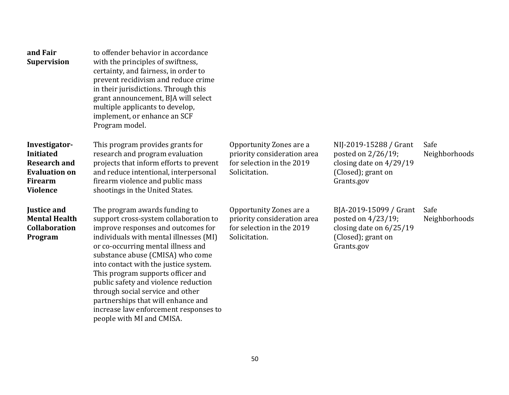| and Fair<br><b>Supervision</b>                                                                                        | to offender behavior in accordance<br>with the principles of swiftness,<br>certainty, and fairness, in order to<br>prevent recidivism and reduce crime<br>in their jurisdictions. Through this<br>grant announcement, BJA will select<br>multiple applicants to develop,<br>implement, or enhance an SCF<br>Program model.                                                                                                                                                                             |                                                                                                      |                                                                                                                |                       |
|-----------------------------------------------------------------------------------------------------------------------|--------------------------------------------------------------------------------------------------------------------------------------------------------------------------------------------------------------------------------------------------------------------------------------------------------------------------------------------------------------------------------------------------------------------------------------------------------------------------------------------------------|------------------------------------------------------------------------------------------------------|----------------------------------------------------------------------------------------------------------------|-----------------------|
| Investigator-<br><b>Initiated</b><br><b>Research and</b><br><b>Evaluation on</b><br><b>Firearm</b><br><b>Violence</b> | This program provides grants for<br>research and program evaluation<br>projects that inform efforts to prevent<br>and reduce intentional, interpersonal<br>firearm violence and public mass<br>shootings in the United States.                                                                                                                                                                                                                                                                         | Opportunity Zones are a<br>priority consideration area<br>for selection in the 2019<br>Solicitation. | NIJ-2019-15288 / Grant<br>posted on $2/26/19$ ;<br>closing date on 4/29/19<br>(Closed); grant on<br>Grants.gov | Safe<br>Neighborhoods |
| <b>Justice and</b><br><b>Mental Health</b><br><b>Collaboration</b><br>Program                                         | The program awards funding to<br>support cross-system collaboration to<br>improve responses and outcomes for<br>individuals with mental illnesses (MI)<br>or co-occurring mental illness and<br>substance abuse (CMISA) who come<br>into contact with the justice system.<br>This program supports officer and<br>public safety and violence reduction<br>through social service and other<br>partnerships that will enhance and<br>increase law enforcement responses to<br>people with MI and CMISA. | Opportunity Zones are a<br>priority consideration area<br>for selection in the 2019<br>Solicitation. | BJA-2019-15099 / Grant<br>posted on $4/23/19$ ;<br>closing date on 6/25/19<br>(Closed); grant on<br>Grants.gov | Safe<br>Neighborhoods |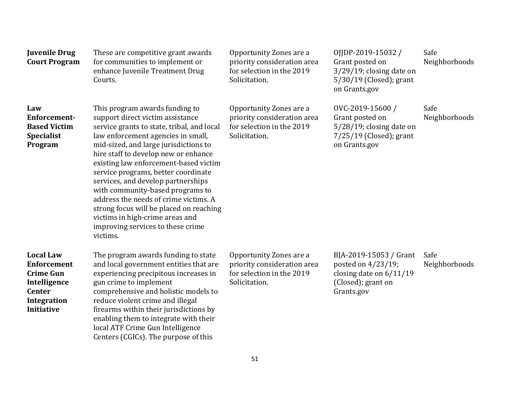| <b>Juvenile Drug</b><br><b>Court Program</b>                                                                                           | These are competitive grant awards<br>for communities to implement or<br>enhance Juvenile Treatment Drug<br>Courts.                                                                                                                                                                                                                                                                                                                                                                                                                                                       | Opportunity Zones are a<br>priority consideration area<br>for selection in the 2019<br>Solicitation. | OJJDP-2019-15032 /<br>Grant posted on<br>$3/29/19$ ; closing date on<br>5/30/19 (Closed); grant<br>on Grants.gov | Safe<br>Neighborhoods |
|----------------------------------------------------------------------------------------------------------------------------------------|---------------------------------------------------------------------------------------------------------------------------------------------------------------------------------------------------------------------------------------------------------------------------------------------------------------------------------------------------------------------------------------------------------------------------------------------------------------------------------------------------------------------------------------------------------------------------|------------------------------------------------------------------------------------------------------|------------------------------------------------------------------------------------------------------------------|-----------------------|
| Law<br>Enforcement-<br><b>Based Victim</b><br><b>Specialist</b><br>Program                                                             | This program awards funding to<br>support direct victim assistance<br>service grants to state, tribal, and local<br>law enforcement agencies in small,<br>mid-sized, and large jurisdictions to<br>hire staff to develop new or enhance<br>existing law enforcement-based victim<br>service programs, better coordinate<br>services, and develop partnerships<br>with community-based programs to<br>address the needs of crime victims. A<br>strong focus will be placed on reaching<br>victims in high-crime areas and<br>improving services to these crime<br>victims. | Opportunity Zones are a<br>priority consideration area<br>for selection in the 2019<br>Solicitation. | OVC-2019-15600/<br>Grant posted on<br>$5/28/19$ ; closing date on<br>$7/25/19$ (Closed); grant<br>on Grants.gov  | Safe<br>Neighborhoods |
| <b>Local Law</b><br><b>Enforcement</b><br><b>Crime Gun</b><br>Intelligence<br><b>Center</b><br><b>Integration</b><br><b>Initiative</b> | The program awards funding to state<br>and local government entities that are<br>experiencing precipitous increases in<br>gun crime to implement<br>comprehensive and holistic models to<br>reduce violent crime and illegal<br>firearms within their jurisdictions by<br>enabling them to integrate with their<br>local ATF Crime Gun Intelligence<br>Centers (CGICs). The purpose of this                                                                                                                                                                               | Opportunity Zones are a<br>priority consideration area<br>for selection in the 2019<br>Solicitation. | BJA-2019-15053 / Grant<br>posted on 4/23/19;<br>closing date on 6/11/19<br>(Closed); grant on<br>Grants.gov      | Safe<br>Neighborhoods |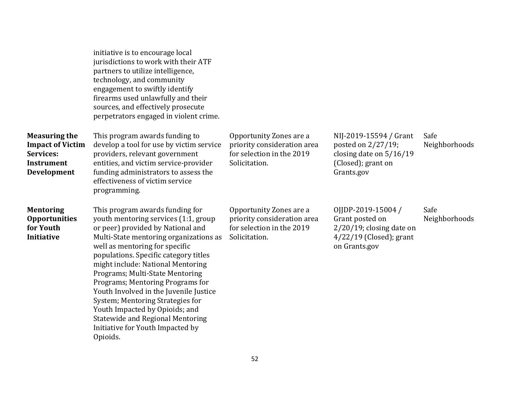|                                                                                                  | initiative is to encourage local<br>jurisdictions to work with their ATF<br>partners to utilize intelligence,<br>technology, and community<br>engagement to swiftly identify<br>firearms used unlawfully and their<br>sources, and effectively prosecute<br>perpetrators engaged in violent crime.                                                                                                                                                                                                                                                       |                                                                                                      |                                                                                                                    |                       |
|--------------------------------------------------------------------------------------------------|----------------------------------------------------------------------------------------------------------------------------------------------------------------------------------------------------------------------------------------------------------------------------------------------------------------------------------------------------------------------------------------------------------------------------------------------------------------------------------------------------------------------------------------------------------|------------------------------------------------------------------------------------------------------|--------------------------------------------------------------------------------------------------------------------|-----------------------|
| <b>Measuring the</b><br><b>Impact of Victim</b><br>Services:<br><b>Instrument</b><br>Development | This program awards funding to<br>develop a tool for use by victim service<br>providers, relevant government<br>entities, and victim service-provider<br>funding administrators to assess the<br>effectiveness of victim service<br>programming.                                                                                                                                                                                                                                                                                                         | Opportunity Zones are a<br>priority consideration area<br>for selection in the 2019<br>Solicitation. | NIJ-2019-15594 / Grant<br>posted on 2/27/19;<br>closing date on $5/16/19$<br>(Closed); grant on<br>Grants.gov      | Safe<br>Neighborhoods |
| <b>Mentoring</b><br><b>Opportunities</b><br>for Youth<br><b>Initiative</b>                       | This program awards funding for<br>youth mentoring services (1:1, group<br>or peer) provided by National and<br>Multi-State mentoring organizations as<br>well as mentoring for specific<br>populations. Specific category titles<br>might include: National Mentoring<br>Programs; Multi-State Mentoring<br>Programs; Mentoring Programs for<br>Youth Involved in the Juvenile Justice<br>System; Mentoring Strategies for<br>Youth Impacted by Opioids; and<br><b>Statewide and Regional Mentoring</b><br>Initiative for Youth Impacted by<br>Opioids. | Opportunity Zones are a<br>priority consideration area<br>for selection in the 2019<br>Solicitation. | OJJDP-2019-15004 /<br>Grant posted on<br>$2/20/19$ ; closing date on<br>$4/22/19$ (Closed); grant<br>on Grants.gov | Safe<br>Neighborhoods |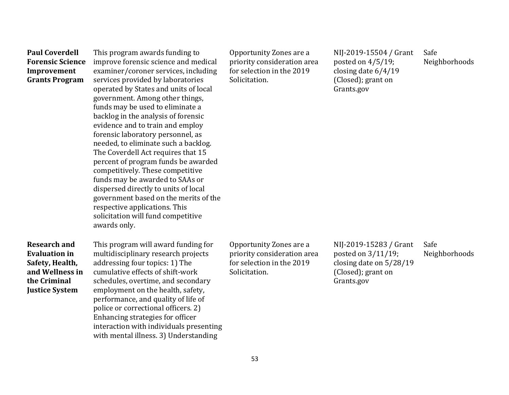**Paul Coverdell Forensic Science Improvement Grants Program** 

This program awards funding to improve forensic science and medical examiner/coroner services, including services provided by laboratories operated by States and units of local government. Among other things, funds may be used to eliminate a backlog in the analysis of forensic evidence and to train and employ forensic laboratory personnel, as needed, to eliminate such a backlog. The Coverdell Act requires that 15 percent of program funds be awarded competitively. These competitive funds may be awarded to SAAs or dispersed directly to units of local government based on the merits of the respective applications. This solicitation will fund competitive awards only.

**Research and Evaluation in Safety, Health, and Wellness in the Criminal Justice System** 

This program will award funding for multidisciplinary research projects addressing four topics: 1) The cumulative effects of shift-work schedules, overtime, and secondary employment on the health, safety, performance, and quality of life of police or correctional officers. 2) Enhancing strategies for officer interaction with individuals presenting with mental illness. 3) Understanding

Opportunity Zones are a priority consideration area for selection in the 2019 Solicitation.

NIJ-2019-15504 / Grant posted on 4/5/19; closing date 6/4/19 (Closed); grant on Grants.gov

Safe Neighborhoods

Opportunity Zones are a priority consideration area for selection in the 2019 Solicitation.

NIJ-2019-15283 / Grant posted on 3/11/19; closing date on 5/28/19 (Closed); grant on Grants.gov

Safe Neighborhoods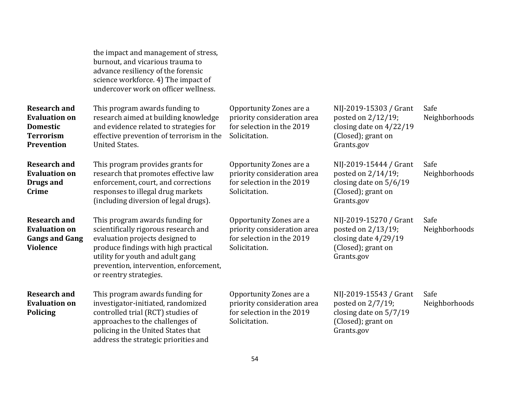|                                                                                                  | the impact and management of stress,<br>burnout, and vicarious trauma to<br>advance resiliency of the forensic<br>science workforce. 4) The impact of<br>undercover work on officer wellness.                                                              |                                                                                                      |                                                                                                               |                       |
|--------------------------------------------------------------------------------------------------|------------------------------------------------------------------------------------------------------------------------------------------------------------------------------------------------------------------------------------------------------------|------------------------------------------------------------------------------------------------------|---------------------------------------------------------------------------------------------------------------|-----------------------|
| <b>Research and</b><br><b>Evaluation on</b><br><b>Domestic</b><br><b>Terrorism</b><br>Prevention | This program awards funding to<br>research aimed at building knowledge<br>and evidence related to strategies for<br>effective prevention of terrorism in the<br><b>United States.</b>                                                                      | Opportunity Zones are a<br>priority consideration area<br>for selection in the 2019<br>Solicitation. | NIJ-2019-15303 / Grant<br>posted on 2/12/19;<br>closing date on $4/22/19$<br>(Closed); grant on<br>Grants.gov | Safe<br>Neighborhoods |
| <b>Research and</b><br><b>Evaluation on</b><br><b>Drugs and</b><br><b>Crime</b>                  | This program provides grants for<br>research that promotes effective law<br>enforcement, court, and corrections<br>responses to illegal drug markets<br>(including diversion of legal drugs).                                                              | Opportunity Zones are a<br>priority consideration area<br>for selection in the 2019<br>Solicitation. | NIJ-2019-15444 / Grant<br>posted on 2/14/19;<br>closing date on $5/6/19$<br>(Closed); grant on<br>Grants.gov  | Safe<br>Neighborhoods |
| <b>Research and</b><br><b>Evaluation on</b><br><b>Gangs and Gang</b><br><b>Violence</b>          | This program awards funding for<br>scientifically rigorous research and<br>evaluation projects designed to<br>produce findings with high practical<br>utility for youth and adult gang<br>prevention, intervention, enforcement,<br>or reentry strategies. | Opportunity Zones are a<br>priority consideration area<br>for selection in the 2019<br>Solicitation. | NIJ-2019-15270 / Grant<br>posted on 2/13/19;<br>closing date 4/29/19<br>(Closed); grant on<br>Grants.gov      | Safe<br>Neighborhoods |
| <b>Research and</b><br><b>Evaluation on</b><br><b>Policing</b>                                   | This program awards funding for<br>investigator-initiated, randomized<br>controlled trial (RCT) studies of<br>approaches to the challenges of<br>policing in the United States that<br>address the strategic priorities and                                | Opportunity Zones are a<br>priority consideration area<br>for selection in the 2019<br>Solicitation. | NIJ-2019-15543 / Grant<br>posted on $2/7/19$ ;<br>closing date on 5/7/19<br>(Closed); grant on<br>Grants.gov  | Safe<br>Neighborhoods |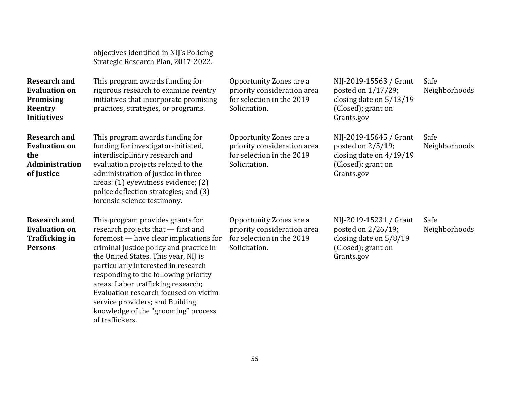objectives identified in NIJ's Policing Strategic Research Plan, 2017-2022.

| <b>Research and</b><br><b>Evaluation on</b><br>Promising<br>Reentry<br><b>Initiatives</b> | This program awards funding for<br>rigorous research to examine reentry<br>initiatives that incorporate promising<br>practices, strategies, or programs.                                                                                                                                                                                                                                                                                                       | Opportunity Zones are a<br>priority consideration area<br>for selection in the 2019<br>Solicitation. | NIJ-2019-15563 / Grant<br>posted on $1/17/29$ ;<br>closing date on 5/13/19<br>(Closed); grant on<br>Grants.gov  | Safe<br>Neighborhoods |
|-------------------------------------------------------------------------------------------|----------------------------------------------------------------------------------------------------------------------------------------------------------------------------------------------------------------------------------------------------------------------------------------------------------------------------------------------------------------------------------------------------------------------------------------------------------------|------------------------------------------------------------------------------------------------------|-----------------------------------------------------------------------------------------------------------------|-----------------------|
| <b>Research and</b><br><b>Evaluation on</b><br>the<br>Administration<br>of Justice        | This program awards funding for<br>funding for investigator-initiated,<br>interdisciplinary research and<br>evaluation projects related to the<br>administration of justice in three<br>areas: (1) eyewitness evidence; (2)<br>police deflection strategies; and (3)<br>forensic science testimony.                                                                                                                                                            | Opportunity Zones are a<br>priority consideration area<br>for selection in the 2019<br>Solicitation. | NIJ-2019-15645 / Grant<br>posted on $2/5/19$ ;<br>closing date on $4/19/19$<br>(Closed); grant on<br>Grants.gov | Safe<br>Neighborhoods |
| <b>Research and</b><br><b>Evaluation on</b><br><b>Trafficking in</b><br><b>Persons</b>    | This program provides grants for<br>research projects that - first and<br>foremost — have clear implications for<br>criminal justice policy and practice in<br>the United States. This year, NIJ is<br>particularly interested in research<br>responding to the following priority<br>areas: Labor trafficking research;<br>Evaluation research focused on victim<br>service providers; and Building<br>knowledge of the "grooming" process<br>of traffickers. | Opportunity Zones are a<br>priority consideration area<br>for selection in the 2019<br>Solicitation. | NIJ-2019-15231 / Grant<br>posted on 2/26/19;<br>closing date on $5/8/19$<br>(Closed); grant on<br>Grants.gov    | Safe<br>Neighborhoods |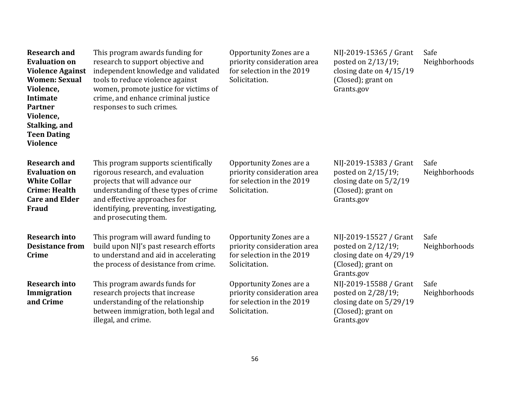| <b>Research and</b><br><b>Evaluation on</b><br><b>Violence Against</b><br><b>Women: Sexual</b><br>Violence,<br><b>Intimate</b><br><b>Partner</b><br>Violence,<br>Stalking, and<br><b>Teen Dating</b><br><b>Violence</b> | This program awards funding for<br>research to support objective and<br>independent knowledge and validated<br>tools to reduce violence against<br>women, promote justice for victims of<br>crime, and enhance criminal justice<br>responses to such crimes. | Opportunity Zones are a<br>priority consideration area<br>for selection in the 2019<br>Solicitation. | NIJ-2019-15365 / Grant<br>posted on 2/13/19;<br>closing date on $4/15/19$<br>(Closed); grant on<br>Grants.gov | Safe<br>Neighborhoods |
|-------------------------------------------------------------------------------------------------------------------------------------------------------------------------------------------------------------------------|--------------------------------------------------------------------------------------------------------------------------------------------------------------------------------------------------------------------------------------------------------------|------------------------------------------------------------------------------------------------------|---------------------------------------------------------------------------------------------------------------|-----------------------|
| <b>Research and</b><br><b>Evaluation on</b><br><b>White Collar</b><br><b>Crime: Health</b><br><b>Care and Elder</b><br><b>Fraud</b>                                                                                     | This program supports scientifically<br>rigorous research, and evaluation<br>projects that will advance our<br>understanding of these types of crime<br>and effective approaches for<br>identifying, preventing, investigating,<br>and prosecuting them.     | Opportunity Zones are a<br>priority consideration area<br>for selection in the 2019<br>Solicitation. | NIJ-2019-15383 / Grant<br>posted on 2/15/19;<br>closing date on $5/2/19$<br>(Closed); grant on<br>Grants.gov  | Safe<br>Neighborhoods |
| <b>Research into</b><br><b>Desistance from</b><br><b>Crime</b>                                                                                                                                                          | This program will award funding to<br>build upon NIJ's past research efforts<br>to understand and aid in accelerating<br>the process of desistance from crime.                                                                                               | Opportunity Zones are a<br>priority consideration area<br>for selection in the 2019<br>Solicitation. | NIJ-2019-15527 / Grant<br>posted on 2/12/19;<br>closing date on $4/29/19$<br>(Closed); grant on<br>Grants.gov | Safe<br>Neighborhoods |
| <b>Research into</b><br>Immigration<br>and Crime                                                                                                                                                                        | This program awards funds for<br>research projects that increase<br>understanding of the relationship<br>between immigration, both legal and<br>illegal, and crime.                                                                                          | Opportunity Zones are a<br>priority consideration area<br>for selection in the 2019<br>Solicitation. | NIJ-2019-15588 / Grant<br>posted on 2/28/19;<br>closing date on 5/29/19<br>(Closed); grant on<br>Grants.gov   | Safe<br>Neighborhoods |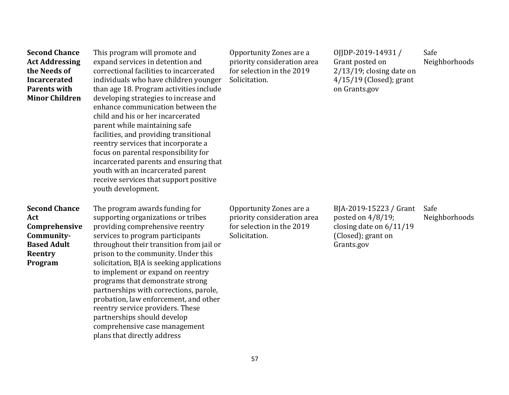| <b>Second Chance</b><br><b>Act Addressing</b><br>the Needs of<br><b>Incarcerated</b><br><b>Parents with</b><br><b>Minor Children</b> | This program will promote and<br>expand services in detention and<br>correctional facilities to incarcerated<br>individuals who have children younger<br>than age 18. Program activities include<br>developing strategies to increase and<br>enhance communication between the<br>child and his or her incarcerated<br>parent while maintaining safe<br>facilities, and providing transitional<br>reentry services that incorporate a<br>focus on parental responsibility for<br>incarcerated parents and ensuring that<br>youth with an incarcerated parent<br>receive services that support positive<br>youth development. | Opportunity Zones are a<br>priority consideration area<br>for selection in the 2019<br>Solicitation. | 0JDP-2019-14931/<br>Grant posted on<br>$2/13/19$ ; closing date on<br>$4/15/19$ (Closed); grant<br>on Grants.gov | Safe<br>Neighborhoods |
|--------------------------------------------------------------------------------------------------------------------------------------|------------------------------------------------------------------------------------------------------------------------------------------------------------------------------------------------------------------------------------------------------------------------------------------------------------------------------------------------------------------------------------------------------------------------------------------------------------------------------------------------------------------------------------------------------------------------------------------------------------------------------|------------------------------------------------------------------------------------------------------|------------------------------------------------------------------------------------------------------------------|-----------------------|
| <b>Second Chance</b><br>Act<br>Comprehensive<br>Community-<br><b>Based Adult</b><br>Reentry<br>Program                               | The program awards funding for<br>supporting organizations or tribes<br>providing comprehensive reentry<br>services to program participants<br>throughout their transition from jail or<br>prison to the community. Under this<br>solicitation, BJA is seeking applications<br>to implement or expand on reentry<br>programs that demonstrate strong<br>partnerships with corrections, parole,<br>probation, law enforcement, and other<br>reentry service providers. These<br>partnerships should develop<br>comprehensive case management<br>plans that directly address                                                   | Opportunity Zones are a<br>priority consideration area<br>for selection in the 2019<br>Solicitation. | BJA-2019-15223 / Grant<br>posted on $4/8/19$ ;<br>closing date on $6/11/19$<br>(Closed); grant on<br>Grants.gov  | Safe<br>Neighborhoods |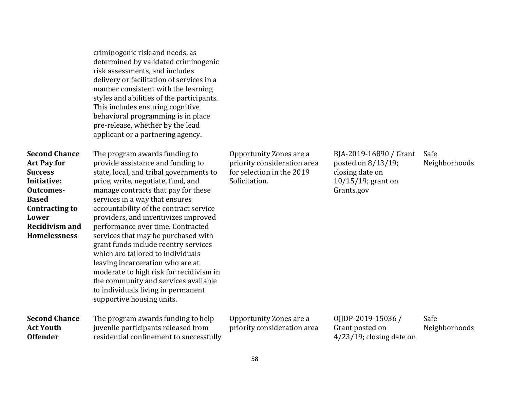criminogenic risk and needs, as determined by validated criminogenic risk assessments, and includes delivery or facilitation of services in a manner consistent with the learning styles and abilities of the participants. This includes ensuring cognitive behavioral programming is in place pre-release, whether by the lead applicant or a partnering agency.

| <b>Second Chance</b><br><b>Act Pay for</b><br><b>Success</b><br>Initiative:<br>Outcomes-<br><b>Based</b><br>Contracting to<br>Lower<br><b>Recidivism and</b><br><b>Homelessness</b> | The program awards funding to<br>provide assistance and funding to<br>state, local, and tribal governments to<br>price, write, negotiate, fund, and<br>manage contracts that pay for these<br>services in a way that ensures<br>accountability of the contract service<br>providers, and incentivizes improved<br>performance over time. Contracted<br>services that may be purchased with<br>grant funds include reentry services<br>which are tailored to individuals<br>leaving incarceration who are at<br>moderate to high risk for recidivism in<br>the community and services available<br>to individuals living in permanent<br>supportive housing units. | Opportunity Zones are a<br>priority consideration area<br>for selection in the 2019<br>Solicitation. | BJA-2019-16890 / Grant<br>posted on $8/13/19$ ;<br>closing date on<br>$10/15/19$ ; grant on<br>Grants.gov | Safe<br>Neighborhoods |
|-------------------------------------------------------------------------------------------------------------------------------------------------------------------------------------|-------------------------------------------------------------------------------------------------------------------------------------------------------------------------------------------------------------------------------------------------------------------------------------------------------------------------------------------------------------------------------------------------------------------------------------------------------------------------------------------------------------------------------------------------------------------------------------------------------------------------------------------------------------------|------------------------------------------------------------------------------------------------------|-----------------------------------------------------------------------------------------------------------|-----------------------|
| <b>Second Chance</b><br><b>Act Youth</b><br><b>Offender</b>                                                                                                                         | The program awards funding to help<br>juvenile participants released from<br>residential confinement to successfully                                                                                                                                                                                                                                                                                                                                                                                                                                                                                                                                              | Opportunity Zones are a<br>priority consideration area                                               | OJJDP-2019-15036 /<br>Grant posted on<br>$4/23/19$ ; closing date on                                      | Safe<br>Neighborhoods |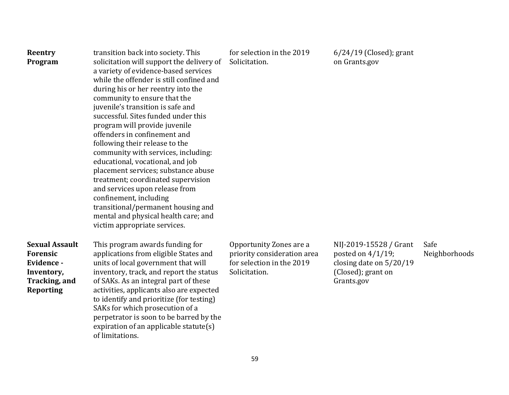| Reentry<br>Program                                                                                        | transition back into society. This<br>solicitation will support the delivery of<br>a variety of evidence-based services<br>while the offender is still confined and<br>during his or her reentry into the<br>community to ensure that the<br>juvenile's transition is safe and<br>successful. Sites funded under this<br>program will provide juvenile<br>offenders in confinement and<br>following their release to the<br>community with services, including:<br>educational, vocational, and job<br>placement services; substance abuse<br>treatment; coordinated supervision<br>and services upon release from<br>confinement, including<br>transitional/permanent housing and<br>mental and physical health care; and<br>victim appropriate services. | for selection in the 2019<br>Solicitation.                                                           | $6/24/19$ (Closed); grant<br>on Grants.gov                                                                      |                       |
|-----------------------------------------------------------------------------------------------------------|------------------------------------------------------------------------------------------------------------------------------------------------------------------------------------------------------------------------------------------------------------------------------------------------------------------------------------------------------------------------------------------------------------------------------------------------------------------------------------------------------------------------------------------------------------------------------------------------------------------------------------------------------------------------------------------------------------------------------------------------------------|------------------------------------------------------------------------------------------------------|-----------------------------------------------------------------------------------------------------------------|-----------------------|
| <b>Sexual Assault</b><br><b>Forensic</b><br>Evidence -<br>Inventory,<br>Tracking, and<br><b>Reporting</b> | This program awards funding for<br>applications from eligible States and<br>units of local government that will<br>inventory, track, and report the status<br>of SAKs. As an integral part of these<br>activities, applicants also are expected<br>to identify and prioritize (for testing)<br>SAKs for which prosecution of a<br>perpetrator is soon to be barred by the<br>expiration of an applicable statute(s)<br>of limitations.                                                                                                                                                                                                                                                                                                                     | Opportunity Zones are a<br>priority consideration area<br>for selection in the 2019<br>Solicitation. | NIJ-2019-15528 / Grant<br>posted on $4/1/19$ ;<br>closing date on $5/20/19$<br>(Closed); grant on<br>Grants.gov | Safe<br>Neighborhoods |

59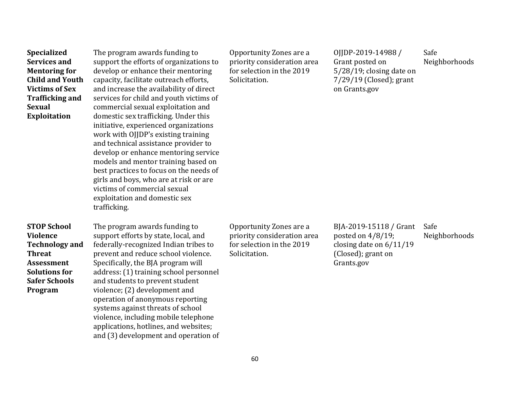| <b>Specialized</b><br><b>Services and</b><br><b>Mentoring for</b><br><b>Child and Youth</b><br><b>Victims of Sex</b><br><b>Trafficking and</b><br><b>Sexual</b><br><b>Exploitation</b> | The program awards funding to<br>support the efforts of organizations to<br>develop or enhance their mentoring<br>capacity, facilitate outreach efforts,<br>and increase the availability of direct<br>services for child and youth victims of<br>commercial sexual exploitation and<br>domestic sex trafficking. Under this<br>initiative, experienced organizations<br>work with OJJDP's existing training<br>and technical assistance provider to<br>develop or enhance mentoring service<br>models and mentor training based on<br>best practices to focus on the needs of<br>girls and boys, who are at risk or are<br>victims of commercial sexual<br>exploitation and domestic sex<br>trafficking. | Opportunity Zones are a<br>priority consideration area<br>for selection in the 2019<br>Solicitation. | OJJDP-2019-14988/<br>Grant posted on<br>5/28/19; closing date on<br>$7/29/19$ (Closed); grant<br>on Grants.gov  | Safe<br>Neighborhoods |
|----------------------------------------------------------------------------------------------------------------------------------------------------------------------------------------|-----------------------------------------------------------------------------------------------------------------------------------------------------------------------------------------------------------------------------------------------------------------------------------------------------------------------------------------------------------------------------------------------------------------------------------------------------------------------------------------------------------------------------------------------------------------------------------------------------------------------------------------------------------------------------------------------------------|------------------------------------------------------------------------------------------------------|-----------------------------------------------------------------------------------------------------------------|-----------------------|
| <b>STOP School</b><br><b>Violence</b><br><b>Technology and</b><br><b>Threat</b><br><b>Assessment</b><br><b>Solutions for</b><br><b>Safer Schools</b><br>Program                        | The program awards funding to<br>support efforts by state, local, and<br>federally-recognized Indian tribes to<br>prevent and reduce school violence.<br>Specifically, the BJA program will<br>address: (1) training school personnel<br>and students to prevent student<br>violence; (2) development and<br>operation of anonymous reporting<br>systems against threats of school<br>violence, including mobile telephone<br>applications, hotlines, and websites;<br>and (3) development and operation of                                                                                                                                                                                               | Opportunity Zones are a<br>priority consideration area<br>for selection in the 2019<br>Solicitation. | BJA-2019-15118 / Grant<br>posted on $4/8/19$ ;<br>closing date on $6/11/19$<br>(Closed); grant on<br>Grants.gov | Safe<br>Neighborhoods |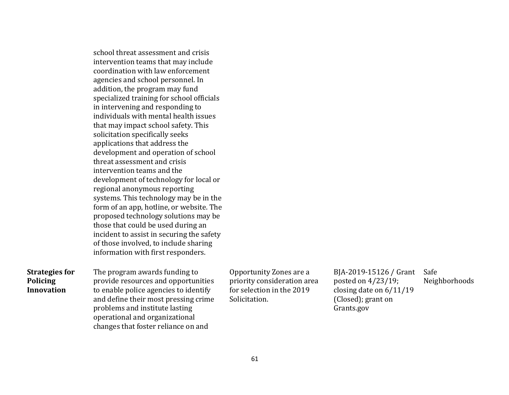|                                                               | school threat assessment and crisis<br>intervention teams that may include<br>coordination with law enforcement<br>agencies and school personnel. In<br>addition, the program may fund<br>specialized training for school officials<br>in intervening and responding to<br>individuals with mental health issues<br>that may impact school safety. This<br>solicitation specifically seeks<br>applications that address the<br>development and operation of school<br>threat assessment and crisis<br>intervention teams and the<br>development of technology for local or<br>regional anonymous reporting<br>systems. This technology may be in the<br>form of an app, hotline, or website. The<br>proposed technology solutions may be<br>those that could be used during an |                                                                                                      |                                                                                                               |              |
|---------------------------------------------------------------|--------------------------------------------------------------------------------------------------------------------------------------------------------------------------------------------------------------------------------------------------------------------------------------------------------------------------------------------------------------------------------------------------------------------------------------------------------------------------------------------------------------------------------------------------------------------------------------------------------------------------------------------------------------------------------------------------------------------------------------------------------------------------------|------------------------------------------------------------------------------------------------------|---------------------------------------------------------------------------------------------------------------|--------------|
|                                                               | incident to assist in securing the safety<br>of those involved, to include sharing<br>information with first responders.                                                                                                                                                                                                                                                                                                                                                                                                                                                                                                                                                                                                                                                       |                                                                                                      |                                                                                                               |              |
| <b>Strategies for</b><br><b>Policing</b><br><b>Innovation</b> | The program awards funding to<br>provide resources and opportunities<br>to enable police agencies to identify<br>and define their most pressing crime<br>problems and institute lasting<br>operational and organizational<br>changes that foster reliance on and                                                                                                                                                                                                                                                                                                                                                                                                                                                                                                               | Opportunity Zones are a<br>priority consideration area<br>for selection in the 2019<br>Solicitation. | BJA-2019-15126 / Grant<br>posted on 4/23/19;<br>closing date on $6/11/19$<br>(Closed); grant on<br>Grants.gov | Safe<br>Neig |

Neighborhoods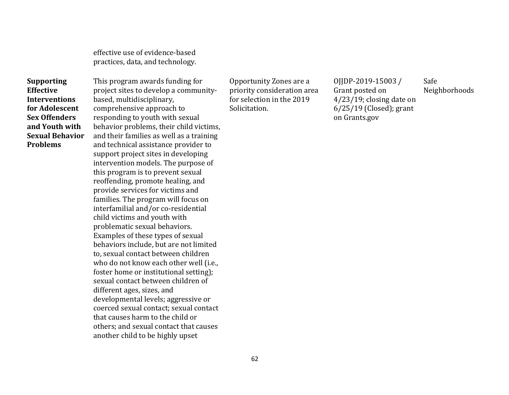effective use of evidence-based practices, data, and technology.

**Supporting Effective Interventions for Adolescent Sex Offenders and Youth with Sexual Behavior Problems** 

This program awards funding for project sites to develop a communitybased, multidisciplinary, comprehensive approach to responding to youth with sexual behavior problems, their child victims, and their families as well as a training and technical assistance provider to support project sites in developing intervention models. The purpose of this program is to prevent sexual reoffending, promote healing, and provide services for victims and families. The program will focus on interfamilial and/or co-residential child victims and youth with problematic sexual behaviors. Examples of these types of sexual behaviors include, but are not limited to, sexual contact between children who do not know each other well (i.e., foster home or institutional setting); sexual contact between children of different ages, sizes, and developmental levels; aggressive or coerced sexual contact; sexual contact that causes harm to the child or others; and sexual contact that causes another child to be highly upset

Opportunity Zones are a priority consideration area for selection in the 2019 Solicitation.

OJJDP-2019-15003 / Grant posted on 4/23/19; closing date on 6/25/19 (Closed); grant on Grants.gov

Safe Neighborhoods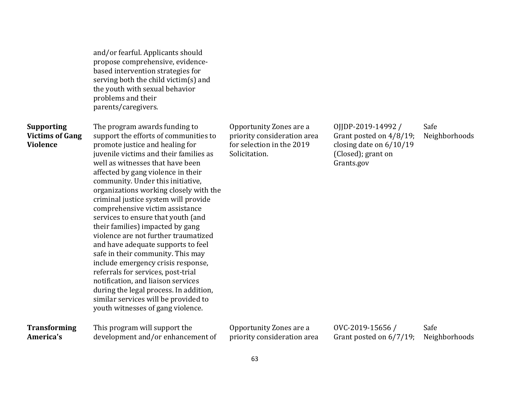| and/or fearful. Applicants should    |
|--------------------------------------|
| propose comprehensive, evidence-     |
| based intervention strategies for    |
| serving both the child victim(s) and |
| the youth with sexual behavior       |
| problems and their                   |
| parents/caregivers.                  |

## **Supporting Victims of Gang Violence**

The program awards funding to support the efforts of communities to promote justice and healing for juvenile victims and their families as well as witnesses that have been affected by gang violence in their community. Under this initiative, organizations working closely with the criminal justice system will provide comprehensive victim assistance services to ensure that youth (and their families) impacted by gang violence are not further traumatized and have adequate supports to feel safe in their community. This may include emergency crisis response, referrals for services, post-trial notification, and liaison services during the legal process. In addition, similar services will be provided to youth witnesses of gang violence.

Opportunity Zones are a priority consideration area for selection in the 2019 Solicitation.

OJJDP-2019-14992 / Grant posted on 4/8/19; closing date on 6/10/19 (Closed); grant on Grants.gov Safe Neighborhoods

| <b>Transforming</b> | This program will support the     | Opportunity Zones are a     | 0VC-2019-15656/                       | Safe |
|---------------------|-----------------------------------|-----------------------------|---------------------------------------|------|
| America's           | development and/or enhancement of | priority consideration area | Grant posted on 6/7/19; Neighborhoods |      |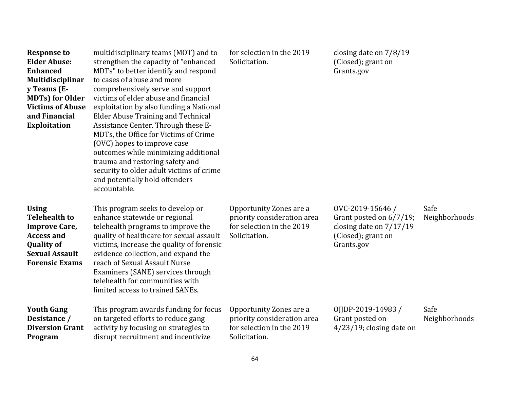| <b>Response to</b><br><b>Elder Abuse:</b><br><b>Enhanced</b><br>Multidisciplinar<br>y Teams (E-<br><b>MDTs)</b> for Older<br><b>Victims of Abuse</b><br>and Financial<br><b>Exploitation</b> | multidisciplinary teams (MOT) and to<br>strengthen the capacity of "enhanced<br>MDTs" to better identify and respond<br>to cases of abuse and more<br>comprehensively serve and support<br>victims of elder abuse and financial<br>exploitation by also funding a National<br>Elder Abuse Training and Technical<br>Assistance Center. Through these E-<br>MDTs, the Office for Victims of Crime<br>(OVC) hopes to improve case<br>outcomes while minimizing additional<br>trauma and restoring safety and<br>security to older adult victims of crime<br>and potentially hold offenders<br>accountable. | for selection in the 2019<br>Solicitation.                                                           | closing date on $7/8/19$<br>(Closed); grant on<br>Grants.gov                                                |                       |
|----------------------------------------------------------------------------------------------------------------------------------------------------------------------------------------------|----------------------------------------------------------------------------------------------------------------------------------------------------------------------------------------------------------------------------------------------------------------------------------------------------------------------------------------------------------------------------------------------------------------------------------------------------------------------------------------------------------------------------------------------------------------------------------------------------------|------------------------------------------------------------------------------------------------------|-------------------------------------------------------------------------------------------------------------|-----------------------|
| <b>Using</b><br><b>Telehealth to</b><br><b>Improve Care,</b><br><b>Access and</b><br><b>Quality of</b><br><b>Sexual Assault</b><br><b>Forensic Exams</b>                                     | This program seeks to develop or<br>enhance statewide or regional<br>telehealth programs to improve the<br>quality of healthcare for sexual assault<br>victims, increase the quality of forensic<br>evidence collection, and expand the<br>reach of Sexual Assault Nurse<br>Examiners (SANE) services through<br>telehealth for communities with<br>limited access to trained SANEs.                                                                                                                                                                                                                     | Opportunity Zones are a<br>priority consideration area<br>for selection in the 2019<br>Solicitation. | OVC-2019-15646/<br>Grant posted on 6/7/19;<br>closing date on $7/17/19$<br>(Closed); grant on<br>Grants.gov | Safe<br>Neighborhoods |
| <b>Youth Gang</b><br>Desistance /<br><b>Diversion Grant</b><br>Program                                                                                                                       | This program awards funding for focus<br>on targeted efforts to reduce gang<br>activity by focusing on strategies to<br>disrupt recruitment and incentivize                                                                                                                                                                                                                                                                                                                                                                                                                                              | Opportunity Zones are a<br>priority consideration area<br>for selection in the 2019<br>Solicitation. | OJJDP-2019-14983/<br>Grant posted on<br>$4/23/19$ ; closing date on                                         | Safe<br>Neighborhoods |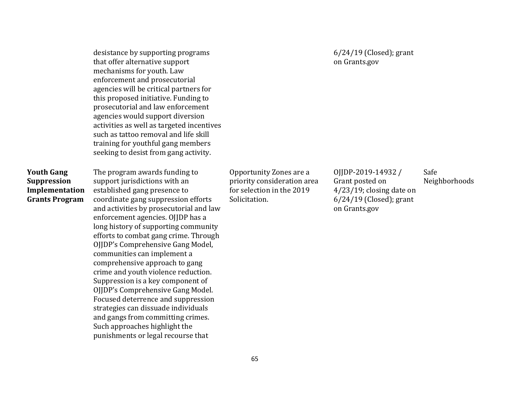desistance by supporting programs that offer alternative support mechanisms for youth. Law enforcement and prosecutorial agencies will be critical partners for this proposed initiative. Funding to prosecutorial and law enforcement agencies would support diversion activities as well as targeted incentives such as tattoo removal and life skill training for youthful gang members seeking to desist from gang activity.

### **Youth Gang Suppression Implementation Grants Program**

The program awards funding to support jurisdictions with an established gang presence to coordinate gang suppression efforts and activities by prosecutorial and law enforcement agencies. OJJDP has a long history of supporting community efforts to combat gang crime. Through OJJDP's Comprehensive Gang Model, communities can implement a comprehensive approach to gang crime and youth violence reduction. Suppression is a key component of OJJDP's Comprehensive Gang Model. Focused deterrence and suppression strategies can dissuade individuals and gangs from committing crimes. Such approaches highlight the punishments or legal recourse that

Opportunity Zones are a priority consideration area for selection in the 2019 Solicitation.

6/24/19 (Closed); grant on Grants.gov

OJJDP-2019-14932 / Grant posted on 4/23/19; closing date on 6/24/19 (Closed); grant on Grants.gov Safe Neighborhoods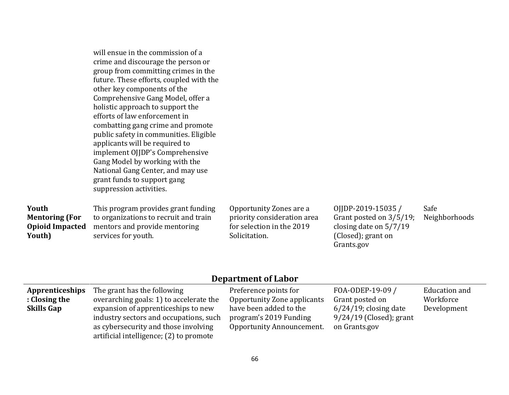|                                                                    | will ensue in the commission of a<br>crime and discourage the person or<br>group from committing crimes in the<br>future. These efforts, coupled with the<br>other key components of the<br>Comprehensive Gang Model, offer a<br>holistic approach to support the<br>efforts of law enforcement in<br>combatting gang crime and promote<br>public safety in communities. Eligible<br>applicants will be required to<br>implement OJJDP's Comprehensive<br>Gang Model by working with the<br>National Gang Center, and may use<br>grant funds to support gang<br>suppression activities. |                                                                                                      |                                                                                                                |                       |
|--------------------------------------------------------------------|-----------------------------------------------------------------------------------------------------------------------------------------------------------------------------------------------------------------------------------------------------------------------------------------------------------------------------------------------------------------------------------------------------------------------------------------------------------------------------------------------------------------------------------------------------------------------------------------|------------------------------------------------------------------------------------------------------|----------------------------------------------------------------------------------------------------------------|-----------------------|
| Youth<br><b>Mentoring (For</b><br><b>Opioid Impacted</b><br>Youth) | This program provides grant funding<br>to organizations to recruit and train<br>mentors and provide mentoring<br>services for youth.                                                                                                                                                                                                                                                                                                                                                                                                                                                    | Opportunity Zones are a<br>priority consideration area<br>for selection in the 2019<br>Solicitation. | 0JDP-2019-15035/<br>Grant posted on $3/5/19$ ;<br>closing date on $5/7/19$<br>(Closed); grant on<br>Grants.gov | Safe<br>Neighborhoods |

# **Department of Labor**

| <b>Apprenticeships</b> | The grant has the following             | Preference points for            | FOA-ODEP-19-09 /          | Education and |
|------------------------|-----------------------------------------|----------------------------------|---------------------------|---------------|
| : Closing the          | overarching goals: 1) to accelerate the | Opportunity Zone applicants      | Grant posted on           | Workforce     |
| <b>Skills Gap</b>      | expansion of apprenticeships to new     | have been added to the           | $6/24/19$ ; closing date  | Development   |
|                        | industry sectors and occupations, such  | program's 2019 Funding           | $9/24/19$ (Closed); grant |               |
|                        | as cybersecurity and those involving    | <b>Opportunity Announcement.</b> | on Grants.gov             |               |
|                        | artificial intelligence; (2) to promote |                                  |                           |               |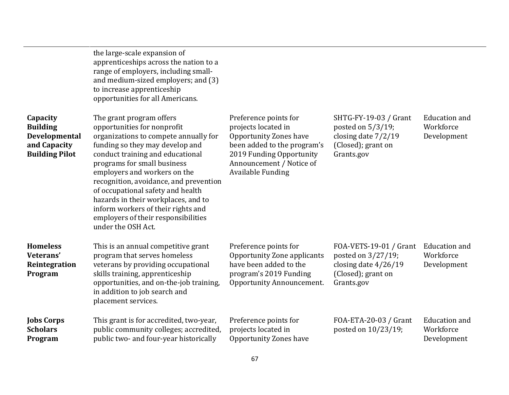|                                                                                       | the large-scale expansion of<br>apprenticeships across the nation to a<br>range of employers, including small-<br>and medium-sized employers; and (3)<br>to increase apprenticeship<br>opportunities for all Americans.                                                                                                                                                                                                                                         |                                                                                                                                                                                                  |                                                                                                            |                                                  |
|---------------------------------------------------------------------------------------|-----------------------------------------------------------------------------------------------------------------------------------------------------------------------------------------------------------------------------------------------------------------------------------------------------------------------------------------------------------------------------------------------------------------------------------------------------------------|--------------------------------------------------------------------------------------------------------------------------------------------------------------------------------------------------|------------------------------------------------------------------------------------------------------------|--------------------------------------------------|
| Capacity<br><b>Building</b><br>Developmental<br>and Capacity<br><b>Building Pilot</b> | The grant program offers<br>opportunities for nonprofit<br>organizations to compete annually for<br>funding so they may develop and<br>conduct training and educational<br>programs for small business<br>employers and workers on the<br>recognition, avoidance, and prevention<br>of occupational safety and health<br>hazards in their workplaces, and to<br>inform workers of their rights and<br>employers of their responsibilities<br>under the OSH Act. | Preference points for<br>projects located in<br><b>Opportunity Zones have</b><br>been added to the program's<br>2019 Funding Opportunity<br>Announcement / Notice of<br><b>Available Funding</b> | SHTG-FY-19-03 / Grant<br>posted on 5/3/19;<br>closing date $7/2/19$<br>(Closed); grant on<br>Grants.gov    | <b>Education</b> and<br>Workforce<br>Development |
| <b>Homeless</b><br>Veterans'<br>Reintegration<br>Program                              | This is an annual competitive grant<br>program that serves homeless<br>veterans by providing occupational<br>skills training, apprenticeship<br>opportunities, and on-the-job training,<br>in addition to job search and<br>placement services.                                                                                                                                                                                                                 | Preference points for<br>Opportunity Zone applicants<br>have been added to the<br>program's 2019 Funding<br>Opportunity Announcement.                                                            | FOA-VETS-19-01 / Grant<br>posted on 3/27/19;<br>closing date $4/26/19$<br>(Closed); grant on<br>Grants.gov | <b>Education</b> and<br>Workforce<br>Development |
| <b>Jobs Corps</b><br><b>Scholars</b><br>Program                                       | This grant is for accredited, two-year,<br>public community colleges; accredited,<br>public two- and four-year historically                                                                                                                                                                                                                                                                                                                                     | Preference points for<br>projects located in<br><b>Opportunity Zones have</b>                                                                                                                    | FOA-ETA-20-03 / Grant<br>posted on 10/23/19;                                                               | <b>Education</b> and<br>Workforce<br>Development |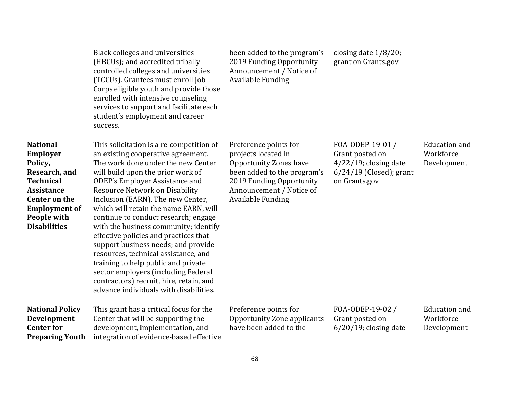|                                                                                                                                                                                        | Black colleges and universities<br>(HBCUs); and accredited tribally<br>controlled colleges and universities<br>(TCCUs). Grantees must enroll Job<br>Corps eligible youth and provide those<br>enrolled with intensive counseling<br>services to support and facilitate each<br>student's employment and career<br>success.                                                                                                                                                                                                                                                                                                                                                                            | been added to the program's<br>2019 Funding Opportunity<br>Announcement / Notice of<br><b>Available Funding</b>                                                                                  | closing date $1/8/20$ ;<br>grant on Grants.gov                                                               |                                                  |
|----------------------------------------------------------------------------------------------------------------------------------------------------------------------------------------|-------------------------------------------------------------------------------------------------------------------------------------------------------------------------------------------------------------------------------------------------------------------------------------------------------------------------------------------------------------------------------------------------------------------------------------------------------------------------------------------------------------------------------------------------------------------------------------------------------------------------------------------------------------------------------------------------------|--------------------------------------------------------------------------------------------------------------------------------------------------------------------------------------------------|--------------------------------------------------------------------------------------------------------------|--------------------------------------------------|
| <b>National</b><br><b>Employer</b><br>Policy,<br>Research, and<br><b>Technical</b><br><b>Assistance</b><br>Center on the<br><b>Employment of</b><br>People with<br><b>Disabilities</b> | This solicitation is a re-competition of<br>an existing cooperative agreement.<br>The work done under the new Center<br>will build upon the prior work of<br><b>ODEP's Employer Assistance and</b><br><b>Resource Network on Disability</b><br>Inclusion (EARN). The new Center,<br>which will retain the name EARN, will<br>continue to conduct research; engage<br>with the business community; identify<br>effective policies and practices that<br>support business needs; and provide<br>resources, technical assistance, and<br>training to help public and private<br>sector employers (including Federal<br>contractors) recruit, hire, retain, and<br>advance individuals with disabilities. | Preference points for<br>projects located in<br><b>Opportunity Zones have</b><br>been added to the program's<br>2019 Funding Opportunity<br>Announcement / Notice of<br><b>Available Funding</b> | FOA-ODEP-19-01/<br>Grant posted on<br>$4/22/19$ ; closing date<br>$6/24/19$ (Closed); grant<br>on Grants.gov | <b>Education</b> and<br>Workforce<br>Development |
| <b>National Policy</b><br>Development<br><b>Center for</b><br><b>Preparing Youth</b>                                                                                                   | This grant has a critical focus for the<br>Center that will be supporting the<br>development, implementation, and<br>integration of evidence-based effective                                                                                                                                                                                                                                                                                                                                                                                                                                                                                                                                          | Preference points for<br>Opportunity Zone applicants<br>have been added to the                                                                                                                   | FOA-ODEP-19-02 /<br>Grant posted on<br>$6/20/19$ ; closing date                                              | <b>Education</b> and<br>Workforce<br>Development |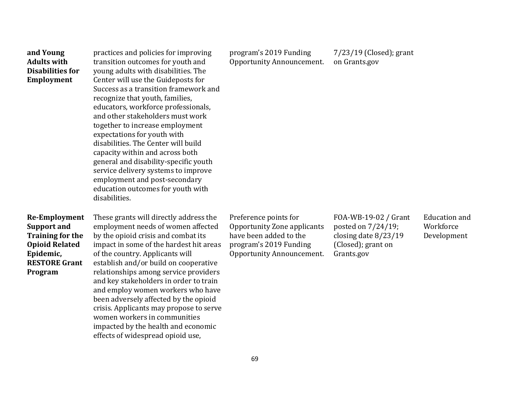| and Young<br><b>Adults with</b><br><b>Disabilities for</b><br>Employment                                                                       | practices and policies for improving<br>transition outcomes for youth and<br>young adults with disabilities. The<br>Center will use the Guideposts for<br>Success as a transition framework and<br>recognize that youth, families,<br>educators, workforce professionals,<br>and other stakeholders must work<br>together to increase employment<br>expectations for youth with<br>disabilities. The Center will build<br>capacity within and across both<br>general and disability-specific youth<br>service delivery systems to improve<br>employment and post-secondary<br>education outcomes for youth with<br>disabilities. | program's 2019 Funding<br><b>Opportunity Announcement.</b>                                                                            | 7/23/19 (Closed); grant<br>on Grants.gov                                                               |                                                  |
|------------------------------------------------------------------------------------------------------------------------------------------------|----------------------------------------------------------------------------------------------------------------------------------------------------------------------------------------------------------------------------------------------------------------------------------------------------------------------------------------------------------------------------------------------------------------------------------------------------------------------------------------------------------------------------------------------------------------------------------------------------------------------------------|---------------------------------------------------------------------------------------------------------------------------------------|--------------------------------------------------------------------------------------------------------|--------------------------------------------------|
| <b>Re-Employment</b><br><b>Support and</b><br><b>Training for the</b><br><b>Opioid Related</b><br>Epidemic,<br><b>RESTORE Grant</b><br>Program | These grants will directly address the<br>employment needs of women affected<br>by the opioid crisis and combat its<br>impact in some of the hardest hit areas<br>of the country. Applicants will<br>establish and/or build on cooperative<br>relationships among service providers<br>and key stakeholders in order to train<br>and employ women workers who have<br>been adversely affected by the opioid<br>crisis. Applicants may propose to serve<br>women workers in communities<br>impacted by the health and economic<br>effects of widespread opioid use,                                                               | Preference points for<br>Opportunity Zone applicants<br>have been added to the<br>program's 2019 Funding<br>Opportunity Announcement. | FOA-WB-19-02 / Grant<br>posted on 7/24/19;<br>closing date 8/23/19<br>(Closed); grant on<br>Grants.gov | <b>Education</b> and<br>Workforce<br>Development |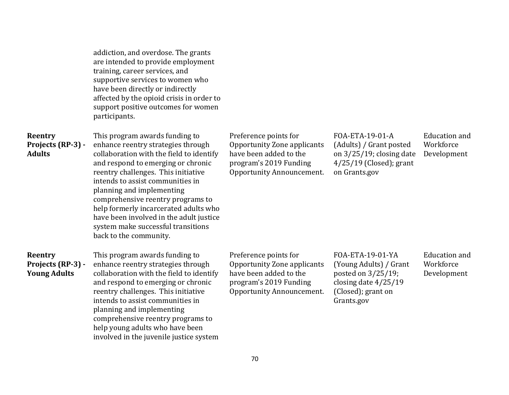|                                                     | addiction, and overdose. The grants<br>are intended to provide employment<br>training, career services, and<br>supportive services to women who<br>have been directly or indirectly<br>affected by the opioid crisis in order to<br>support positive outcomes for women<br>participants.                                                                                                                                                                |                                                                                                                                              |                                                                                                                                 |                                                  |
|-----------------------------------------------------|---------------------------------------------------------------------------------------------------------------------------------------------------------------------------------------------------------------------------------------------------------------------------------------------------------------------------------------------------------------------------------------------------------------------------------------------------------|----------------------------------------------------------------------------------------------------------------------------------------------|---------------------------------------------------------------------------------------------------------------------------------|--------------------------------------------------|
| Reentry<br>Projects (RP-3) -<br><b>Adults</b>       | This program awards funding to<br>enhance reentry strategies through<br>collaboration with the field to identify<br>and respond to emerging or chronic<br>reentry challenges. This initiative<br>intends to assist communities in<br>planning and implementing<br>comprehensive reentry programs to<br>help formerly incarcerated adults who<br>have been involved in the adult justice<br>system make successful transitions<br>back to the community. | Preference points for<br><b>Opportunity Zone applicants</b><br>have been added to the<br>program's 2019 Funding<br>Opportunity Announcement. | FOA-ETA-19-01-A<br>(Adults) / Grant posted<br>on $3/25/19$ ; closing date<br>$4/25/19$ (Closed); grant<br>on Grants.gov         | <b>Education</b> and<br>Workforce<br>Development |
| Reentry<br>Projects (RP-3) -<br><b>Young Adults</b> | This program awards funding to<br>enhance reentry strategies through<br>collaboration with the field to identify<br>and respond to emerging or chronic<br>reentry challenges. This initiative<br>intends to assist communities in<br>planning and implementing<br>comprehensive reentry programs to<br>help young adults who have been<br>involved in the juvenile justice system                                                                       | Preference points for<br><b>Opportunity Zone applicants</b><br>have been added to the<br>program's 2019 Funding<br>Opportunity Announcement. | FOA-ETA-19-01-YA<br>(Young Adults) / Grant<br>posted on $3/25/19$ ;<br>closing date 4/25/19<br>(Closed); grant on<br>Grants.gov | <b>Education</b> and<br>Workforce<br>Development |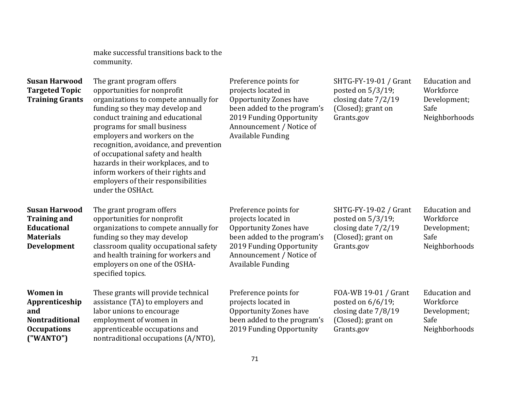make successful transitions back to the community.

| <b>Susan Harwood</b><br><b>Targeted Topic</b><br><b>Training Grants</b>                              | The grant program offers<br>opportunities for nonprofit<br>organizations to compete annually for<br>funding so they may develop and<br>conduct training and educational<br>programs for small business<br>employers and workers on the<br>recognition, avoidance, and prevention<br>of occupational safety and health<br>hazards in their workplaces, and to<br>inform workers of their rights and<br>employers of their responsibilities<br>under the OSHAct. | Preference points for<br>projects located in<br><b>Opportunity Zones have</b><br>been added to the program's<br>2019 Funding Opportunity<br>Announcement / Notice of<br><b>Available Funding</b> | SHTG-FY-19-01 / Grant<br>posted on $5/3/19$ ;<br>closing date $7/2/19$<br>(Closed); grant on<br>Grants.gov | Education and<br>Workforce<br>Development;<br>Safe<br>Neighborhoods        |
|------------------------------------------------------------------------------------------------------|----------------------------------------------------------------------------------------------------------------------------------------------------------------------------------------------------------------------------------------------------------------------------------------------------------------------------------------------------------------------------------------------------------------------------------------------------------------|--------------------------------------------------------------------------------------------------------------------------------------------------------------------------------------------------|------------------------------------------------------------------------------------------------------------|----------------------------------------------------------------------------|
| <b>Susan Harwood</b><br><b>Training and</b><br>Educational<br><b>Materials</b><br>Development        | The grant program offers<br>opportunities for nonprofit<br>organizations to compete annually for<br>funding so they may develop<br>classroom quality occupational safety<br>and health training for workers and<br>employers on one of the OSHA-<br>specified topics.                                                                                                                                                                                          | Preference points for<br>projects located in<br><b>Opportunity Zones have</b><br>been added to the program's<br>2019 Funding Opportunity<br>Announcement / Notice of<br><b>Available Funding</b> | SHTG-FY-19-02 / Grant<br>posted on $5/3/19$ ;<br>closing date 7/2/19<br>(Closed); grant on<br>Grants.gov   | <b>Education</b> and<br>Workforce<br>Development;<br>Safe<br>Neighborhoods |
| <b>Women</b> in<br>Apprenticeship<br>and<br><b>Nontraditional</b><br><b>Occupations</b><br>("WANTO") | These grants will provide technical<br>assistance (TA) to employers and<br>labor unions to encourage<br>employment of women in<br>apprenticeable occupations and<br>nontraditional occupations (A/NTO),                                                                                                                                                                                                                                                        | Preference points for<br>projects located in<br><b>Opportunity Zones have</b><br>been added to the program's<br>2019 Funding Opportunity                                                         | FOA-WB 19-01 / Grant<br>posted on $6/6/19$ ;<br>closing date 7/8/19<br>(Closed); grant on<br>Grants.gov    | <b>Education</b> and<br>Workforce<br>Development;<br>Safe<br>Neighborhoods |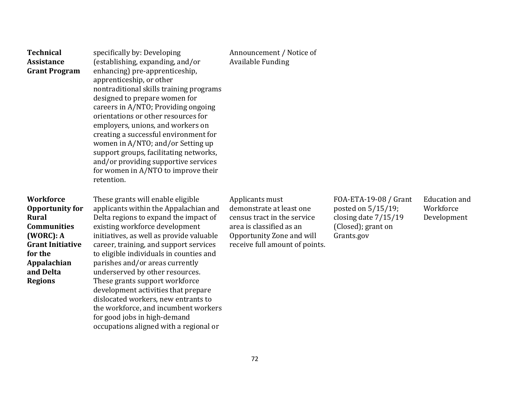| <b>Technical</b><br><b>Assistance</b><br><b>Grant Program</b>                                                                                                                     | specifically by: Developing<br>(establishing, expanding, and/or<br>enhancing) pre-apprenticeship,<br>apprenticeship, or other<br>nontraditional skills training programs<br>designed to prepare women for<br>careers in A/NTO; Providing ongoing<br>orientations or other resources for<br>employers, unions, and workers on<br>creating a successful environment for<br>women in A/NTO; and/or Setting up<br>support groups, facilitating networks,<br>and/or providing supportive services<br>for women in A/NTO to improve their<br>retention.                                              | Announcement / Notice of<br><b>Available Funding</b>                                                                                                                  |                                                                                                         |                                                  |
|-----------------------------------------------------------------------------------------------------------------------------------------------------------------------------------|------------------------------------------------------------------------------------------------------------------------------------------------------------------------------------------------------------------------------------------------------------------------------------------------------------------------------------------------------------------------------------------------------------------------------------------------------------------------------------------------------------------------------------------------------------------------------------------------|-----------------------------------------------------------------------------------------------------------------------------------------------------------------------|---------------------------------------------------------------------------------------------------------|--------------------------------------------------|
| <b>Workforce</b><br><b>Opportunity for</b><br><b>Rural</b><br><b>Communities</b><br>(WORC): A<br><b>Grant Initiative</b><br>for the<br>Appalachian<br>and Delta<br><b>Regions</b> | These grants will enable eligible<br>applicants within the Appalachian and<br>Delta regions to expand the impact of<br>existing workforce development<br>initiatives, as well as provide valuable<br>career, training, and support services<br>to eligible individuals in counties and<br>parishes and/or areas currently<br>underserved by other resources.<br>These grants support workforce<br>development activities that prepare<br>dislocated workers, new entrants to<br>the workforce, and incumbent workers<br>for good jobs in high-demand<br>occupations aligned with a regional or | Applicants must<br>demonstrate at least one<br>census tract in the service<br>area is classified as an<br>Opportunity Zone and will<br>receive full amount of points. | FOA-ETA-19-08 / Grant<br>posted on 5/15/19;<br>closing date 7/15/19<br>(Closed); grant on<br>Grants.gov | <b>Education</b> and<br>Workforce<br>Development |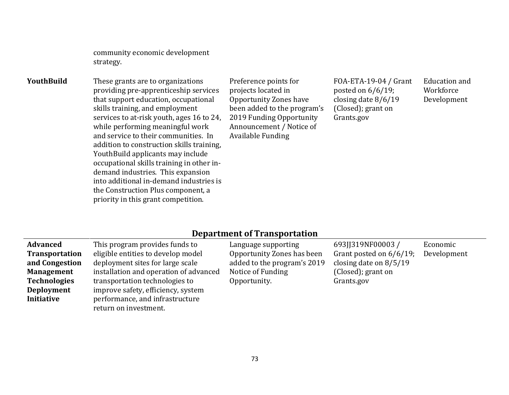community economic development strategy.

**YouthBuild** These grants are to organizations providing pre-apprenticeship services that support education, occupational skills training, and employment services to at-risk youth, ages 16 to 24, while performing meaningful work and service to their communities. In addition to construction skills training, YouthBuild applicants may include occupational skills training in other indemand industries. This expansion into additional in-demand industries is the Construction Plus component, a priority in this grant competition.

Preference points for projects located in Opportunity Zones have been added to the program's 2019 Funding Opportunity Announcement / Notice of Available Funding

FOA-ETA-19-04 / Grant posted on 6/6/19; closing date 8/6/19 (Closed); grant on Grants.gov

Education and Workforce Development

#### **Department of Transportation**

| <b>Advanced</b>     | This program provides funds to         | Language supporting         | 693JJ319NF00003/           | Economic    |
|---------------------|----------------------------------------|-----------------------------|----------------------------|-------------|
| Transportation      | eligible entities to develop model     | Opportunity Zones has been  | Grant posted on $6/6/19$ ; | Development |
| and Congestion      | deployment sites for large scale       | added to the program's 2019 | closing date on $8/5/19$   |             |
| <b>Management</b>   | installation and operation of advanced | Notice of Funding           | (Closed); grant on         |             |
| <b>Technologies</b> | transportation technologies to         | Opportunity.                | Grants.gov                 |             |
| <b>Deployment</b>   | improve safety, efficiency, system     |                             |                            |             |
| Initiative          | performance, and infrastructure        |                             |                            |             |
|                     | return on investment.                  |                             |                            |             |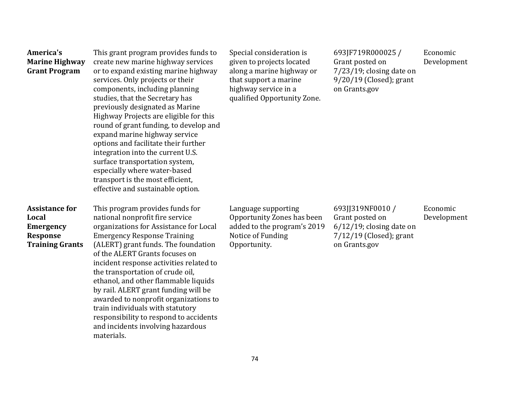| America's<br><b>Marine Highway</b><br><b>Grant Program</b>                                      | This grant program provides funds to<br>create new marine highway services<br>or to expand existing marine highway<br>services. Only projects or their<br>components, including planning<br>studies, that the Secretary has<br>previously designated as Marine<br>Highway Projects are eligible for this<br>round of grant funding, to develop and<br>expand marine highway service<br>options and facilitate their further<br>integration into the current U.S.<br>surface transportation system,<br>especially where water-based<br>transport is the most efficient,<br>effective and sustainable option. | Special consideration is<br>given to projects located<br>along a marine highway or<br>that support a marine<br>highway service in a<br>qualified Opportunity Zone. | 693JF719R000025 /<br>Grant posted on<br>$7/23/19$ ; closing date on<br>9/20/19 (Closed); grant<br>on Grants.gov  | Economic<br>Development |
|-------------------------------------------------------------------------------------------------|-------------------------------------------------------------------------------------------------------------------------------------------------------------------------------------------------------------------------------------------------------------------------------------------------------------------------------------------------------------------------------------------------------------------------------------------------------------------------------------------------------------------------------------------------------------------------------------------------------------|--------------------------------------------------------------------------------------------------------------------------------------------------------------------|------------------------------------------------------------------------------------------------------------------|-------------------------|
| <b>Assistance for</b><br>Local<br><b>Emergency</b><br><b>Response</b><br><b>Training Grants</b> | This program provides funds for<br>national nonprofit fire service<br>organizations for Assistance for Local<br><b>Emergency Response Training</b><br>(ALERT) grant funds. The foundation<br>of the ALERT Grants focuses on<br>incident response activities related to<br>the transportation of crude oil,<br>ethanol, and other flammable liquids<br>by rail. ALERT grant funding will be<br>awarded to nonprofit organizations to<br>train individuals with statutory<br>responsibility to respond to accidents<br>and incidents involving hazardous<br>materials.                                        | Language supporting<br>Opportunity Zones has been<br>added to the program's 2019<br>Notice of Funding<br>Opportunity.                                              | 693JJ319NF0010 /<br>Grant posted on<br>$6/12/19$ ; closing date on<br>$7/12/19$ (Closed); grant<br>on Grants.gov | Economic<br>Development |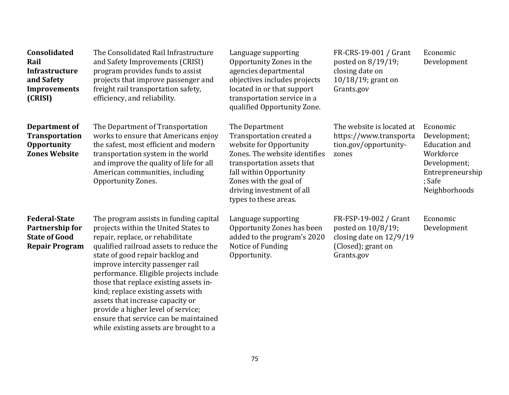| <b>Consolidated</b><br>Rail<br>Infrastructure<br>and Safety<br><b>Improvements</b><br>(CRISI) | The Consolidated Rail Infrastructure<br>and Safety Improvements (CRISI)<br>program provides funds to assist<br>projects that improve passenger and<br>freight rail transportation safety,<br>efficiency, and reliability.                                                                                                                                                                                                                                                                                                    | Language supporting<br>Opportunity Zones in the<br>agencies departmental<br>objectives includes projects<br>located in or that support<br>transportation service in a<br>qualified Opportunity Zone.                                            | FR-CRS-19-001 / Grant<br>posted on 8/19/19;<br>closing date on<br>$10/18/19$ ; grant on<br>Grants.gov      | Economic<br>Development                                                                                                      |
|-----------------------------------------------------------------------------------------------|------------------------------------------------------------------------------------------------------------------------------------------------------------------------------------------------------------------------------------------------------------------------------------------------------------------------------------------------------------------------------------------------------------------------------------------------------------------------------------------------------------------------------|-------------------------------------------------------------------------------------------------------------------------------------------------------------------------------------------------------------------------------------------------|------------------------------------------------------------------------------------------------------------|------------------------------------------------------------------------------------------------------------------------------|
| Department of<br><b>Transportation</b><br><b>Opportunity</b><br><b>Zones Website</b>          | The Department of Transportation<br>works to ensure that Americans enjoy<br>the safest, most efficient and modern<br>transportation system in the world<br>and improve the quality of life for all<br>American communities, including<br>Opportunity Zones.                                                                                                                                                                                                                                                                  | The Department<br>Transportation created a<br>website for Opportunity<br>Zones. The website identifies<br>transportation assets that<br>fall within Opportunity<br>Zones with the goal of<br>driving investment of all<br>types to these areas. | The website is located at<br>https://www.transporta<br>tion.gov/opportunity-<br>zones                      | Economic<br>Development;<br><b>Education</b> and<br>Workforce<br>Development;<br>Entrepreneurship<br>; Safe<br>Neighborhoods |
| <b>Federal-State</b><br>Partnership for<br><b>State of Good</b><br><b>Repair Program</b>      | The program assists in funding capital<br>projects within the United States to<br>repair, replace, or rehabilitate<br>qualified railroad assets to reduce the<br>state of good repair backlog and<br>improve intercity passenger rail<br>performance. Eligible projects include<br>those that replace existing assets in-<br>kind; replace existing assets with<br>assets that increase capacity or<br>provide a higher level of service;<br>ensure that service can be maintained<br>while existing assets are brought to a | Language supporting<br>Opportunity Zones has been<br>added to the program's 2020<br>Notice of Funding<br>Opportunity.                                                                                                                           | FR-FSP-19-002 / Grant<br>posted on 10/8/19;<br>closing date on 12/9/19<br>(Closed); grant on<br>Grants.gov | Economic<br>Development                                                                                                      |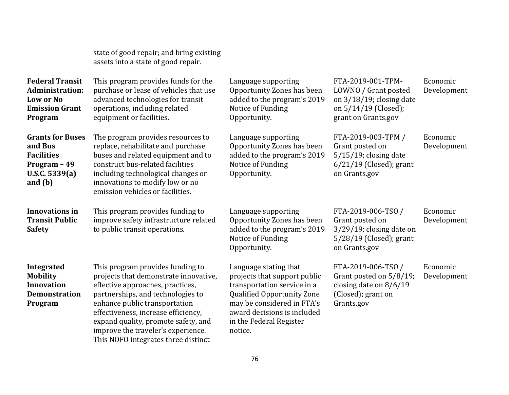|                                                                                                      | state of good repair; and bring existing<br>assets into a state of good repair.                                                                                                                                                                                                                                                                |                                                                                                                                                                                                                              |                                                                                                                         |                         |
|------------------------------------------------------------------------------------------------------|------------------------------------------------------------------------------------------------------------------------------------------------------------------------------------------------------------------------------------------------------------------------------------------------------------------------------------------------|------------------------------------------------------------------------------------------------------------------------------------------------------------------------------------------------------------------------------|-------------------------------------------------------------------------------------------------------------------------|-------------------------|
| <b>Federal Transit</b><br>Administration:<br>Low or No<br><b>Emission Grant</b><br>Program           | This program provides funds for the<br>purchase or lease of vehicles that use<br>advanced technologies for transit<br>operations, including related<br>equipment or facilities.                                                                                                                                                                | Language supporting<br>Opportunity Zones has been<br>added to the program's 2019<br>Notice of Funding<br>Opportunity.                                                                                                        | FTA-2019-001-TPM-<br>LOWNO / Grant posted<br>on $3/18/19$ ; closing date<br>on 5/14/19 (Closed);<br>grant on Grants.gov | Economic<br>Development |
| <b>Grants for Buses</b><br>and Bus<br><b>Facilities</b><br>Program - 49<br>U.S.C. 5339(a)<br>and (b) | The program provides resources to<br>replace, rehabilitate and purchase<br>buses and related equipment and to<br>construct bus-related facilities<br>including technological changes or<br>innovations to modify low or no<br>emission vehicles or facilities.                                                                                 | Language supporting<br>Opportunity Zones has been<br>added to the program's 2019<br>Notice of Funding<br>Opportunity.                                                                                                        | FTA-2019-003-TPM /<br>Grant posted on<br>$5/15/19$ ; closing date<br>$6/21/19$ (Closed); grant<br>on Grants.gov         | Economic<br>Development |
| <b>Innovations in</b><br><b>Transit Public</b><br><b>Safety</b>                                      | This program provides funding to<br>improve safety infrastructure related<br>to public transit operations.                                                                                                                                                                                                                                     | Language supporting<br>Opportunity Zones has been<br>added to the program's 2019<br>Notice of Funding<br>Opportunity.                                                                                                        | FTA-2019-006-TSO /<br>Grant posted on<br>$3/29/19$ ; closing date on<br>$5/28/19$ (Closed); grant<br>on Grants.gov      | Economic<br>Development |
| <b>Integrated</b><br><b>Mobility</b><br><b>Innovation</b><br><b>Demonstration</b><br>Program         | This program provides funding to<br>projects that demonstrate innovative,<br>effective approaches, practices,<br>partnerships, and technologies to<br>enhance public transportation<br>effectiveness, increase efficiency,<br>expand quality, promote safety, and<br>improve the traveler's experience.<br>This NOFO integrates three distinct | Language stating that<br>projects that support public<br>transportation service in a<br><b>Qualified Opportunity Zone</b><br>may be considered in FTA's<br>award decisions is included<br>in the Federal Register<br>notice. | FTA-2019-006-TSO /<br>Grant posted on 5/8/19;<br>closing date on $8/6/19$<br>(Closed); grant on<br>Grants.gov           | Economic<br>Development |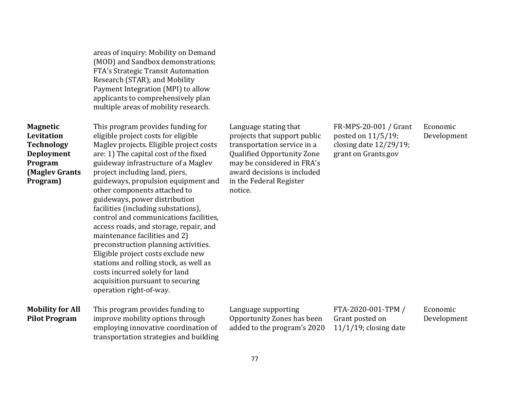| areas of inquiry: Mobility on Demand |
|--------------------------------------|
| (MOD) and Sandbox demonstrations;    |
| FTA's Strategic Transit Automation   |
| Research (STAR); and Mobility        |
| Payment Integration (MPI) to allow   |
| applicants to comprehensively plan   |
| multiple areas of mobility research. |
|                                      |
|                                      |

**Magnetic Levitation Technology Deployment Program (Maglev Grants Program)** 

This program provides funding for eligible project costs for eligible Maglev projects. Eligible project costs are: 1) The capital cost of the fixed guideway infrastructure of a Maglev project including land, piers, guideways, propulsion equipment and other components attached to guideways, power distribution facilities (including substations), control and communications facilities, access roads, and storage, repair, and maintenance facilities and 2) preconstruction planning activities. Eligible project costs exclude new stations and rolling stock, as well as costs incurred solely for land acquisition pursuant to securing operation right-of-way.

#### **Mobility for All Pilot Program**

This program provides funding to improve mobility options through employing innovative coordination of transportation strategies and building Language stating that projects that support public transportation service in a Qualified Opportunity Zone may be considered in FRA's award decisions is included in the Federal Register notice.

FR-MPS-20-001 / Grant posted on 11/5/19; closing date 12/29/19; grant on Grants.gov

Economic Development

Language supporting Opportunity Zones has been added to the program's 2020

FTA-2020-001-TPM / Grant posted on 11/1/19; closing date

Economic Development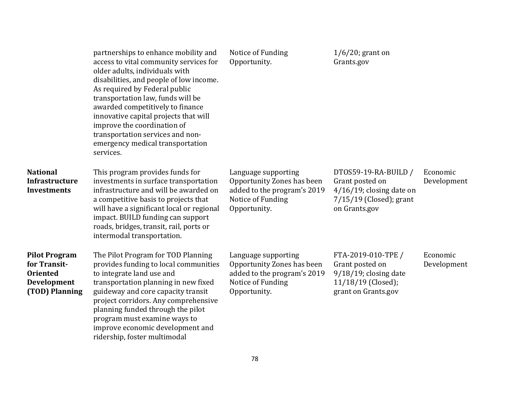|                                                                                          | partnerships to enhance mobility and<br>access to vital community services for<br>older adults, individuals with<br>disabilities, and people of low income.<br>As required by Federal public<br>transportation law, funds will be<br>awarded competitively to finance<br>innovative capital projects that will<br>improve the coordination of<br>transportation services and non-<br>emergency medical transportation<br>services. | Notice of Funding<br>Opportunity.                                                                                     | $1/6/20$ ; grant on<br>Grants.gov                                                                                    |                         |
|------------------------------------------------------------------------------------------|------------------------------------------------------------------------------------------------------------------------------------------------------------------------------------------------------------------------------------------------------------------------------------------------------------------------------------------------------------------------------------------------------------------------------------|-----------------------------------------------------------------------------------------------------------------------|----------------------------------------------------------------------------------------------------------------------|-------------------------|
| <b>National</b><br><b>Infrastructure</b><br><b>Investments</b>                           | This program provides funds for<br>investments in surface transportation<br>infrastructure and will be awarded on<br>a competitive basis to projects that<br>will have a significant local or regional<br>impact. BUILD funding can support<br>roads, bridges, transit, rail, ports or<br>intermodal transportation.                                                                                                               | Language supporting<br>Opportunity Zones has been<br>added to the program's 2019<br>Notice of Funding<br>Opportunity. | DT0S59-19-RA-BUILD /<br>Grant posted on<br>$4/16/19$ ; closing date on<br>$7/15/19$ (Closed); grant<br>on Grants.gov | Economic<br>Development |
| <b>Pilot Program</b><br>for Transit-<br><b>Oriented</b><br>Development<br>(TOD) Planning | The Pilot Program for TOD Planning<br>provides funding to local communities<br>to integrate land use and<br>transportation planning in new fixed<br>guideway and core capacity transit<br>project corridors. Any comprehensive<br>planning funded through the pilot<br>program must examine ways to<br>improve economic development and<br>ridership, foster multimodal                                                            | Language supporting<br>Opportunity Zones has been<br>added to the program's 2019<br>Notice of Funding<br>Opportunity. | FTA-2019-010-TPE /<br>Grant posted on<br>$9/18/19$ ; closing date<br>11/18/19 (Closed);<br>grant on Grants.gov       | Economic<br>Development |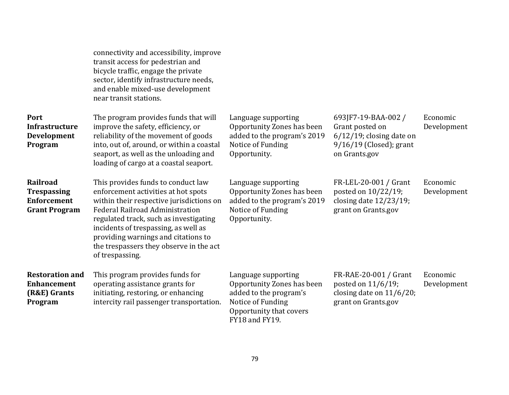|                                                                                     | connectivity and accessibility, improve<br>transit access for pedestrian and<br>bicycle traffic, engage the private<br>sector, identify infrastructure needs,<br>and enable mixed-use development<br>near transit stations.                                                                                                                            |                                                                                                                                               |                                                                                                                  |                         |
|-------------------------------------------------------------------------------------|--------------------------------------------------------------------------------------------------------------------------------------------------------------------------------------------------------------------------------------------------------------------------------------------------------------------------------------------------------|-----------------------------------------------------------------------------------------------------------------------------------------------|------------------------------------------------------------------------------------------------------------------|-------------------------|
| Port<br>Infrastructure<br>Development<br>Program                                    | The program provides funds that will<br>improve the safety, efficiency, or<br>reliability of the movement of goods<br>into, out of, around, or within a coastal<br>seaport, as well as the unloading and<br>loading of cargo at a coastal seaport.                                                                                                     | Language supporting<br>Opportunity Zones has been<br>added to the program's 2019<br>Notice of Funding<br>Opportunity.                         | 693JF7-19-BAA-002/<br>Grant posted on<br>$6/12/19$ ; closing date on<br>9/16/19 (Closed); grant<br>on Grants.gov | Economic<br>Development |
| <b>Railroad</b><br><b>Trespassing</b><br><b>Enforcement</b><br><b>Grant Program</b> | This provides funds to conduct law<br>enforcement activities at hot spots<br>within their respective jurisdictions on<br><b>Federal Railroad Administration</b><br>regulated track, such as investigating<br>incidents of trespassing, as well as<br>providing warnings and citations to<br>the trespassers they observe in the act<br>of trespassing. | Language supporting<br>Opportunity Zones has been<br>added to the program's 2019<br>Notice of Funding<br>Opportunity.                         | FR-LEL-20-001 / Grant<br>posted on 10/22/19;<br>closing date 12/23/19;<br>grant on Grants.gov                    | Economic<br>Development |
| <b>Restoration and</b><br><b>Enhancement</b><br>(R&E) Grants<br>Program             | This program provides funds for<br>operating assistance grants for<br>initiating, restoring, or enhancing<br>intercity rail passenger transportation.                                                                                                                                                                                                  | Language supporting<br>Opportunity Zones has been<br>added to the program's<br>Notice of Funding<br>Opportunity that covers<br>FY18 and FY19. | FR-RAE-20-001 / Grant<br>posted on 11/6/19;<br>closing date on 11/6/20;<br>grant on Grants.gov                   | Economic<br>Development |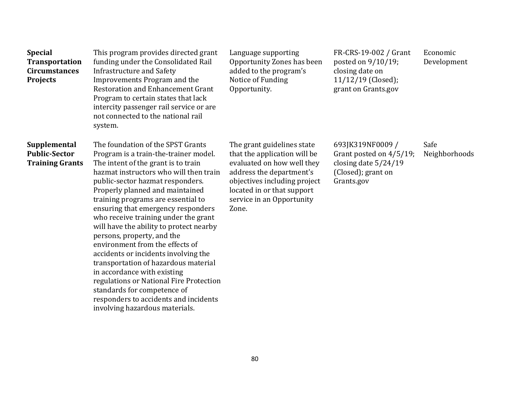| <b>Special</b><br><b>Transportation</b><br><b>Circumstances</b><br><b>Projects</b> | This program provides directed grant<br>funding under the Consolidated Rail<br>Infrastructure and Safety<br>Improvements Program and the<br><b>Restoration and Enhancement Grant</b><br>Program to certain states that lack<br>intercity passenger rail service or are<br>not connected to the national rail<br>system.                                                                                                                                                                                                                                                                                                                                                                                                                | Language supporting<br>Opportunity Zones has been<br>added to the program's<br>Notice of Funding<br>Opportunity.                                                                                                         | FR-CRS-19-002 / Grant<br>posted on 9/10/19;<br>closing date on<br>11/12/19 (Closed);<br>grant on Grants.gov | Economic<br>Development |
|------------------------------------------------------------------------------------|----------------------------------------------------------------------------------------------------------------------------------------------------------------------------------------------------------------------------------------------------------------------------------------------------------------------------------------------------------------------------------------------------------------------------------------------------------------------------------------------------------------------------------------------------------------------------------------------------------------------------------------------------------------------------------------------------------------------------------------|--------------------------------------------------------------------------------------------------------------------------------------------------------------------------------------------------------------------------|-------------------------------------------------------------------------------------------------------------|-------------------------|
| Supplemental<br><b>Public-Sector</b><br><b>Training Grants</b>                     | The foundation of the SPST Grants<br>Program is a train-the-trainer model.<br>The intent of the grant is to train<br>hazmat instructors who will then train<br>public-sector hazmat responders.<br>Properly planned and maintained<br>training programs are essential to<br>ensuring that emergency responders<br>who receive training under the grant<br>will have the ability to protect nearby<br>persons, property, and the<br>environment from the effects of<br>accidents or incidents involving the<br>transportation of hazardous material<br>in accordance with existing<br>regulations or National Fire Protection<br>standards for competence of<br>responders to accidents and incidents<br>involving hazardous materials. | The grant guidelines state<br>that the application will be<br>evaluated on how well they<br>address the department's<br>objectives including project<br>located in or that support<br>service in an Opportunity<br>Zone. | 693JK319NF0009 /<br>Grant posted on 4/5/19;<br>closing date 5/24/19<br>(Closed); grant on<br>Grants.gov     | Safe<br>Neighborhoods   |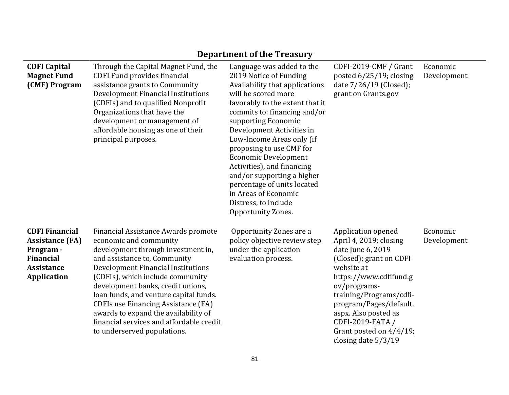|                                                                                                                             |                                                                                                                                                                                                                                                                                                                                                                                                                                                               | DEPAI UNENI UI UIE TTEASUI Y                                                                                                                                                                                                                                                                                                                                                                                                                                                                 |                                                                                                                                                                                                                                                                                                           |                         |
|-----------------------------------------------------------------------------------------------------------------------------|---------------------------------------------------------------------------------------------------------------------------------------------------------------------------------------------------------------------------------------------------------------------------------------------------------------------------------------------------------------------------------------------------------------------------------------------------------------|----------------------------------------------------------------------------------------------------------------------------------------------------------------------------------------------------------------------------------------------------------------------------------------------------------------------------------------------------------------------------------------------------------------------------------------------------------------------------------------------|-----------------------------------------------------------------------------------------------------------------------------------------------------------------------------------------------------------------------------------------------------------------------------------------------------------|-------------------------|
| <b>CDFI Capital</b><br><b>Magnet Fund</b><br>(CMF) Program                                                                  | Through the Capital Magnet Fund, the<br><b>CDFI Fund provides financial</b><br>assistance grants to Community<br>Development Financial Institutions<br>(CDFIs) and to qualified Nonprofit<br>Organizations that have the<br>development or management of<br>affordable housing as one of their<br>principal purposes.                                                                                                                                         | Language was added to the<br>2019 Notice of Funding<br>Availability that applications<br>will be scored more<br>favorably to the extent that it<br>commits to: financing and/or<br>supporting Economic<br>Development Activities in<br>Low-Income Areas only (if<br>proposing to use CMF for<br><b>Economic Development</b><br>Activities), and financing<br>and/or supporting a higher<br>percentage of units located<br>in Areas of Economic<br>Distress, to include<br>Opportunity Zones. | CDFI-2019-CMF / Grant<br>posted 6/25/19; closing<br>date 7/26/19 (Closed);<br>grant on Grants.gov                                                                                                                                                                                                         | Economic<br>Development |
| <b>CDFI Financial</b><br><b>Assistance (FA)</b><br>Program -<br><b>Financial</b><br><b>Assistance</b><br><b>Application</b> | Financial Assistance Awards promote<br>economic and community<br>development through investment in,<br>and assistance to, Community<br>Development Financial Institutions<br>(CDFIs), which include community<br>development banks, credit unions,<br>loan funds, and venture capital funds.<br><b>CDFIs use Financing Assistance (FA)</b><br>awards to expand the availability of<br>financial services and affordable credit<br>to underserved populations. | Opportunity Zones are a<br>policy objective review step<br>under the application<br>evaluation process.                                                                                                                                                                                                                                                                                                                                                                                      | Application opened<br>April 4, 2019; closing<br>date June 6, 2019<br>(Closed); grant on CDFI<br>website at<br>https://www.cdfifund.g<br>ov/programs-<br>training/Programs/cdfi-<br>program/Pages/default.<br>aspx. Also posted as<br>CDFI-2019-FATA /<br>Grant posted on 4/4/19;<br>closing date $5/3/19$ | Economic<br>Development |

### **Department of the Treasury**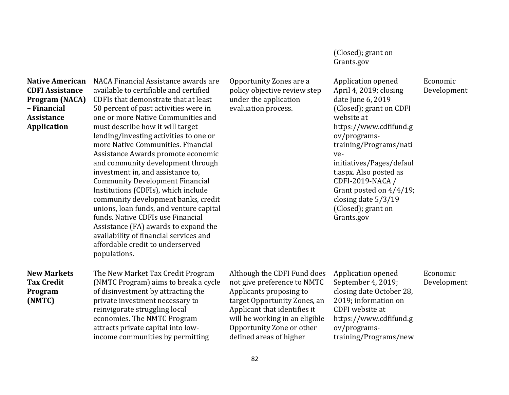(Closed); grant on Grants.gov

#### **Native American CDFI Assistance Program (NACA) – Financial Assistance Application**  NACA Financial Assistance awards are available to certifiable and certified CDFIs that demonstrate that at least 50 percent of past activities were in one or more Native Communities and must describe how it will target lending/investing activities to one or more Native Communities. Financial Assistance Awards promote economic and community development through investment in, and assistance to, Community Development Financial Institutions (CDFIs), which include community development banks, credit unions, loan funds, and venture capital funds. Native CDFIs use Financial Assistance (FA) awards to expand the availability of financial services and affordable credit to underserved populations. Opportunity Zones are a policy objective review step under the application evaluation process. Application opened April 4, 2019; closing date June 6, 2019 (Closed); grant on CDFI website at https://www.cdfifund.g ov/programstraining/Programs/nati veinitiatives/Pages/defaul t.aspx. Also posted as CDFI-2019-NACA / Grant posted on 4/4/19; closing date 5/3/19 (Closed); grant on Grants.gov Economic Development **New Markets Tax Credit Program (NMTC)**  The New Market Tax Credit Program (NMTC Program) aims to break a cycle of disinvestment by attracting the private investment necessary to reinvigorate struggling local economies. The NMTC Program attracts private capital into lowincome communities by permitting Although the CDFI Fund does not give preference to NMTC Applicants proposing to target Opportunity Zones, an Applicant that identifies it will be working in an eligible Opportunity Zone or other defined areas of higher Application opened September 4, 2019; closing date October 28, 2019; information on CDFI website at https://www.cdfifund.g ov/programstraining/Programs/new Economic Development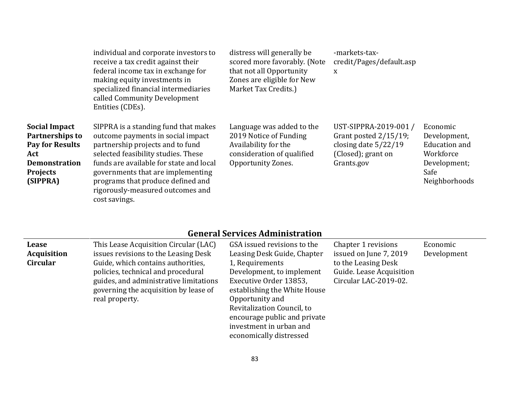|                                                                                                                          | individual and corporate investors to<br>receive a tax credit against their<br>federal income tax in exchange for<br>making equity investments in<br>specialized financial intermediaries<br>called Community Development<br>Entities (CDEs).                                                                                  | distress will generally be<br>scored more favorably. (Note<br>that not all Opportunity<br>Zones are eligible for New<br>Market Tax Credits.) | -markets-tax-<br>credit/Pages/default.asp<br>X                                                                  |                                                                                                        |
|--------------------------------------------------------------------------------------------------------------------------|--------------------------------------------------------------------------------------------------------------------------------------------------------------------------------------------------------------------------------------------------------------------------------------------------------------------------------|----------------------------------------------------------------------------------------------------------------------------------------------|-----------------------------------------------------------------------------------------------------------------|--------------------------------------------------------------------------------------------------------|
| Social Impact<br>Partnerships to<br><b>Pay for Results</b><br>Act<br><b>Demonstration</b><br><b>Projects</b><br>(SIPPRA) | SIPPRA is a standing fund that makes<br>outcome payments in social impact<br>partnership projects and to fund<br>selected feasibility studies. These<br>funds are available for state and local<br>governments that are implementing<br>programs that produce defined and<br>rigorously-measured outcomes and<br>cost savings. | Language was added to the<br>2019 Notice of Funding<br>Availability for the<br>consideration of qualified<br>Opportunity Zones.              | UST-SIPPRA-2019-001 /<br>Grant posted $2/15/19$ ;<br>closing date $5/22/19$<br>(Closed); grant on<br>Grants.gov | Economic<br>Development,<br><b>Education</b> and<br>Workforce<br>Development;<br>Safe<br>Neighborhoods |

# **General Services Administration**

| <b>Lease</b><br>Acquisition<br><b>Circular</b> | This Lease Acquisition Circular (LAC)<br>issues revisions to the Leasing Desk<br>Guide, which contains authorities,<br>policies, technical and procedural<br>guides, and administrative limitations<br>governing the acquisition by lease of<br>real property. | GSA issued revisions to the<br>Leasing Desk Guide, Chapter<br>1, Requirements<br>Development, to implement<br>Executive Order 13853,<br>establishing the White House<br>Opportunity and<br>Revitalization Council, to<br>encourage public and private | Chapter 1 revisions<br>issued on June 7, 2019<br>to the Leasing Desk<br>Guide. Lease Acquisition<br>Circular LAC-2019-02. | Economic<br>Development |
|------------------------------------------------|----------------------------------------------------------------------------------------------------------------------------------------------------------------------------------------------------------------------------------------------------------------|-------------------------------------------------------------------------------------------------------------------------------------------------------------------------------------------------------------------------------------------------------|---------------------------------------------------------------------------------------------------------------------------|-------------------------|
|                                                |                                                                                                                                                                                                                                                                | investment in urban and<br>economically distressed                                                                                                                                                                                                    |                                                                                                                           |                         |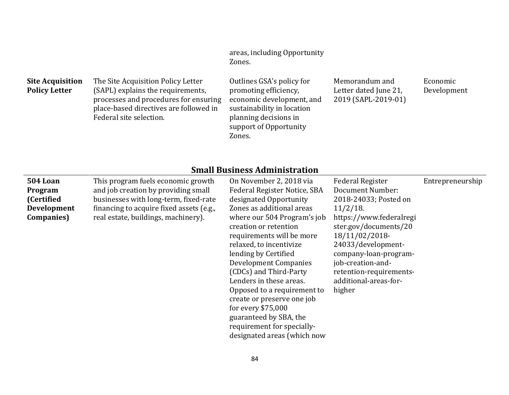areas, including Opportunity Zones.

| <b>Site Acquisition</b> | The Site Acquisition Policy Letter                                                                                   | Outlines GSA's policy for                                                        | Memorandum and                               | Economic    |
|-------------------------|----------------------------------------------------------------------------------------------------------------------|----------------------------------------------------------------------------------|----------------------------------------------|-------------|
| <b>Policy Letter</b>    | (SAPL) explains the requirements,<br>processes and procedures for ensuring<br>place-based directives are followed in | promoting efficiency,<br>economic development, and<br>sustainability in location | Letter dated June 21,<br>2019 (SAPL-2019-01) | Development |
|                         | Federal site selection.                                                                                              | planning decisions in<br>support of Opportunity<br>Zones.                        |                                              |             |

## **Small Business Administration**

| oman basmcss hammiscrativn |                                          |                              |                         |                  |
|----------------------------|------------------------------------------|------------------------------|-------------------------|------------------|
| 504 Loan                   | This program fuels economic growth       | On November 2, 2018 via      | <b>Federal Register</b> | Entrepreneurship |
| Program                    | and job creation by providing small      | Federal Register Notice, SBA | Document Number:        |                  |
| (Certified                 | businesses with long-term, fixed-rate    | designated Opportunity       | 2018-24033; Posted on   |                  |
| <b>Development</b>         | financing to acquire fixed assets (e.g., | Zones as additional areas    | $11/2/18$ .             |                  |
| <b>Companies</b> )         | real estate, buildings, machinery).      | where our 504 Program's job  | https://www.federalregi |                  |
|                            |                                          | creation or retention        | ster.gov/documents/20   |                  |
|                            |                                          | requirements will be more    | 18/11/02/2018-          |                  |
|                            |                                          | relaxed, to incentivize      | 24033/development-      |                  |
|                            |                                          | lending by Certified         | company-loan-program-   |                  |
|                            |                                          | <b>Development Companies</b> | job-creation-and-       |                  |
|                            |                                          | (CDCs) and Third-Party       | retention-requirements- |                  |
|                            |                                          | Lenders in these areas.      | additional-areas-for-   |                  |
|                            |                                          | Opposed to a requirement to  | higher                  |                  |
|                            |                                          | create or preserve one job   |                         |                  |
|                            |                                          | for every $$75,000$          |                         |                  |
|                            |                                          | guaranteed by SBA, the       |                         |                  |
|                            |                                          | requirement for specially-   |                         |                  |
|                            |                                          | designated areas (which now  |                         |                  |
|                            |                                          |                              |                         |                  |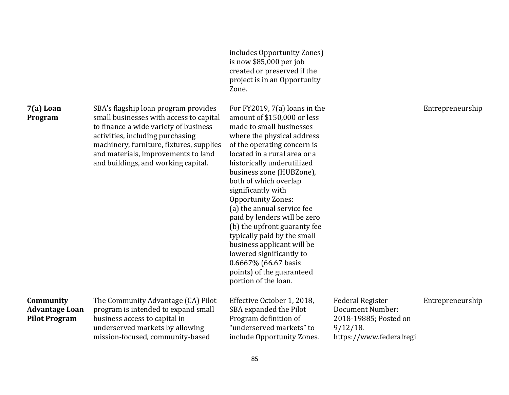|                                                            |                                                                                                                                                                                                                                                                                        | includes Opportunity Zones)<br>is now \$85,000 per job<br>created or preserved if the<br>project is in an Opportunity<br>Zone.                                                                                                                                                                                                                                                                                                                                                                                                                                                                       |                                                                                                                       |                  |
|------------------------------------------------------------|----------------------------------------------------------------------------------------------------------------------------------------------------------------------------------------------------------------------------------------------------------------------------------------|------------------------------------------------------------------------------------------------------------------------------------------------------------------------------------------------------------------------------------------------------------------------------------------------------------------------------------------------------------------------------------------------------------------------------------------------------------------------------------------------------------------------------------------------------------------------------------------------------|-----------------------------------------------------------------------------------------------------------------------|------------------|
| 7(a) Loan<br>Program                                       | SBA's flagship loan program provides<br>small businesses with access to capital<br>to finance a wide variety of business<br>activities, including purchasing<br>machinery, furniture, fixtures, supplies<br>and materials, improvements to land<br>and buildings, and working capital. | For FY2019, $7(a)$ loans in the<br>amount of \$150,000 or less<br>made to small businesses<br>where the physical address<br>of the operating concern is<br>located in a rural area or a<br>historically underutilized<br>business zone (HUBZone),<br>both of which overlap<br>significantly with<br><b>Opportunity Zones:</b><br>(a) the annual service fee<br>paid by lenders will be zero<br>(b) the upfront guaranty fee<br>typically paid by the small<br>business applicant will be<br>lowered significantly to<br>$0.6667\%$ (66.67 basis<br>points) of the guaranteed<br>portion of the loan. |                                                                                                                       | Entrepreneurship |
| Community<br><b>Advantage Loan</b><br><b>Pilot Program</b> | The Community Advantage (CA) Pilot<br>program is intended to expand small<br>business access to capital in<br>underserved markets by allowing<br>mission-focused, community-based                                                                                                      | Effective October 1, 2018,<br>SBA expanded the Pilot<br>Program definition of<br>"underserved markets" to<br>include Opportunity Zones.                                                                                                                                                                                                                                                                                                                                                                                                                                                              | <b>Federal Register</b><br><b>Document Number:</b><br>2018-19885; Posted on<br>$9/12/18$ .<br>https://www.federalregi | Entrepreneurship |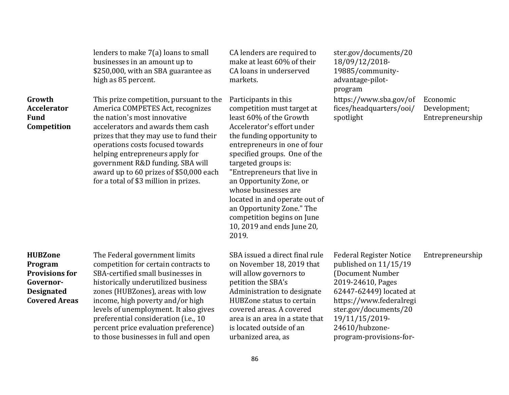|                                                                                                              | lenders to make 7(a) loans to small<br>businesses in an amount up to<br>\$250,000, with an SBA guarantee as<br>high as 85 percent.                                                                                                                                                                                                                                                         | CA lenders are required to<br>make at least 60% of their<br>CA loans in underserved<br>markets.                                                                                                                                                                                                                                                                                                                                                       | ster.gov/documents/20<br>18/09/12/2018-<br>19885/community-<br>advantage-pilot-<br>program                                                                                                                                                     |                                              |
|--------------------------------------------------------------------------------------------------------------|--------------------------------------------------------------------------------------------------------------------------------------------------------------------------------------------------------------------------------------------------------------------------------------------------------------------------------------------------------------------------------------------|-------------------------------------------------------------------------------------------------------------------------------------------------------------------------------------------------------------------------------------------------------------------------------------------------------------------------------------------------------------------------------------------------------------------------------------------------------|------------------------------------------------------------------------------------------------------------------------------------------------------------------------------------------------------------------------------------------------|----------------------------------------------|
| Growth<br><b>Accelerator</b><br><b>Fund</b><br>Competition                                                   | This prize competition, pursuant to the<br>America COMPETES Act, recognizes<br>the nation's most innovative<br>accelerators and awards them cash<br>prizes that they may use to fund their<br>operations costs focused towards<br>helping entrepreneurs apply for<br>government R&D funding. SBA will<br>award up to 60 prizes of \$50,000 each<br>for a total of \$3 million in prizes.   | Participants in this<br>competition must target at<br>least 60% of the Growth<br>Accelerator's effort under<br>the funding opportunity to<br>entrepreneurs in one of four<br>specified groups. One of the<br>targeted groups is:<br>"Entrepreneurs that live in<br>an Opportunity Zone, or<br>whose businesses are<br>located in and operate out of<br>an Opportunity Zone." The<br>competition begins on June<br>10, 2019 and ends June 20,<br>2019. | https://www.sba.gov/of<br>fices/headquarters/ooi/<br>spotlight                                                                                                                                                                                 | Economic<br>Development;<br>Entrepreneurship |
| <b>HUBZone</b><br>Program<br><b>Provisions for</b><br>Governor-<br><b>Designated</b><br><b>Covered Areas</b> | The Federal government limits<br>competition for certain contracts to<br>SBA-certified small businesses in<br>historically underutilized business<br>zones (HUBZones), areas with low<br>income, high poverty and/or high<br>levels of unemployment. It also gives<br>preferential consideration (i.e., 10<br>percent price evaluation preference)<br>to those businesses in full and open | SBA issued a direct final rule<br>on November 18, 2019 that<br>will allow governors to<br>petition the SBA's<br>Administration to designate<br>HUBZone status to certain<br>covered areas. A covered<br>area is an area in a state that<br>is located outside of an<br>urbanized area, as                                                                                                                                                             | <b>Federal Register Notice</b><br>published on 11/15/19<br>(Document Number<br>2019-24610, Pages<br>62447-62449) located at<br>https://www.federalregi<br>ster.gov/documents/20<br>19/11/15/2019-<br>24610/hubzone-<br>program-provisions-for- | Entrepreneurship                             |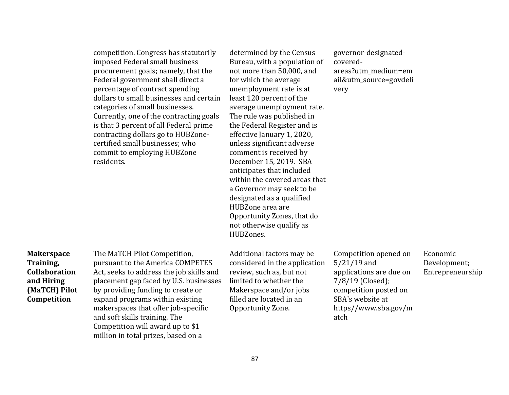|                                                                                                      | competition. Congress has statutorily<br>imposed Federal small business<br>procurement goals; namely, that the<br>Federal government shall direct a<br>percentage of contract spending<br>dollars to small businesses and certain<br>categories of small businesses.<br>Currently, one of the contracting goals<br>is that 3 percent of all Federal prime<br>contracting dollars go to HUBZone-<br>certified small businesses; who<br>commit to employing HUBZone<br>residents. | determined by the Census<br>Bureau, with a population of<br>not more than 50,000, and<br>for which the average<br>unemployment rate is at<br>least 120 percent of the<br>average unemployment rate.<br>The rule was published in<br>the Federal Register and is<br>effective January 1, 2020,<br>unless significant adverse<br>comment is received by<br>December 15, 2019. SBA<br>anticipates that included<br>within the covered areas that<br>a Governor may seek to be<br>designated as a qualified<br>HUBZone area are<br>Opportunity Zones, that do<br>not otherwise qualify as<br>HUBZones. | governor-designated-<br>covered-<br>areas?utm_medium=em<br>ail&utm_source=govdeli<br>very                                                                          |                                              |
|------------------------------------------------------------------------------------------------------|---------------------------------------------------------------------------------------------------------------------------------------------------------------------------------------------------------------------------------------------------------------------------------------------------------------------------------------------------------------------------------------------------------------------------------------------------------------------------------|----------------------------------------------------------------------------------------------------------------------------------------------------------------------------------------------------------------------------------------------------------------------------------------------------------------------------------------------------------------------------------------------------------------------------------------------------------------------------------------------------------------------------------------------------------------------------------------------------|--------------------------------------------------------------------------------------------------------------------------------------------------------------------|----------------------------------------------|
| <b>Makerspace</b><br>Training,<br><b>Collaboration</b><br>and Hiring<br>(MaTCH) Pilot<br>Competition | The MaTCH Pilot Competition,<br>pursuant to the America COMPETES<br>Act, seeks to address the job skills and<br>placement gap faced by U.S. businesses<br>by providing funding to create or<br>expand programs within existing<br>makerspaces that offer job-specific<br>and soft skills training. The<br>Competition will award up to \$1<br>million in total prizes, based on a                                                                                               | Additional factors may be<br>considered in the application<br>review, such as, but not<br>limited to whether the<br>Makerspace and/or jobs<br>filled are located in an<br>Opportunity Zone.                                                                                                                                                                                                                                                                                                                                                                                                        | Competition opened on<br>$5/21/19$ and<br>applications are due on<br>7/8/19 (Closed);<br>competition posted on<br>SBA's website at<br>https//www.sba.gov/m<br>atch | Economic<br>Development;<br>Entrepreneurship |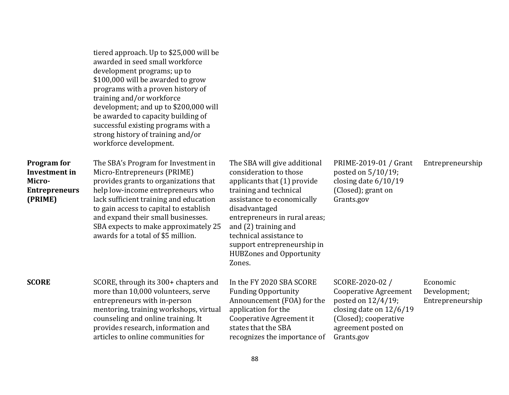|                                                                                         | tiered approach. Up to \$25,000 will be<br>awarded in seed small workforce<br>development programs; up to<br>\$100,000 will be awarded to grow<br>programs with a proven history of<br>training and/or workforce<br>development; and up to \$200,000 will<br>be awarded to capacity building of<br>successful existing programs with a<br>strong history of training and/or<br>workforce development. |                                                                                                                                                                                                                                                                                                                                |                                                                                                                                                                  |                                              |
|-----------------------------------------------------------------------------------------|-------------------------------------------------------------------------------------------------------------------------------------------------------------------------------------------------------------------------------------------------------------------------------------------------------------------------------------------------------------------------------------------------------|--------------------------------------------------------------------------------------------------------------------------------------------------------------------------------------------------------------------------------------------------------------------------------------------------------------------------------|------------------------------------------------------------------------------------------------------------------------------------------------------------------|----------------------------------------------|
| <b>Program</b> for<br><b>Investment</b> in<br>Micro-<br><b>Entrepreneurs</b><br>(PRIME) | The SBA's Program for Investment in<br>Micro-Entrepreneurs (PRIME)<br>provides grants to organizations that<br>help low-income entrepreneurs who<br>lack sufficient training and education<br>to gain access to capital to establish<br>and expand their small businesses.<br>SBA expects to make approximately 25<br>awards for a total of \$5 million.                                              | The SBA will give additional<br>consideration to those<br>applicants that (1) provide<br>training and technical<br>assistance to economically<br>disadvantaged<br>entrepreneurs in rural areas;<br>and (2) training and<br>technical assistance to<br>support entrepreneurship in<br><b>HUBZones and Opportunity</b><br>Zones. | PRIME-2019-01 / Grant<br>posted on 5/10/19;<br>closing date $6/10/19$<br>(Closed); grant on<br>Grants.gov                                                        | Entrepreneurship                             |
| <b>SCORE</b>                                                                            | SCORE, through its 300+ chapters and<br>more than 10,000 volunteers, serve<br>entrepreneurs with in-person<br>mentoring, training workshops, virtual<br>counseling and online training. It<br>provides research, information and<br>articles to online communities for                                                                                                                                | In the FY 2020 SBA SCORE<br><b>Funding Opportunity</b><br>Announcement (FOA) for the<br>application for the<br>Cooperative Agreement it<br>states that the SBA<br>recognizes the importance of                                                                                                                                 | SCORE-2020-02 /<br><b>Cooperative Agreement</b><br>posted on 12/4/19;<br>closing date on $12/6/19$<br>(Closed); cooperative<br>agreement posted on<br>Grants.gov | Economic<br>Development;<br>Entrepreneurship |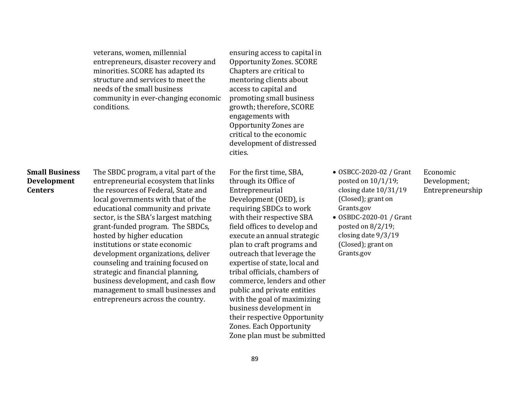veterans, women, millennial entrepreneurs, disaster recovery and minorities. SCORE has adapted its structure and services to meet the needs of the small business community in ever-changing economic conditions.

ensuring access to capital in Opportunity Zones. SCORE Chapters are critical to mentoring clients about access to capital and promoting small business growth; therefore, SCORE engagements with Opportunity Zones are critical to the economic development of distressed cities.

#### **Small Business Development Centers**

The SBDC program, a vital part of the entrepreneurial ecosystem that links the resources of Federal, State and local governments with that of the educational community and private sector, is the SBA's largest matching grant-funded program. The SBDCs, hosted by higher education institutions or state economic development organizations, deliver counseling and training focused on strategic and financial planning, business development, and cash flow management to small businesses and entrepreneurs across the country.

For the first time, SBA, through its Office of Entrepreneurial Development (OED), is requiring SBDCs to work with their respective SBA field offices to develop and execute an annual strategic plan to craft programs and outreach that leverage the expertise of state, local and tribal officials, chambers of commerce, lenders and other public and private entities with the goal of maximizing business development in their respective Opportunity Zones. Each Opportunity Zone plan must be submitted

- OSBCC-2020-02 / Grant posted on 10/1/19; closing date 10/31/19 (Closed); grant on Grants.gov
- OSBDC-2020-01 / Grant posted on 8/2/19; closing date 9/3/19 (Closed); grant on Grants.gov

Economic Development; Entrepreneurship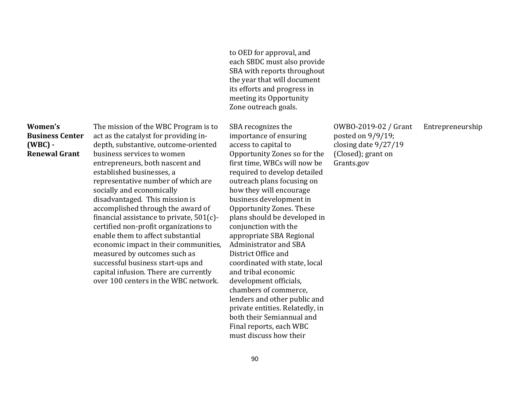to OED for approval, and each SBDC must also provide SBA with reports throughout the year that will document its efforts and progress in meeting its Opportunity Zone outreach goals.

**Women's Business Center (WBC) - Renewal Grant** 

The mission of the WBC Program is to act as the catalyst for providing indepth, substantive, outcome-oriented business services to women entrepreneurs, both nascent and established businesses, a representative number of which are socially and economically disadvantaged. This mission is accomplished through the award of financial assistance to private, 501(c) certified non-profit organizations to enable them to affect substantial economic impact in their communities, measured by outcomes such as successful business start-ups and capital infusion. There are currently over 100 centers in the WBC network.

SBA recognizes the importance of ensuring access to capital to Opportunity Zones so for the first time, WBCs will now be required to develop detailed outreach plans focusing on how they will encourage business development in Opportunity Zones. These plans should be developed in conjunction with the appropriate SBA Regional Administrator and SBA District Office and coordinated with state, local and tribal economic development officials, chambers of commerce, lenders and other public and private entities. Relatedly, in both their Semiannual and Final reports, each WBC must discuss how their

OWBO-2019-02 / Grant posted on 9/9/19; closing date 9/27/19 (Closed); grant on Grants.gov

Entrepreneurship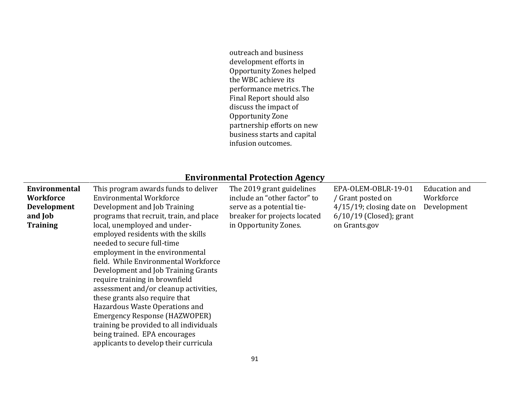outreach and business development efforts in Opportunity Zones helped the WBC achieve its performance metrics. The Final Report should also discuss the impact of Opportunity Zone partnership efforts on new business starts and capital infusion outcomes.

## **Environmental Protection Agency**

| <b>Environmental</b> | This program awards funds to deliver                                                                                                                                                                                                                                                                                                                                                                                                                                           | The 2019 grant guidelines    | EPA-OLEM-OBLR-19-01         | Education and |
|----------------------|--------------------------------------------------------------------------------------------------------------------------------------------------------------------------------------------------------------------------------------------------------------------------------------------------------------------------------------------------------------------------------------------------------------------------------------------------------------------------------|------------------------------|-----------------------------|---------------|
| <b>Workforce</b>     | Environmental Workforce                                                                                                                                                                                                                                                                                                                                                                                                                                                        | include an "other factor" to | / Grant posted on           | Workforce     |
| <b>Development</b>   | Development and Job Training                                                                                                                                                                                                                                                                                                                                                                                                                                                   | serve as a potential tie-    | $4/15/19$ ; closing date on | Development   |
| and Job              | programs that recruit, train, and place                                                                                                                                                                                                                                                                                                                                                                                                                                        | breaker for projects located | $6/10/19$ (Closed); grant   |               |
| <b>Training</b>      | local, unemployed and under-<br>employed residents with the skills<br>needed to secure full-time<br>employment in the environmental<br>field. While Environmental Workforce<br>Development and Job Training Grants<br>require training in brownfield<br>assessment and/or cleanup activities,<br>these grants also require that<br>Hazardous Waste Operations and<br>Emergency Response (HAZWOPER)<br>training be provided to all individuals<br>being trained. EPA encourages | in Opportunity Zones.        | on Grants.gov               |               |
|                      | applicants to develop their curricula                                                                                                                                                                                                                                                                                                                                                                                                                                          |                              |                             |               |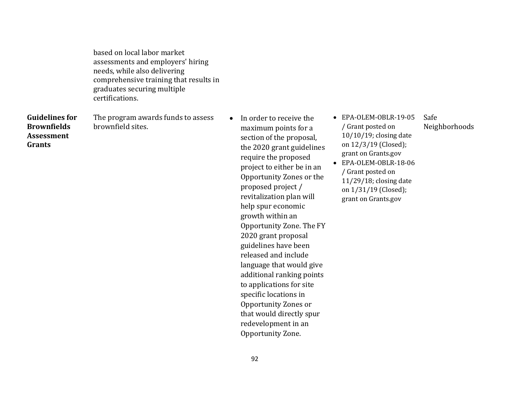based on local labor market assessments and employers' hiring needs, while also delivering comprehensive training that results in graduates securing multiple certifications.

**Guidelines for Brownfields Assessment Grants** 

The program awards funds to assess brownfield sites.

- In order to receive the maximum points for a section of the proposal, the 2020 grant guidelines require the proposed project to either be in an Opportunity Zones or the proposed project / revitalization plan will help spur economic growth within an Opportunity Zone. The FY 2020 grant proposal guidelines have been released and include language that would give additional ranking points to applications for site specific locations in Opportunity Zones or that would directly spur redevelopment in an Opportunity Zone.
- EPA-OLEM-OBLR-19-05 / Grant posted on 10/10/19; closing date on 12/3/19 (Closed); grant on Grants.gov
- EPA-OLEM-OBLR-18-06 / Grant posted on 11/29/18; closing date on 1/31/19 (Closed); grant on Grants.gov
- Safe Neighborhoods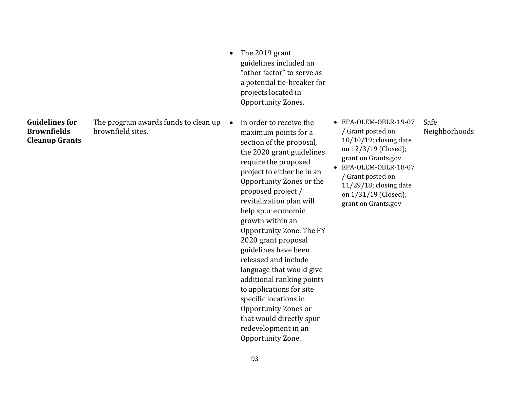**Guidelines for Brownfields Cleanup Grants** 

The program awards funds to clean up • brownfield sites.

• The 2019 grant guidelines included an "other factor" to serve as a potential tie-breaker for projects located in Opportunity Zones.

 In order to receive the maximum points for a section of the proposal, the 2020 grant guidelines require the proposed project to either be in an Opportunity Zones or the proposed project / revitalization plan will help spur economic growth within an Opportunity Zone. The FY 2020 grant proposal guidelines have been released and include language that would give additional ranking points to applications for site specific locations in Opportunity Zones or that would directly spur redevelopment in an Opportunity Zone.

 EPA-OLEM-OBLR-19-07 / Grant posted on 10/10/19; closing date on 12/3/19 (Closed); grant on Grants.gov

Safe

Neighborhoods

 EPA-OLEM-OBLR-18-07 / Grant posted on 11/29/18; closing date on 1/31/19 (Closed); grant on Grants.gov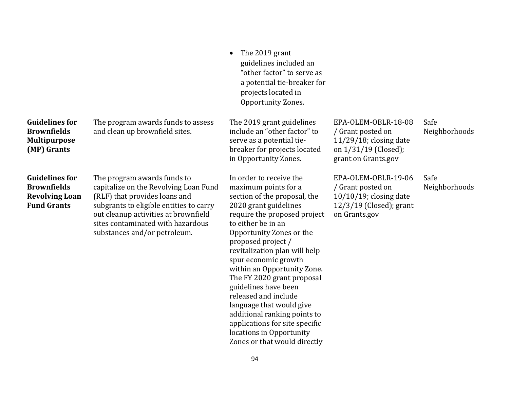|                                                                                            |                                                                                                                                                                                                                                                               | The 2019 grant<br>guidelines included an<br>"other factor" to serve as<br>a potential tie-breaker for<br>projects located in<br>Opportunity Zones.                                                                                                                                                                                                                                                                                                                                                                                               |                                                                                                                      |                       |
|--------------------------------------------------------------------------------------------|---------------------------------------------------------------------------------------------------------------------------------------------------------------------------------------------------------------------------------------------------------------|--------------------------------------------------------------------------------------------------------------------------------------------------------------------------------------------------------------------------------------------------------------------------------------------------------------------------------------------------------------------------------------------------------------------------------------------------------------------------------------------------------------------------------------------------|----------------------------------------------------------------------------------------------------------------------|-----------------------|
| <b>Guidelines for</b><br><b>Brownfields</b><br><b>Multipurpose</b><br>(MP) Grants          | The program awards funds to assess<br>and clean up brownfield sites.                                                                                                                                                                                          | The 2019 grant guidelines<br>include an "other factor" to<br>serve as a potential tie-<br>breaker for projects located<br>in Opportunity Zones.                                                                                                                                                                                                                                                                                                                                                                                                  | EPA-OLEM-OBLR-18-08<br>/ Grant posted on<br>$11/29/18$ ; closing date<br>on 1/31/19 (Closed);<br>grant on Grants.gov | Safe<br>Neighborhoods |
| <b>Guidelines for</b><br><b>Brownfields</b><br><b>Revolving Loan</b><br><b>Fund Grants</b> | The program awards funds to<br>capitalize on the Revolving Loan Fund<br>(RLF) that provides loans and<br>subgrants to eligible entities to carry<br>out cleanup activities at brownfield<br>sites contaminated with hazardous<br>substances and/or petroleum. | In order to receive the<br>maximum points for a<br>section of the proposal, the<br>2020 grant guidelines<br>require the proposed project<br>to either be in an<br>Opportunity Zones or the<br>proposed project /<br>revitalization plan will help<br>spur economic growth<br>within an Opportunity Zone.<br>The FY 2020 grant proposal<br>guidelines have been<br>released and include<br>language that would give<br>additional ranking points to<br>applications for site specific<br>locations in Opportunity<br>Zones or that would directly | EPA-OLEM-OBLR-19-06<br>/ Grant posted on<br>$10/10/19$ ; closing date<br>$12/3/19$ (Closed); grant<br>on Grants.gov  | Safe<br>Neighborhoods |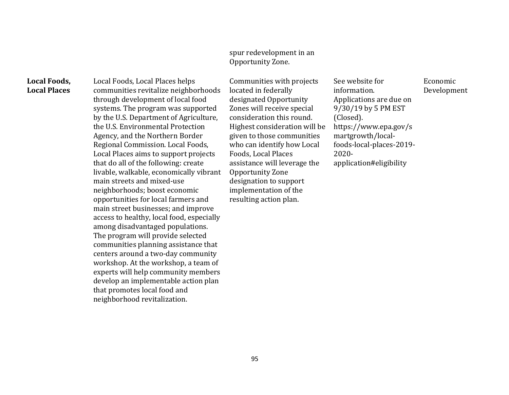#### spur redevelopment in an Opportunity Zone.

#### **Local Foods, Local Places**

Local Foods, Local Places helps communities revitalize neighborhoods through development of local food systems. The program was supported by the U.S. Department of Agriculture, the U.S. Environmental Protection Agency, and the Northern Border Regional Commission. Local Foods, Local Places aims to support projects that do all of the following: create livable, walkable, economically vibrant main streets and mixed-use neighborhoods; boost economic opportunities for local farmers and main street businesses; and improve access to healthy, local food, especially among disadvantaged populations. The program will provide selected communities planning assistance that centers around a two-day community workshop. At the workshop, a team of experts will help community members develop an implementable action plan that promotes local food and neighborhood revitalization.

Communities with projects located in federally designated Opportunity Zones will receive special consideration this round. Highest consideration will be given to those communities who can identify how Local Foods, Local Places assistance will leverage the Opportunity Zone designation to support implementation of the resulting action plan.

See website for information. Applications are due on 9/30/19 by 5 PM EST (Closed). https://www.epa.gov/s martgrowth/localfoods-local-places-2019- 2020 application#eligibility

Economic Development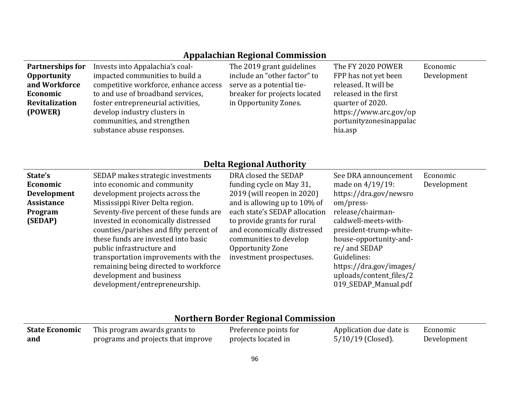## **Appalachian Regional Commission**

| Partnerships for<br><b>Opportunity</b><br>and Workforce<br>Economic | Invests into Appalachia's coal-<br>impacted communities to build a<br>competitive workforce, enhance access<br>to and use of broadband services, | The 2019 grant guidelines<br>include an "other factor" to<br>serve as a potential tie-<br>breaker for projects located | The FY 2020 POWER<br>FPP has not yet been<br>released. It will be<br>released in the first | Economic<br>Development |
|---------------------------------------------------------------------|--------------------------------------------------------------------------------------------------------------------------------------------------|------------------------------------------------------------------------------------------------------------------------|--------------------------------------------------------------------------------------------|-------------------------|
| <b>Revitalization</b><br>(POWER)                                    | foster entrepreneurial activities,<br>develop industry clusters in<br>communities, and strengthen<br>substance abuse responses.                  | in Opportunity Zones.                                                                                                  | quarter of 2020.<br>https://www.arc.gov/op<br>portunityzonesinappalac<br>hia.asp           |                         |

## **Delta Regional Authority**

| State's           | SEDAP makes strategic investments       | DRA closed the SEDAP          | See DRA announcement    | Economic    |
|-------------------|-----------------------------------------|-------------------------------|-------------------------|-------------|
| Economic          | into economic and community             | funding cycle on May 31,      | made on 4/19/19:        | Development |
| Development       | development projects across the         | 2019 (will reopen in 2020)    | https://dra.gov/newsro  |             |
| <b>Assistance</b> | Mississippi River Delta region.         | and is allowing up to 10% of  | om/press-               |             |
| Program           | Seventy-five percent of these funds are | each state's SEDAP allocation | release/chairman-       |             |
| (SEDAP)           | invested in economically distressed     | to provide grants for rural   | caldwell-meets-with-    |             |
|                   | counties/parishes and fifty percent of  | and economically distressed   | president-trump-white-  |             |
|                   | these funds are invested into basic     | communities to develop        | house-opportunity-and-  |             |
|                   | public infrastructure and               | Opportunity Zone              | re/ and SEDAP           |             |
|                   | transportation improvements with the    | investment prospectuses.      | Guidelines:             |             |
|                   | remaining being directed to workforce   |                               | https://dra.gov/images/ |             |
|                   | development and business                |                               | uploads/content_files/2 |             |
|                   | development/entrepreneurship.           |                               | 019_SEDAP_Manual.pdf    |             |
|                   |                                         |                               |                         |             |

# **Northern Border Regional Commission**

| <b>State Economic</b> | This program awards grants to      | Preference points for | Application due date is | Economic    |
|-----------------------|------------------------------------|-----------------------|-------------------------|-------------|
| and                   | programs and projects that improve | projects located in   | $5/10/19$ (Closed).     | Development |